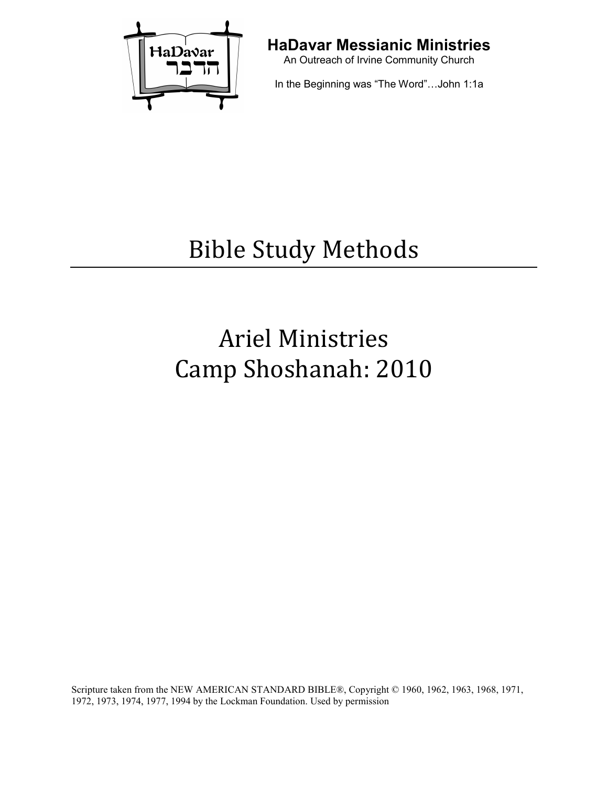

**HaDavar Messianic Ministries**

An Outreach of Irvine Community Church

In the Beginning was "The Word"...John 1:1a

# Bible Study Methods

# Ariel Ministries Camp Shoshanah: 2010

Scripture taken from the NEW AMERICAN STANDARD BIBLE®, Copyright © 1960, 1962, 1963, 1968, 1971, 1972, 1973, 1974, 1977, 1994 by the Lockman Foundation. Used by permission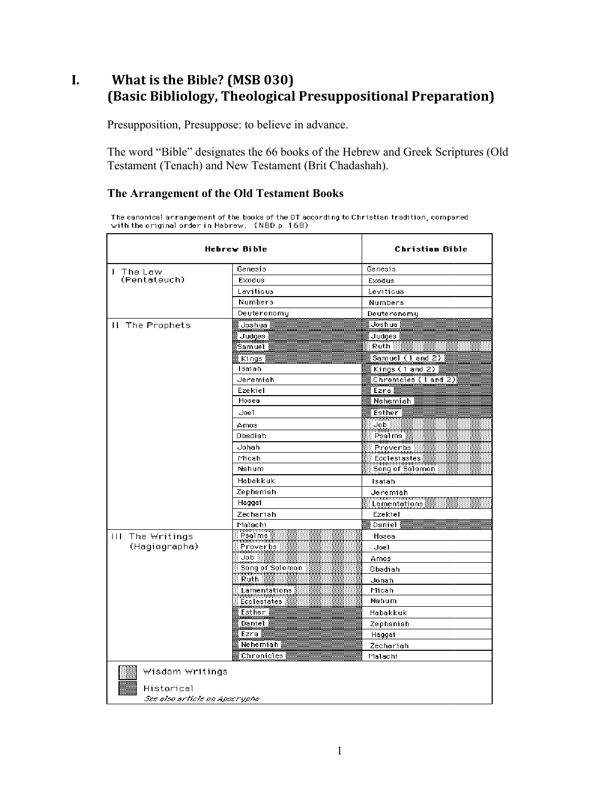## **I. What is the Bible? (MSB 030) 030) (Basic Bibliology, Theological Presuppositional Preparation) , Presuppositional Preparation)**

Presupposition, Presuppose: to believe in advance.

The word "Bible" designates the 66 books of the Hebrew and Greek Scriptures (Old Testament (Tenach) and New Testament (Brit Chadashah).

### **The Arrangement of the the Old Testament Books**

The canonical arrangement of the books of the OT according to Christian tradition, compared with the original order in Hebrew. (NBD p. 168)

| Hebrew Bible                  |                 | Christian Bible      |
|-------------------------------|-----------------|----------------------|
| l The Law                     | Genesis         | Genesis              |
| (Pentateuch)                  | Exodus          | Exodus               |
|                               | Leviticus       | Leviticus            |
|                               | Numbers         | Numbers              |
|                               | Deuteronomy     | Deuteronomy          |
| II The Prophets               | Joshua          | Joshua               |
|                               | Judges          | Judges               |
|                               | Samuel          | Ruth                 |
|                               | ≬Kings          | Samuel (1 and 2)     |
|                               | Isaiah          | Kings (1 and 2)      |
|                               | Jeremiah        | Chronicles (1 and 2) |
|                               | Ezekiel         | Ezra                 |
|                               | Hosea           | Nehemiah             |
|                               | Joel            | Esther               |
|                               | Amos            | Job.                 |
|                               | Obadiah         | Psalms               |
|                               | Johah           | Proverbs             |
|                               | Micah           | Ecclesiastes         |
|                               | Nahum           | Song of Solomon      |
|                               | Habakkuk        | Isaiah               |
|                               | Zephaniah       | Jeremiah             |
|                               | Haggai          | Lamentations:        |
|                               | Zechariah       | Ezekiel              |
|                               | Malachi         | Daniel               |
| III The Writings              | Psalms          | Hosea                |
| (Hagiographa)                 | ∛Proverbs ∰     | Joel                 |
|                               | Job.            | Amos                 |
|                               | Song of Solomon | Obadiah              |
|                               | Ruth            | Jonah                |
|                               | Lamentations    | Micah                |
|                               | Ecclesiates     | Nahum                |
|                               | Esther          | Habakkuk             |
|                               | : Daniel I      | Zephaniah            |
|                               | Ezra            | Haggai               |
|                               | Nehemiah        | Zechariah            |
|                               | Chronicles      | Malachi              |
| Wisdom Writings<br>Historical |                 |                      |
| See also article on Apocrypha |                 |                      |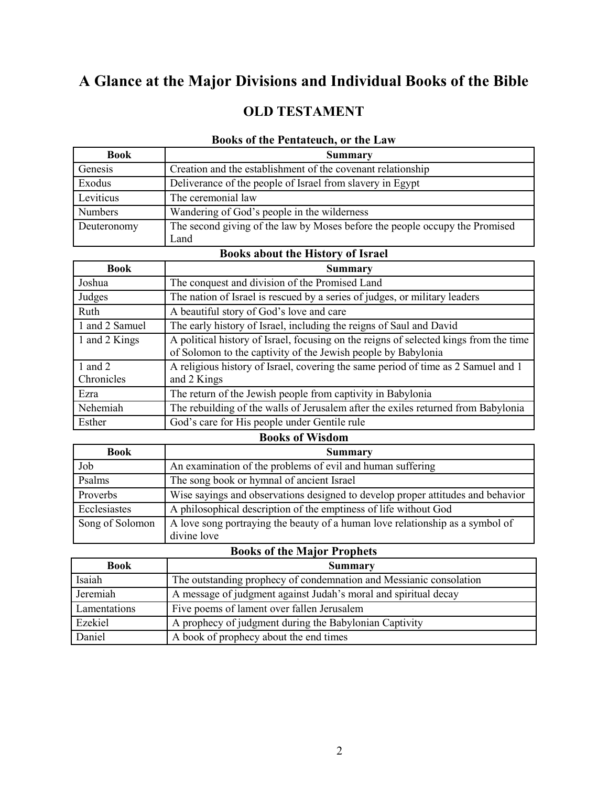## **A Glance at the Major Divisions and Individual Books of the Bible**

## **OLD TESTAMENT**

#### **Books of the Pentateuch, or the Law**

| <b>Book</b>    | <b>Summary</b>                                                                      |  |
|----------------|-------------------------------------------------------------------------------------|--|
| Genesis        | Creation and the establishment of the covenant relationship                         |  |
| Exodus         | Deliverance of the people of Israel from slavery in Egypt                           |  |
| Leviticus      | The ceremonial law                                                                  |  |
| <b>Numbers</b> | Wandering of God's people in the wilderness                                         |  |
| Deuteronomy    | The second giving of the law by Moses before the people occupy the Promised<br>Land |  |

#### **Books about the History of Israel**

| <b>Book</b>    | <b>Summary</b>                                                                        |
|----------------|---------------------------------------------------------------------------------------|
| Joshua         | The conquest and division of the Promised Land                                        |
| Judges         | The nation of Israel is rescued by a series of judges, or military leaders            |
| Ruth           | A beautiful story of God's love and care                                              |
| 1 and 2 Samuel | The early history of Israel, including the reigns of Saul and David                   |
| 1 and 2 Kings  | A political history of Israel, focusing on the reigns of selected kings from the time |
|                | of Solomon to the captivity of the Jewish people by Babylonia                         |
| 1 and 2        | A religious history of Israel, covering the same period of time as 2 Samuel and 1     |
| Chronicles     | and 2 Kings                                                                           |
| Ezra           | The return of the Jewish people from captivity in Babylonia                           |
| Nehemiah       | The rebuilding of the walls of Jerusalem after the exiles returned from Babylonia     |
| Esther         | God's care for His people under Gentile rule                                          |

## **Books of Wisdom Book Summary** Job An examination of the problems of evil and human suffering Psalms The song book or hymnal of ancient Israel Proverbs Wise sayings and observations designed to develop proper attitudes and behavior Ecclesiastes A philosophical description of the emptiness of life without God Song of Solomon  $\vert$  A love song portraying the beauty of a human love relationship as a symbol of divine love

#### **Books of the Major Prophets**

| <b>Book</b>  | Summary                                                            |
|--------------|--------------------------------------------------------------------|
| Isaiah       | The outstanding prophecy of condemnation and Messianic consolation |
| Jeremiah     | A message of judgment against Judah's moral and spiritual decay    |
| Lamentations | Five poems of lament over fallen Jerusalem                         |
| Ezekiel      | A prophecy of judgment during the Babylonian Captivity             |
| Daniel       | A book of prophecy about the end times                             |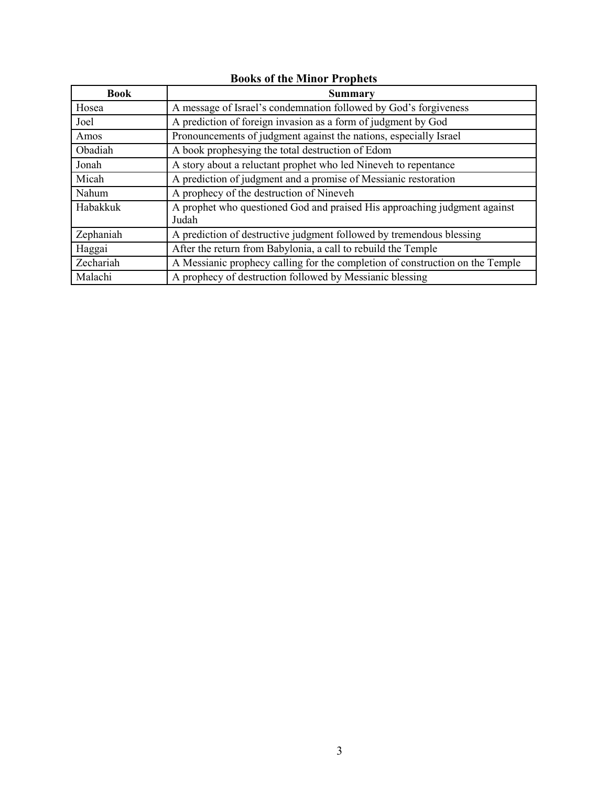| <b>Book</b> | Summary                                                                            |  |
|-------------|------------------------------------------------------------------------------------|--|
| Hosea       | A message of Israel's condemnation followed by God's forgiveness                   |  |
| Joel        | A prediction of foreign invasion as a form of judgment by God                      |  |
| Amos        | Pronouncements of judgment against the nations, especially Israel                  |  |
| Obadiah     | A book prophesying the total destruction of Edom                                   |  |
| Jonah       | A story about a reluctant prophet who led Nineveh to repentance                    |  |
| Micah       | A prediction of judgment and a promise of Messianic restoration                    |  |
| Nahum       | A prophecy of the destruction of Nineveh                                           |  |
| Habakkuk    | A prophet who questioned God and praised His approaching judgment against<br>Judah |  |
| Zephaniah   | A prediction of destructive judgment followed by tremendous blessing               |  |
| Haggai      | After the return from Babylonia, a call to rebuild the Temple                      |  |
| Zechariah   | A Messianic prophecy calling for the completion of construction on the Temple      |  |
| Malachi     | A prophecy of destruction followed by Messianic blessing                           |  |

## **Books of the Minor Prophets**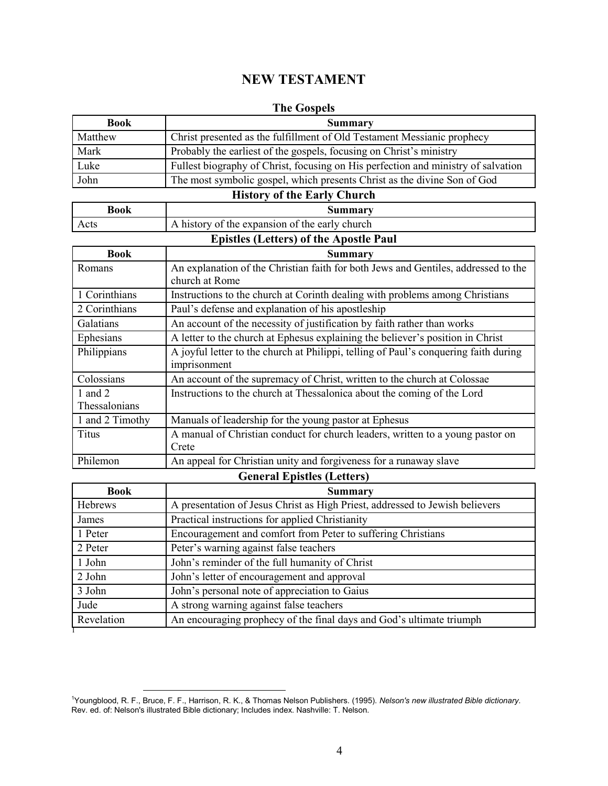## **NEW TESTAMENT**

#### **The Gospels**

| <b>Summary</b>                                                                                       |  |
|------------------------------------------------------------------------------------------------------|--|
| Christ presented as the fulfillment of Old Testament Messianic prophecy                              |  |
| Probably the earliest of the gospels, focusing on Christ's ministry                                  |  |
| Fullest biography of Christ, focusing on His perfection and ministry of salvation                    |  |
| The most symbolic gospel, which presents Christ as the divine Son of God                             |  |
| <b>History of the Early Church</b>                                                                   |  |
| <b>Summary</b>                                                                                       |  |
| A history of the expansion of the early church                                                       |  |
| <b>Epistles (Letters) of the Apostle Paul</b>                                                        |  |
| <b>Summary</b>                                                                                       |  |
| An explanation of the Christian faith for both Jews and Gentiles, addressed to the<br>church at Rome |  |
| Instructions to the church at Corinth dealing with problems among Christians                         |  |
| Paul's defense and explanation of his apostleship                                                    |  |
| An account of the necessity of justification by faith rather than works                              |  |
| A letter to the church at Ephesus explaining the believer's position in Christ                       |  |
| A joyful letter to the church at Philippi, telling of Paul's conquering faith during<br>imprisonment |  |
| An account of the supremacy of Christ, written to the church at Colossae                             |  |
| Instructions to the church at Thessalonica about the coming of the Lord                              |  |
|                                                                                                      |  |
| Manuals of leadership for the young pastor at Ephesus                                                |  |
| A manual of Christian conduct for church leaders, written to a young pastor on<br>Crete              |  |
| An appeal for Christian unity and forgiveness for a runaway slave                                    |  |
| <b>General Epistles (Letters)</b>                                                                    |  |
| <b>Summary</b>                                                                                       |  |
| A presentation of Jesus Christ as High Priest, addressed to Jewish believers                         |  |
| Practical instructions for applied Christianity                                                      |  |
| Encouragement and comfort from Peter to suffering Christians                                         |  |
| Peter's warning against false teachers                                                               |  |
| John's reminder of the full humanity of Christ                                                       |  |
| John's letter of encouragement and approval                                                          |  |
| John's personal note of appreciation to Gaius                                                        |  |
| A strong warning against false teachers                                                              |  |
| An encouraging prophecy of the final days and God's ultimate triumph                                 |  |
|                                                                                                      |  |

<sup>&</sup>lt;u>.</u> <sup>1</sup>Youngblood, R. F., Bruce, F. F., Harrison, R. K., & Thomas Nelson Publishers. (1995). *Nelson's new illustrated Bible dictionary*. Rev. ed. of: Nelson's illustrated Bible dictionary; Includes index. Nashville: T. Nelson.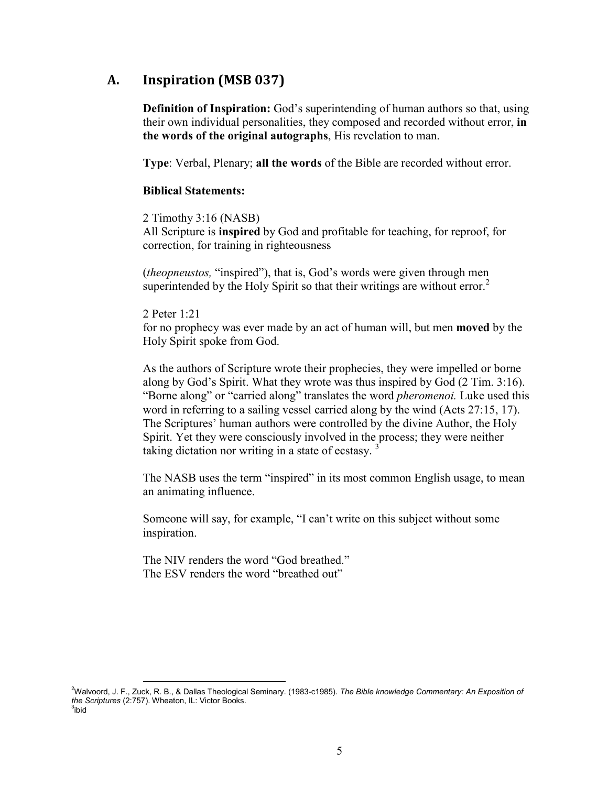## **A. Inspiration (MSB 037)**

**Definition of Inspiration:** God's superintending of human authors so that, using their own individual personalities, they composed and recorded without error, **in the words of the original autographs**, His revelation to man.

**Type**: Verbal, Plenary; **all the words** of the Bible are recorded without error.

#### **Biblical Statements:**

2 Timothy 3:16 (NASB)

All Scripture is **inspired** by God and profitable for teaching, for reproof, for correction, for training in righteousness

(*theopneustos,* "inspired"), that is, God's words were given through men superintended by the Holy Spirit so that their writings are without error.<sup>2</sup>

#### 2 Peter 1:21

-

for no prophecy was ever made by an act of human will, but men **moved** by the Holy Spirit spoke from God.

As the authors of Scripture wrote their prophecies, they were impelled or borne along by God's Spirit. What they wrote was thus inspired by God (2 Tim. 3:16). "Borne along" or "carried along" translates the word *pheromenoi.* Luke used this word in referring to a sailing vessel carried along by the wind (Acts 27:15, 17). The Scriptures' human authors were controlled by the divine Author, the Holy Spirit. Yet they were consciously involved in the process; they were neither taking dictation nor writing in a state of ecstasy. <sup>3</sup>

The NASB uses the term "inspired" in its most common English usage, to mean an animating influence.

Someone will say, for example, "I can't write on this subject without some inspiration.

The NIV renders the word "God breathed." The ESV renders the word "breathed out"

<sup>2</sup>Walvoord, J. F., Zuck, R. B., & Dallas Theological Seminary. (1983-c1985). *The Bible knowledge Commentary: An Exposition of the Scriptures* (2:757). Wheaton, IL: Victor Books.<br><sup>3</sup>ibid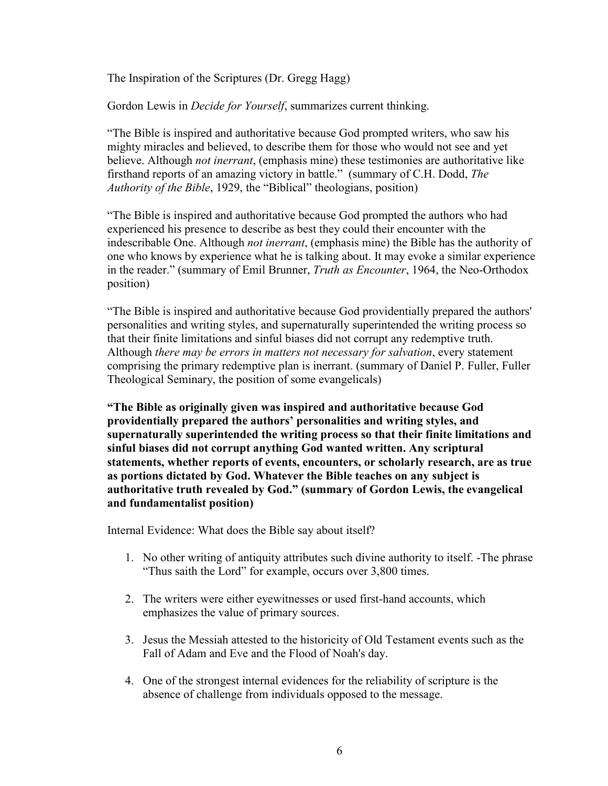The Inspiration of the Scriptures (Dr. Gregg Hagg)

Gordon Lewis in *Decide for Yourself*, summarizes current thinking.

"The Bible is inspired and authoritative because God prompted writers, who saw his mighty miracles and believed, to describe them for those who would not see and yet believe. Although *not inerrant*, (emphasis mine) these testimonies are authoritative like firsthand reports of an amazing victory in battle." (summary of C.H. Dodd, *The Authority of the Bible*, 1929, the "Biblical" theologians, position)

"The Bible is inspired and authoritative because God prompted the authors who had experienced his presence to describe as best they could their encounter with the indescribable One. Although *not inerrant*, (emphasis mine) the Bible has the authority of one who knows by experience what he is talking about. It may evoke a similar experience in the reader." (summary of Emil Brunner, *Truth as Encounter*, 1964, the Neo-Orthodox position)

"The Bible is inspired and authoritative because God providentially prepared the authors' personalities and writing styles, and supernaturally superintended the writing process so that their finite limitations and sinful biases did not corrupt any redemptive truth. Although *there may be errors in matters not necessary for salvation*, every statement comprising the primary redemptive plan is inerrant. (summary of Daniel P. Fuller, Fuller Theological Seminary, the position of some evangelicals)

**"The Bible as originally given was inspired and authoritative because God providentially prepared the authors' personalities and writing styles, and supernaturally superintended the writing process so that their finite limitations and sinful biases did not corrupt anything God wanted written. Any scriptural statements, whether reports of events, encounters, or scholarly research, are as true as portions dictated by God. Whatever the Bible teaches on any subject is authoritative truth revealed by God." (summary of Gordon Lewis, the evangelical and fundamentalist position)** 

Internal Evidence: What does the Bible say about itself?

- 1. No other writing of antiquity attributes such divine authority to itself. -The phrase "Thus saith the Lord" for example, occurs over 3,800 times.
- 2. The writers were either eyewitnesses or used first-hand accounts, which emphasizes the value of primary sources.
- 3. Jesus the Messiah attested to the historicity of Old Testament events such as the Fall of Adam and Eve and the Flood of Noah's day.
- 4. One of the strongest internal evidences for the reliability of scripture is the absence of challenge from individuals opposed to the message.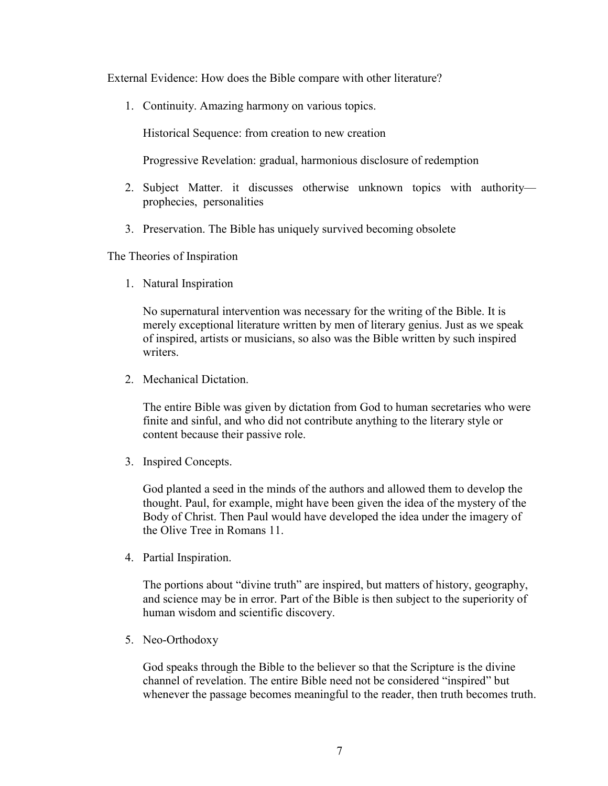External Evidence: How does the Bible compare with other literature?

1. Continuity. Amazing harmony on various topics.

Historical Sequence: from creation to new creation

Progressive Revelation: gradual, harmonious disclosure of redemption

- 2. Subject Matter. it discusses otherwise unknown topics with authority prophecies, personalities
- 3. Preservation. The Bible has uniquely survived becoming obsolete

The Theories of Inspiration

1. Natural Inspiration

No supernatural intervention was necessary for the writing of the Bible. It is merely exceptional literature written by men of literary genius. Just as we speak of inspired, artists or musicians, so also was the Bible written by such inspired writers.

2. Mechanical Dictation.

The entire Bible was given by dictation from God to human secretaries who were finite and sinful, and who did not contribute anything to the literary style or content because their passive role.

3. Inspired Concepts.

God planted a seed in the minds of the authors and allowed them to develop the thought. Paul, for example, might have been given the idea of the mystery of the Body of Christ. Then Paul would have developed the idea under the imagery of the Olive Tree in Romans 11.

4. Partial Inspiration.

The portions about "divine truth" are inspired, but matters of history, geography, and science may be in error. Part of the Bible is then subject to the superiority of human wisdom and scientific discovery.

5. Neo-Orthodoxy

God speaks through the Bible to the believer so that the Scripture is the divine channel of revelation. The entire Bible need not be considered "inspired" but whenever the passage becomes meaningful to the reader, then truth becomes truth.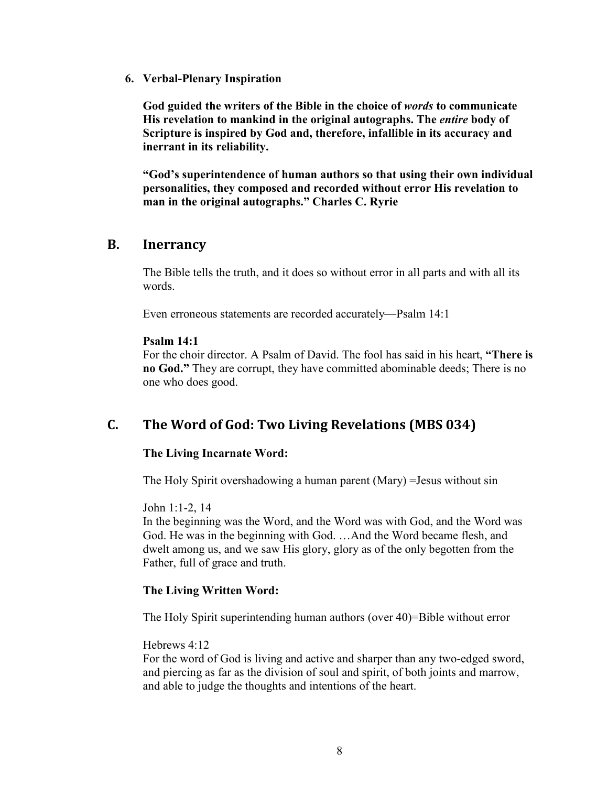**6. Verbal-Plenary Inspiration** 

**God guided the writers of the Bible in the choice of** *words* **to communicate His revelation to mankind in the original autographs. The** *entire* **body of Scripture is inspired by God and, therefore, infallible in its accuracy and inerrant in its reliability.** 

**"God's superintendence of human authors so that using their own individual personalities, they composed and recorded without error His revelation to man in the original autographs." Charles C. Ryrie** 

## **B. Inerrancy**

The Bible tells the truth, and it does so without error in all parts and with all its words.

Even erroneous statements are recorded accurately—Psalm 14:1

#### **Psalm 14:1**

For the choir director. A Psalm of David. The fool has said in his heart, **"There is no God."** They are corrupt, they have committed abominable deeds; There is no one who does good.

## **C. The Word of God: Two Living Revelations (MBS 034)**

### **The Living Incarnate Word:**

The Holy Spirit overshadowing a human parent (Mary) =Jesus without sin

#### John 1:1-2, 14

In the beginning was the Word, and the Word was with God, and the Word was God. He was in the beginning with God. …And the Word became flesh, and dwelt among us, and we saw His glory, glory as of the only begotten from the Father, full of grace and truth.

#### **The Living Written Word:**

The Holy Spirit superintending human authors (over 40)=Bible without error

#### Hebrews 4:12

For the word of God is living and active and sharper than any two-edged sword, and piercing as far as the division of soul and spirit, of both joints and marrow, and able to judge the thoughts and intentions of the heart.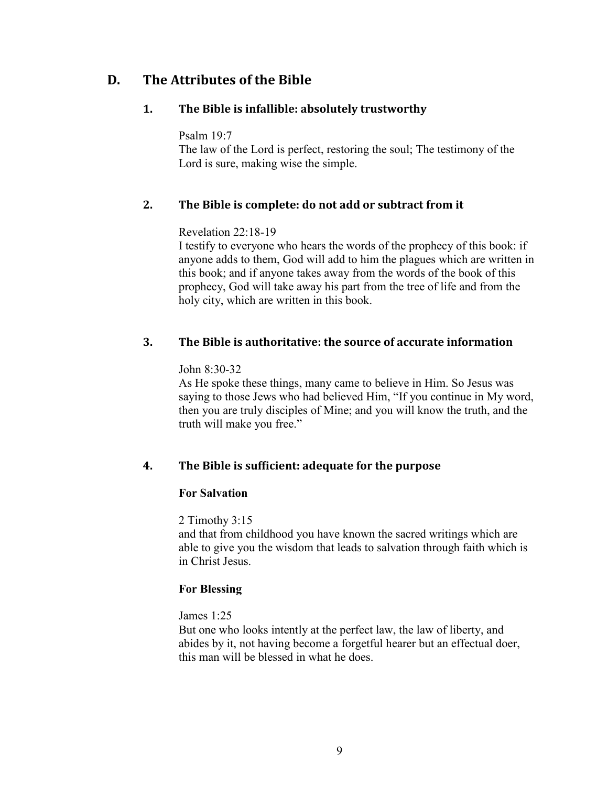## **D. The Attributes of the Bible**

## **1. The Bible is infallible: absolutely trustworthy**

Psalm 19:7

The law of the Lord is perfect, restoring the soul; The testimony of the Lord is sure, making wise the simple.

## **2. The Bible is complete: do not add or subtract from it**

Revelation 22:18-19

I testify to everyone who hears the words of the prophecy of this book: if anyone adds to them, God will add to him the plagues which are written in this book; and if anyone takes away from the words of the book of this prophecy, God will take away his part from the tree of life and from the holy city, which are written in this book.

## **3. The Bible is authoritative: the source of accurate information**

John 8:30-32

As He spoke these things, many came to believe in Him. So Jesus was saying to those Jews who had believed Him, "If you continue in My word, then you are truly disciples of Mine; and you will know the truth, and the truth will make you free."

## **4. The Bible is sufficient: adequate for the purpose**

### **For Salvation**

2 Timothy 3:15

and that from childhood you have known the sacred writings which are able to give you the wisdom that leads to salvation through faith which is in Christ Jesus.

### **For Blessing**

James 1:25

But one who looks intently at the perfect law, the law of liberty, and abides by it, not having become a forgetful hearer but an effectual doer, this man will be blessed in what he does.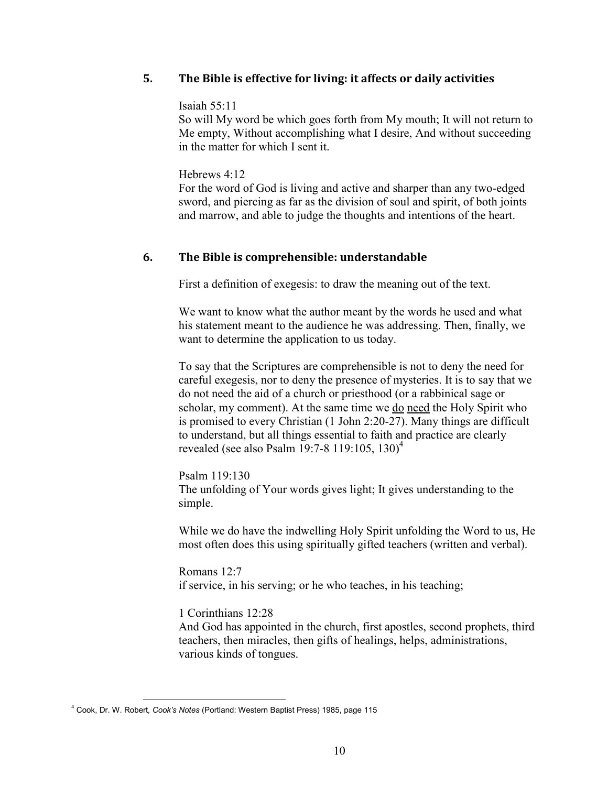#### **5. The Bible is effective for living: it affects or daily activities**

Isaiah 55:11

So will My word be which goes forth from My mouth; It will not return to Me empty, Without accomplishing what I desire, And without succeeding in the matter for which I sent it.

Hebrews 4:12

For the word of God is living and active and sharper than any two-edged sword, and piercing as far as the division of soul and spirit, of both joints and marrow, and able to judge the thoughts and intentions of the heart.

#### **6. The Bible is comprehensible: understandable**

First a definition of exegesis: to draw the meaning out of the text.

We want to know what the author meant by the words he used and what his statement meant to the audience he was addressing. Then, finally, we want to determine the application to us today.

To say that the Scriptures are comprehensible is not to deny the need for careful exegesis, nor to deny the presence of mysteries. It is to say that we do not need the aid of a church or priesthood (or a rabbinical sage or scholar, my comment). At the same time we do need the Holy Spirit who is promised to every Christian (1 John 2:20-27). Many things are difficult to understand, but all things essential to faith and practice are clearly revealed (see also Psalm 19:7-8 119:105, 130)<sup>4</sup>

Psalm 119:130

The unfolding of Your words gives light; It gives understanding to the simple.

While we do have the indwelling Holy Spirit unfolding the Word to us, He most often does this using spiritually gifted teachers (written and verbal).

Romans 12:7 if service, in his serving; or he who teaches, in his teaching;

1 Corinthians 12:28

And God has appointed in the church, first apostles, second prophets, third teachers, then miracles, then gifts of healings, helps, administrations, various kinds of tongues.

<sup>&</sup>lt;u>.</u> 4 Cook, Dr. W. Robert*, Cook's Notes* (Portland: Western Baptist Press) 1985, page 115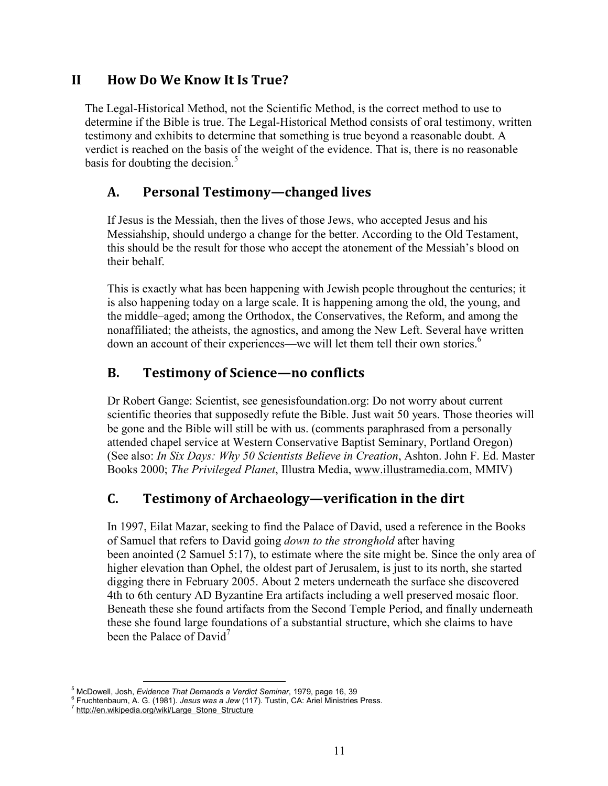## **II How Do We Know It Is True?**

The Legal-Historical Method, not the Scientific Method, is the correct method to use to determine if the Bible is true. The Legal-Historical Method consists of oral testimony, written testimony and exhibits to determine that something is true beyond a reasonable doubt. A verdict is reached on the basis of the weight of the evidence. That is, there is no reasonable basis for doubting the decision.<sup>5</sup>

## **A. Personal Testimony—changed lives**

If Jesus is the Messiah, then the lives of those Jews, who accepted Jesus and his Messiahship, should undergo a change for the better. According to the Old Testament, this should be the result for those who accept the atonement of the Messiah's blood on their behalf.

This is exactly what has been happening with Jewish people throughout the centuries; it is also happening today on a large scale. It is happening among the old, the young, and the middle–aged; among the Orthodox, the Conservatives, the Reform, and among the nonaffiliated; the atheists, the agnostics, and among the New Left. Several have written down an account of their experiences—we will let them tell their own stories.<sup>6</sup>

## **B. Testimony of Science—no conflicts**

Dr Robert Gange: Scientist, see genesisfoundation.org: Do not worry about current scientific theories that supposedly refute the Bible. Just wait 50 years. Those theories will be gone and the Bible will still be with us. (comments paraphrased from a personally attended chapel service at Western Conservative Baptist Seminary, Portland Oregon) (See also: *In Six Days: Why 50 Scientists Believe in Creation*, Ashton. John F. Ed. Master Books 2000; *The Privileged Planet*, Illustra Media, www.illustramedia.com, MMIV)

## **C. Testimony of Archaeology—verification in the dirt**

In 1997, Eilat Mazar, seeking to find the Palace of David, used a reference in the Books of Samuel that refers to David going *down to the stronghold* after having been anointed (2 Samuel 5:17), to estimate where the site might be. Since the only area of higher elevation than Ophel, the oldest part of Jerusalem, is just to its north, she started digging there in February 2005. About 2 meters underneath the surface she discovered 4th to 6th century AD Byzantine Era artifacts including a well preserved mosaic floor. Beneath these she found artifacts from the Second Temple Period, and finally underneath these she found large foundations of a substantial structure, which she claims to have been the Palace of David<sup>7</sup>

<sup>-</sup>5 McDowell, Josh, *Evidence That Demands a Verdict Seminar*, 1979, page 16, 39

<sup>6</sup> Fruchtenbaum, A. G. (1981). *Jesus was a Jew* (117). Tustin, CA: Ariel Ministries Press.

<sup>&</sup>lt;sup>7</sup> http://en.wikipedia.org/wiki/Large\_Stone\_Structure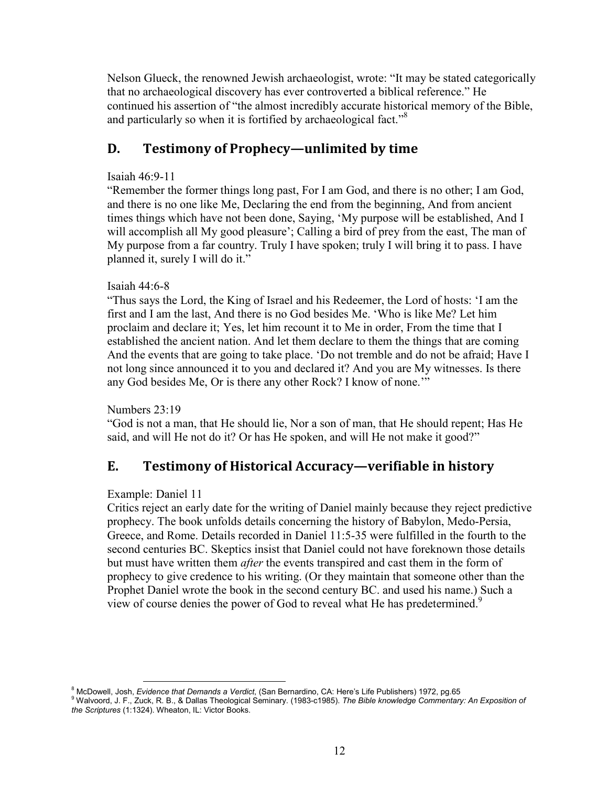Nelson Glueck, the renowned Jewish archaeologist, wrote: "It may be stated categorically that no archaeological discovery has ever controverted a biblical reference." He continued his assertion of "the almost incredibly accurate historical memory of the Bible, and particularly so when it is fortified by archaeological fact.<sup>38</sup>

## **D. Testimony of Prophecy—unlimited by time**

## Isaiah 46:9-11

"Remember the former things long past, For I am God, and there is no other; I am God, and there is no one like Me, Declaring the end from the beginning, And from ancient times things which have not been done, Saying, 'My purpose will be established, And I will accomplish all My good pleasure'; Calling a bird of prey from the east, The man of My purpose from a far country. Truly I have spoken; truly I will bring it to pass. I have planned it, surely I will do it."

## Isaiah 44:6-8

"Thus says the Lord, the King of Israel and his Redeemer, the Lord of hosts: 'I am the first and I am the last, And there is no God besides Me. 'Who is like Me? Let him proclaim and declare it; Yes, let him recount it to Me in order, From the time that I established the ancient nation. And let them declare to them the things that are coming And the events that are going to take place. 'Do not tremble and do not be afraid; Have I not long since announced it to you and declared it? And you are My witnesses. Is there any God besides Me, Or is there any other Rock? I know of none.'"

### Numbers 23:19

"God is not a man, that He should lie, Nor a son of man, that He should repent; Has He said, and will He not do it? Or has He spoken, and will He not make it good?"

## **E. Testimony of Historical Accuracy—verifiable in history**

### Example: Daniel 11

Critics reject an early date for the writing of Daniel mainly because they reject predictive prophecy. The book unfolds details concerning the history of Babylon, Medo-Persia, Greece, and Rome. Details recorded in Daniel 11:5-35 were fulfilled in the fourth to the second centuries BC. Skeptics insist that Daniel could not have foreknown those details but must have written them *after* the events transpired and cast them in the form of prophecy to give credence to his writing. (Or they maintain that someone other than the Prophet Daniel wrote the book in the second century BC. and used his name.) Such a view of course denies the power of God to reveal what He has predetermined.<sup>9</sup>

<sup>-</sup>8 McDowell, Josh, *Evidence that Demands a Verdict*, (San Bernardino, CA: Here's Life Publishers) 1972, pg.65

<sup>9</sup> Walvoord, J. F., Zuck, R. B., & Dallas Theological Seminary. (1983-c1985). *The Bible knowledge Commentary: An Exposition of the Scriptures* (1:1324). Wheaton, IL: Victor Books.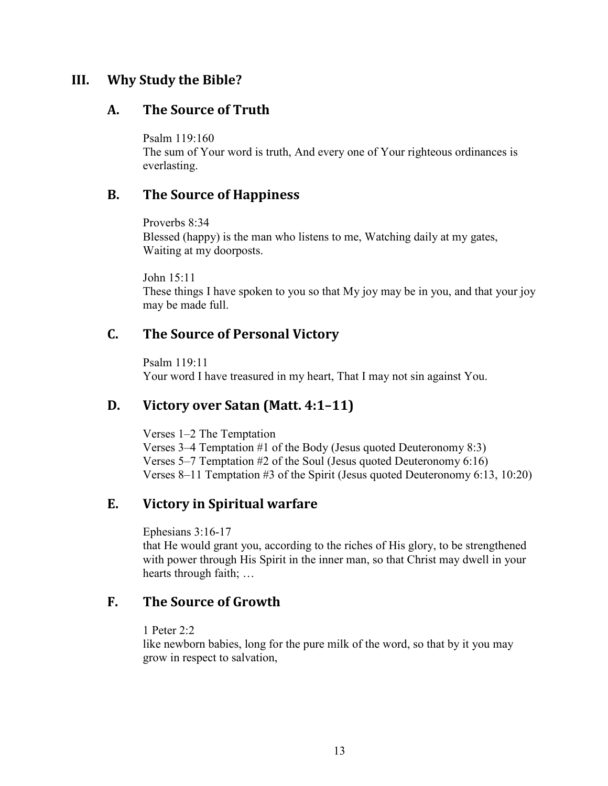## **III. Why Study the Bible?**

## **A. The Source of Truth**

Psalm 119:160 The sum of Your word is truth, And every one of Your righteous ordinances is everlasting.

## **B. The Source of Happiness**

Proverbs 8:34

Blessed (happy) is the man who listens to me, Watching daily at my gates, Waiting at my doorposts.

John 15:11 These things I have spoken to you so that My joy may be in you, and that your joy may be made full.

## **C. The Source of Personal Victory**

Psalm 119:11 Your word I have treasured in my heart, That I may not sin against You.

## **D. Victory over Satan (Matt. 4:1–11)**

Verses 1–2 The Temptation Verses 3–4 Temptation #1 of the Body (Jesus quoted Deuteronomy 8:3) Verses 5–7 Temptation #2 of the Soul (Jesus quoted Deuteronomy 6:16) Verses 8–11 Temptation #3 of the Spirit (Jesus quoted Deuteronomy 6:13, 10:20)

## **E. Victory in Spiritual warfare**

Ephesians 3:16-17

that He would grant you, according to the riches of His glory, to be strengthened with power through His Spirit in the inner man, so that Christ may dwell in your hearts through faith; …

## **F. The Source of Growth**

1 Peter  $2.2$ 

like newborn babies, long for the pure milk of the word, so that by it you may grow in respect to salvation,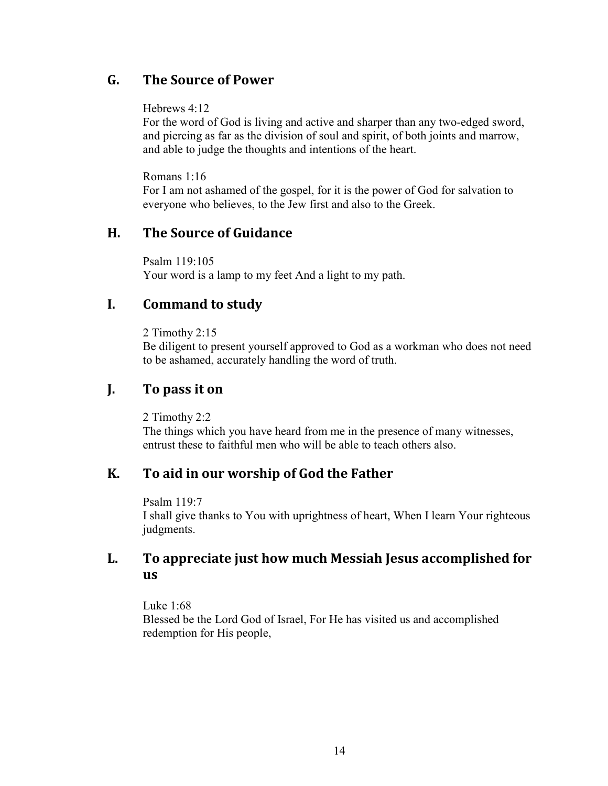## **G. The Source of Power**

## Hebrews 4:12

For the word of God is living and active and sharper than any two-edged sword, and piercing as far as the division of soul and spirit, of both joints and marrow, and able to judge the thoughts and intentions of the heart.

Romans 1:16

For I am not ashamed of the gospel, for it is the power of God for salvation to everyone who believes, to the Jew first and also to the Greek.

## **H. The Source of Guidance**

Psalm 119:105 Your word is a lamp to my feet And a light to my path.

## **I. Command to study**

2 Timothy 2:15

Be diligent to present yourself approved to God as a workman who does not need to be ashamed, accurately handling the word of truth.

## **J. To pass it on**

2 Timothy 2:2

The things which you have heard from me in the presence of many witnesses, entrust these to faithful men who will be able to teach others also.

## **K. To aid in our worship of God the Father**

Psalm 119:7

I shall give thanks to You with uprightness of heart, When I learn Your righteous judgments.

## **L. To appreciate just how much Messiah Jesus accomplished for us**

Luke 1:68 Blessed be the Lord God of Israel, For He has visited us and accomplished redemption for His people,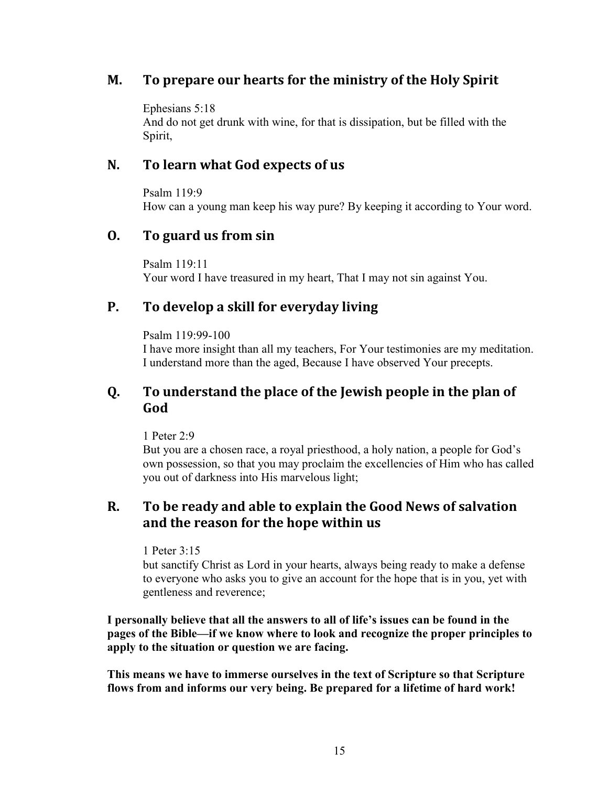## **M. To prepare our hearts for the ministry of the Holy Spirit**

Ephesians 5:18 And do not get drunk with wine, for that is dissipation, but be filled with the Spirit,

## **N. To learn what God expects of us**

Psalm 119:9 How can a young man keep his way pure? By keeping it according to Your word.

## **O. To guard us from sin**

Psalm 119:11 Your word I have treasured in my heart, That I may not sin against You.

## **P. To develop a skill for everyday living**

Psalm 119:99-100

I have more insight than all my teachers, For Your testimonies are my meditation. I understand more than the aged, Because I have observed Your precepts.

## **Q. To understand the place of the Jewish people in the plan of God**

1 Peter 2:9

But you are a chosen race, a royal priesthood, a holy nation, a people for God's own possession, so that you may proclaim the excellencies of Him who has called you out of darkness into His marvelous light;

## **R. To be ready and able to explain the Good News of salvation and the reason for the hope within us**

## 1 Peter 3:15

but sanctify Christ as Lord in your hearts, always being ready to make a defense to everyone who asks you to give an account for the hope that is in you, yet with gentleness and reverence;

**I personally believe that all the answers to all of life's issues can be found in the pages of the Bible—if we know where to look and recognize the proper principles to apply to the situation or question we are facing.** 

**This means we have to immerse ourselves in the text of Scripture so that Scripture flows from and informs our very being. Be prepared for a lifetime of hard work!**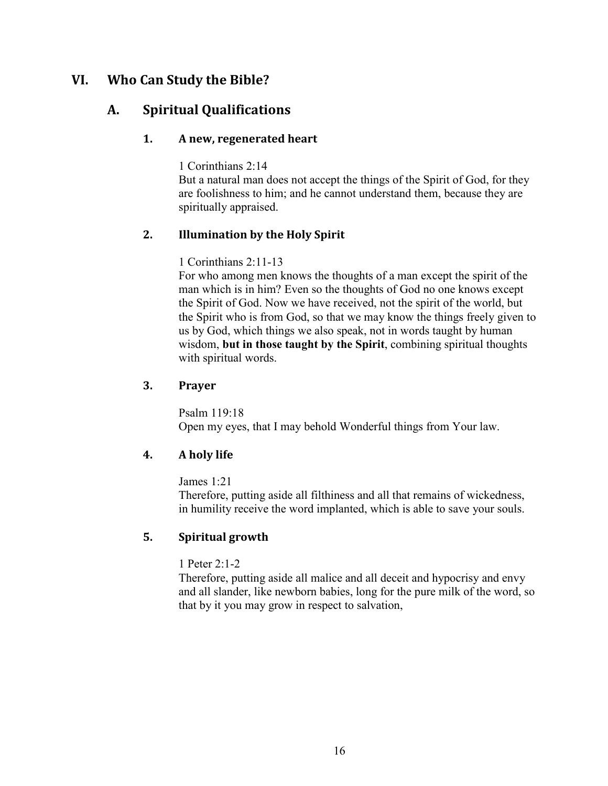## **VI. Who Can Study the Bible?**

## **A. Spiritual Qualifications**

## **1. A new, regenerated heart**

1 Corinthians 2:14

But a natural man does not accept the things of the Spirit of God, for they are foolishness to him; and he cannot understand them, because they are spiritually appraised.

## **2. Illumination by the Holy Spirit**

1 Corinthians 2:11-13

For who among men knows the thoughts of a man except the spirit of the man which is in him? Even so the thoughts of God no one knows except the Spirit of God. Now we have received, not the spirit of the world, but the Spirit who is from God, so that we may know the things freely given to us by God, which things we also speak, not in words taught by human wisdom, **but in those taught by the Spirit**, combining spiritual thoughts with spiritual words.

## **3. Prayer**

Psalm 119:18 Open my eyes, that I may behold Wonderful things from Your law.

## **4. A holy life**

James 1:21

Therefore, putting aside all filthiness and all that remains of wickedness, in humility receive the word implanted, which is able to save your souls.

## **5. Spiritual growth**

1 Peter 2:1-2

Therefore, putting aside all malice and all deceit and hypocrisy and envy and all slander, like newborn babies, long for the pure milk of the word, so that by it you may grow in respect to salvation,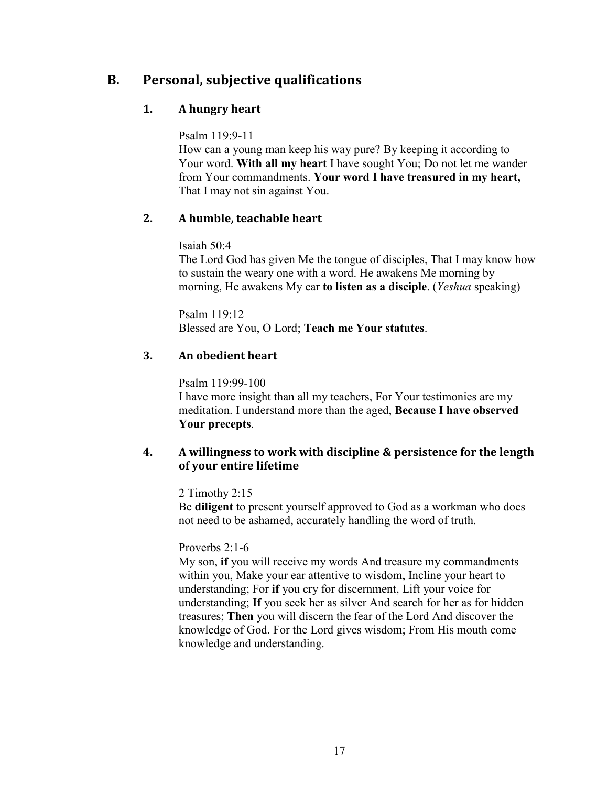## **B. Personal, subjective qualifications**

## **1. A hungry heart**

Psalm 119:9-11

How can a young man keep his way pure? By keeping it according to Your word. **With all my heart** I have sought You; Do not let me wander from Your commandments. **Your word I have treasured in my heart,** That I may not sin against You.

## **2. A humble, teachable heart**

Isaiah 50:4

The Lord God has given Me the tongue of disciples, That I may know how to sustain the weary one with a word. He awakens Me morning by morning, He awakens My ear **to listen as a disciple**. (*Yeshua* speaking)

Psalm 119:12 Blessed are You, O Lord; **Teach me Your statutes**.

## **3. An obedient heart**

Psalm 119:99-100

I have more insight than all my teachers, For Your testimonies are my meditation. I understand more than the aged, **Because I have observed Your precepts**.

## **4. A willingness to work with discipline & persistence for the length of your entire lifetime**

2 Timothy 2:15

Be **diligent** to present yourself approved to God as a workman who does not need to be ashamed, accurately handling the word of truth.

Proverbs 2:1-6

My son, **if** you will receive my words And treasure my commandments within you, Make your ear attentive to wisdom, Incline your heart to understanding; For **if** you cry for discernment, Lift your voice for understanding; **If** you seek her as silver And search for her as for hidden treasures; **Then** you will discern the fear of the Lord And discover the knowledge of God. For the Lord gives wisdom; From His mouth come knowledge and understanding.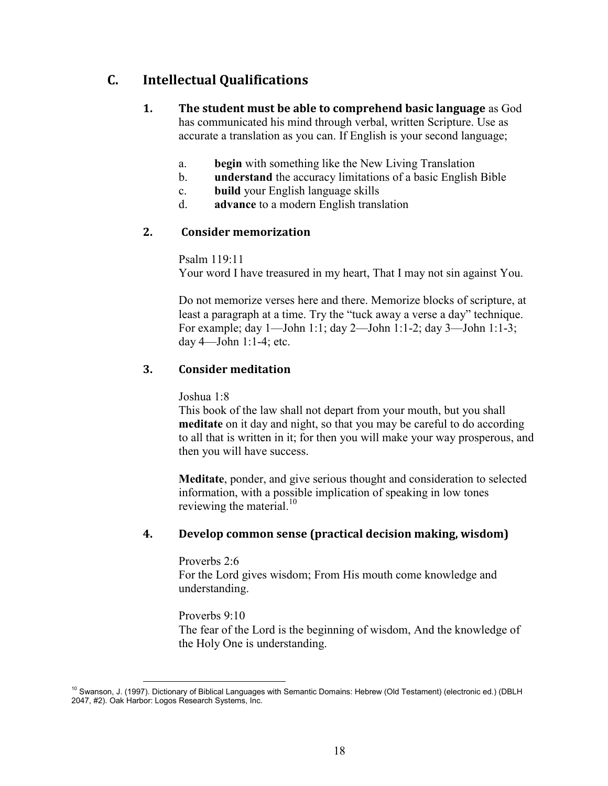## **C. Intellectual Qualifications**

- **1. The student must be able to comprehend basic language** as God has communicated his mind through verbal, written Scripture. Use as accurate a translation as you can. If English is your second language;
	- a. **begin** with something like the New Living Translation
	- b. **understand** the accuracy limitations of a basic English Bible
	- c. **build** your English language skills
	- d. **advance** to a modern English translation

### **2. Consider memorization**

Psalm 119:11

Your word I have treasured in my heart, That I may not sin against You.

Do not memorize verses here and there. Memorize blocks of scripture, at least a paragraph at a time. Try the "tuck away a verse a day" technique. For example; day 1—John 1:1; day 2—John 1:1-2; day 3—John 1:1-3; day 4—John 1:1-4; etc.

### **3. Consider meditation**

Joshua 1:8

This book of the law shall not depart from your mouth, but you shall **meditate** on it day and night, so that you may be careful to do according to all that is written in it; for then you will make your way prosperous, and then you will have success.

**Meditate**, ponder, and give serious thought and consideration to selected information, with a possible implication of speaking in low tones reviewing the material.<sup>10</sup>

### **4. Develop common sense (practical decision making, wisdom)**

Proverbs 2:6 For the Lord gives wisdom; From His mouth come knowledge and understanding.

Proverbs 9:10 The fear of the Lord is the beginning of wisdom, And the knowledge of the Holy One is understanding.

<sup>-</sup><sup>10</sup> Swanson, J. (1997). Dictionary of Biblical Languages with Semantic Domains: Hebrew (Old Testament) (electronic ed.) (DBLH 2047, #2). Oak Harbor: Logos Research Systems, Inc.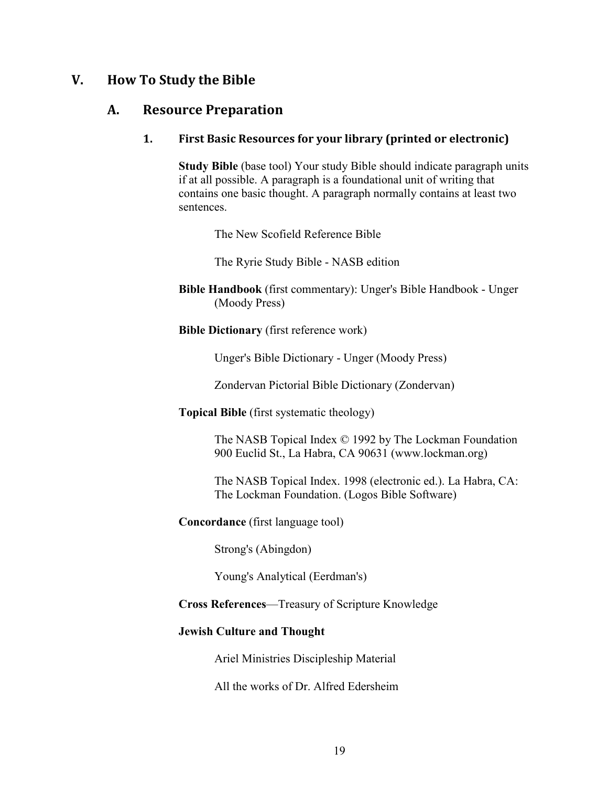## **V. How To Study the Bible**

## **A. Resource Preparation**

## **1. First Basic Resources for your library (printed or electronic)**

**Study Bible** (base tool) Your study Bible should indicate paragraph units if at all possible. A paragraph is a foundational unit of writing that contains one basic thought. A paragraph normally contains at least two sentences.

The New Scofield Reference Bible

The Ryrie Study Bible - NASB edition

- **Bible Handbook** (first commentary): Unger's Bible Handbook Unger (Moody Press)
- **Bible Dictionary** (first reference work)

Unger's Bible Dictionary - Unger (Moody Press)

Zondervan Pictorial Bible Dictionary (Zondervan)

**Topical Bible** (first systematic theology)

The NASB Topical Index © 1992 by The Lockman Foundation 900 Euclid St., La Habra, CA 90631 (www.lockman.org)

The NASB Topical Index. 1998 (electronic ed.). La Habra, CA: The Lockman Foundation. (Logos Bible Software)

**Concordance** (first language tool)

Strong's (Abingdon)

Young's Analytical (Eerdman's)

**Cross References**—Treasury of Scripture Knowledge

### **Jewish Culture and Thought**

Ariel Ministries Discipleship Material

All the works of Dr. Alfred Edersheim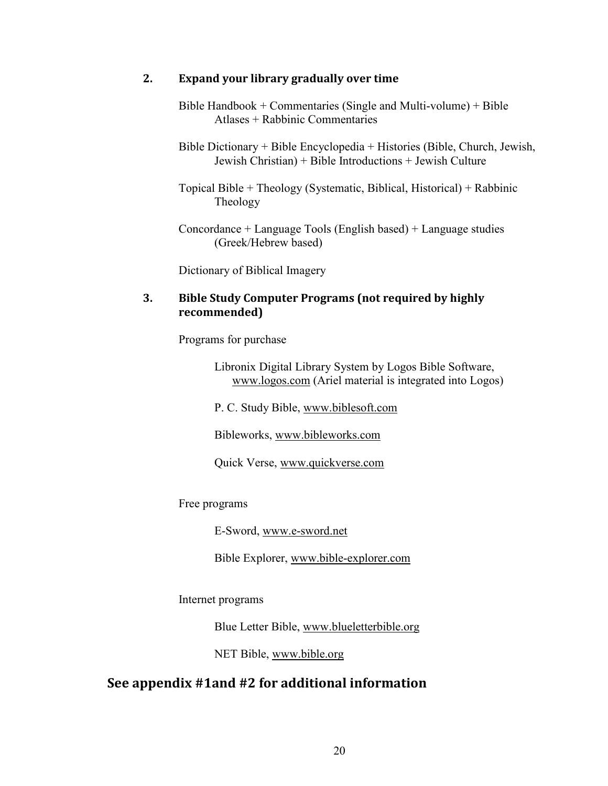#### **2. Expand your library gradually over time**

- Bible Handbook + Commentaries (Single and Multi-volume) + Bible Atlases + Rabbinic Commentaries
- Bible Dictionary + Bible Encyclopedia + Histories (Bible, Church, Jewish, Jewish Christian) + Bible Introductions + Jewish Culture
- Topical Bible + Theology (Systematic, Biblical, Historical) + Rabbinic Theology

Concordance + Language Tools (English based) + Language studies (Greek/Hebrew based)

Dictionary of Biblical Imagery

#### **3. Bible Study Computer Programs (not required by highly recommended)**

Programs for purchase

Libronix Digital Library System by Logos Bible Software, www.logos.com (Ariel material is integrated into Logos)

P. C. Study Bible, www.biblesoft.com

Bibleworks, www.bibleworks.com

Quick Verse, www.quickverse.com

Free programs

E-Sword, www.e-sword.net

Bible Explorer, www.bible-explorer.com

Internet programs

Blue Letter Bible, www.blueletterbible.org

NET Bible, www.bible.org

## **See appendix #1and #2 for additional information**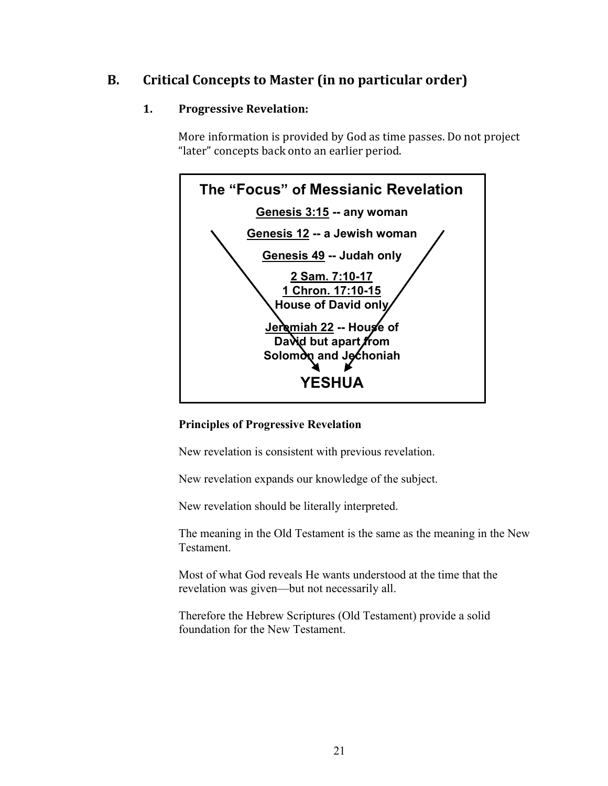## **B. Critical Concepts to Master (in no particular order)**

## **1. Progressive Revelation:**

More information is provided by God as time passes. Do not project "later" concepts back onto an earlier period.



## **Principles of Progressive Revelation**

New revelation is consistent with previous revelation.

New revelation expands our knowledge of the subject.

New revelation should be literally interpreted.

The meaning in the Old Testament is the same as the meaning in the New Testament.

Most of what God reveals He wants understood at the time that the revelation was given—but not necessarily all.

Therefore the Hebrew Scriptures (Old Testament) provide a solid foundation for the New Testament.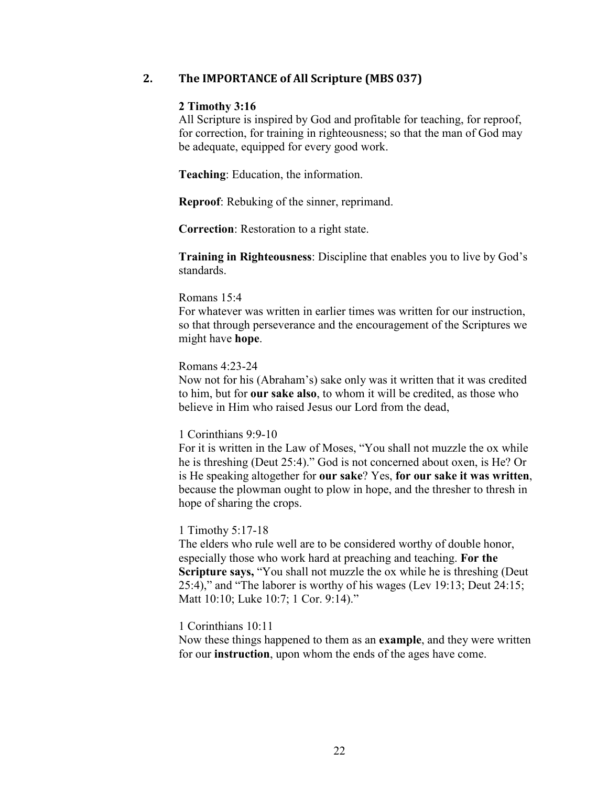#### **2. The IMPORTANCE of All Scripture (MBS 037)**

#### **2 Timothy 3:16**

All Scripture is inspired by God and profitable for teaching, for reproof, for correction, for training in righteousness; so that the man of God may be adequate, equipped for every good work.

**Teaching**: Education, the information.

**Reproof**: Rebuking of the sinner, reprimand.

**Correction**: Restoration to a right state.

**Training in Righteousness**: Discipline that enables you to live by God's standards.

#### Romans 15:4

For whatever was written in earlier times was written for our instruction, so that through perseverance and the encouragement of the Scriptures we might have **hope**.

#### Romans 4:23-24

Now not for his (Abraham's) sake only was it written that it was credited to him, but for **our sake also**, to whom it will be credited, as those who believe in Him who raised Jesus our Lord from the dead,

#### 1 Corinthians 9:9-10

For it is written in the Law of Moses, "You shall not muzzle the ox while he is threshing (Deut 25:4)." God is not concerned about oxen, is He? Or is He speaking altogether for **our sake**? Yes, **for our sake it was written**, because the plowman ought to plow in hope, and the thresher to thresh in hope of sharing the crops.

#### 1 Timothy 5:17-18

The elders who rule well are to be considered worthy of double honor, especially those who work hard at preaching and teaching. **For the Scripture says,** "You shall not muzzle the ox while he is threshing (Deut 25:4)," and "The laborer is worthy of his wages (Lev 19:13; Deut 24:15; Matt 10:10; Luke 10:7; 1 Cor. 9:14)."

#### 1 Corinthians 10:11

Now these things happened to them as an **example**, and they were written for our **instruction**, upon whom the ends of the ages have come.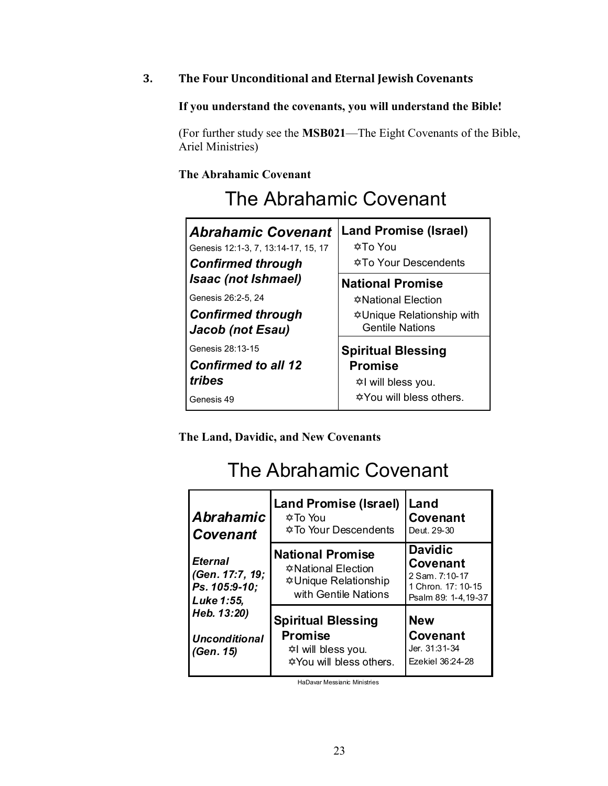## **3. The Four Unconditional and Eternal Jewish Covenants**

## **If you understand the covenants, you will understand the Bible!**

(For further study see the **MSB021**—The Eight Covenants of the Bible, Ariel Ministries)

**The Abrahamic Covenant** 

| <b>Abrahamic Covenant</b><br>Genesis 12:1-3, 7, 13:14-17, 15, 17<br><b>Confirmed through</b> | <b>Land Promise (Israel)</b><br>I ⊄To You<br><b>ΦΣτο Your Descendents</b> |  |
|----------------------------------------------------------------------------------------------|---------------------------------------------------------------------------|--|
| <b>Isaac (not Ishmael)</b>                                                                   | <b>National Promise</b>                                                   |  |
| Genesis 26:2-5, 24                                                                           | IIA Anational Election⊅                                                   |  |
| <b>Confirmed through</b><br>Jacob (not Esau)                                                 | † ∪nique Relationship with<br><b>Gentile Nations</b>                      |  |
| Genesis 28:13-15                                                                             | <b>Spiritual Blessing</b>                                                 |  |
| <b>Confirmed to all 12</b>                                                                   | <b>Promise</b>                                                            |  |
| tribes                                                                                       | ‡ will bless you.                                                         |  |
| Genesis 49                                                                                   | <b>IVA A YOU will bless others.</b>                                       |  |

The Abrahamic Covenant

**The Land, Davidic, and New Covenants** 

## The Abrahamic Covenant

| <b>Abrahamic</b><br><b>Covenant</b>                                                                                  | <b>Land Promise (Israel)</b><br><b>In OX</b> To You<br><b>☆To Your Descendents</b>                          | Land<br><b>Covenant</b><br>Deut. 29-30                                                     |
|----------------------------------------------------------------------------------------------------------------------|-------------------------------------------------------------------------------------------------------------|--------------------------------------------------------------------------------------------|
| <b>Eternal</b><br>(Gen. 17:7, 19;<br>Ps. 105:9-10;<br>Luke 1:55,<br>Heb. 13:20)<br><b>Unconditional</b><br>(Gen. 15) | <b>National Promise</b><br><b>☆National Election</b><br><b>☆Unique Relationship</b><br>with Gentile Nations | <b>Davidic</b><br>Covenant<br>2 Sam. 7:10-17<br>1 Chron. 17: 10-15<br>Psalm 89: 1-4, 19-37 |
|                                                                                                                      | <b>Spiritual Blessing</b><br><b>Promise</b><br>‡at will bless you.<br><b>IVACUA will bless others.</b>      | <b>New</b><br>Covenant<br>Jer. 31:31-34<br>Ezekiel 36:24-28                                |

HaDavar Messianic Ministries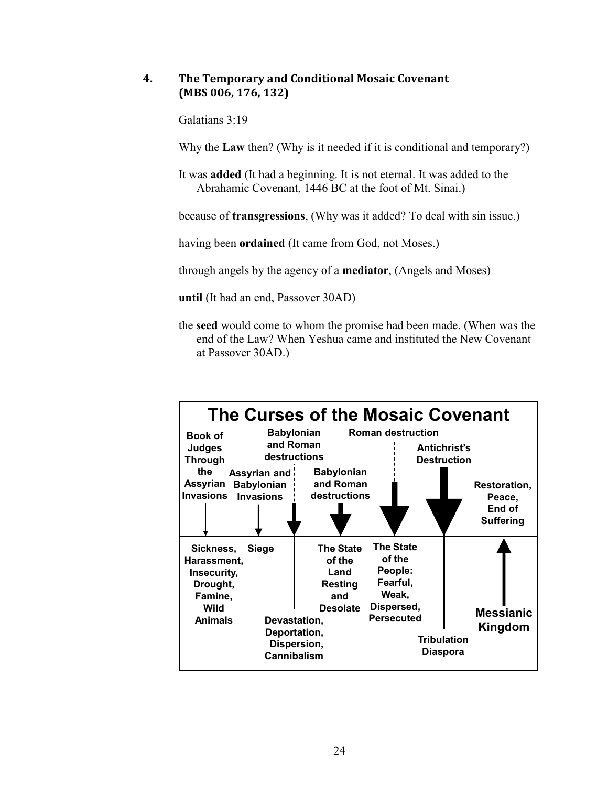## **4. The Temporary and Conditional Mosaic Covenant (MBS 006, 176, 132)**

Galatians 3:19

Why the **Law** then? (Why is it needed if it is conditional and temporary?)

It was **added** (It had a beginning. It is not eternal. It was added to the Abrahamic Covenant, 1446 BC at the foot of Mt. Sinai.)

because of **transgressions**, (Why was it added? To deal with sin issue.)

having been **ordained** (It came from God, not Moses.)

through angels by the agency of a **mediator**, (Angels and Moses)

**until** (It had an end, Passover 30AD)

the **seed** would come to whom the promise had been made. (When was the end of the Law? When Yeshua came and instituted the New Covenant at Passover 30AD.)

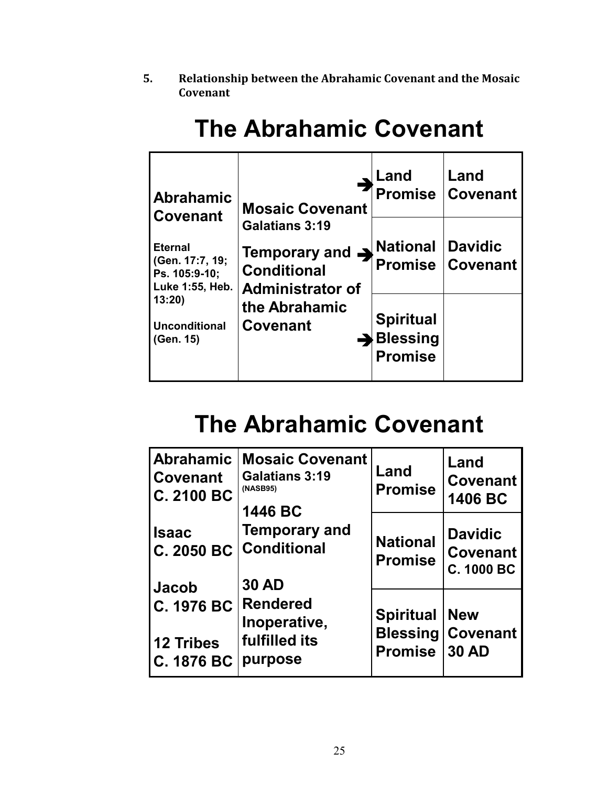**5. Relationship between the Abrahamic Covenant and the Mosaic Covenant** 

| <b>Abrahamic</b><br>Covenant                                          | <b>Mosaic Covenant</b>                                                                            | Land<br><b>Promise</b>                                | Land<br><b>Covenant</b>   |
|-----------------------------------------------------------------------|---------------------------------------------------------------------------------------------------|-------------------------------------------------------|---------------------------|
| <b>Eternal</b><br>(Gen. 17:7, 19;<br>Ps. 105:9-10;<br>Luke 1:55, Heb. | Galatians 3:19<br>Temporary and National Davidic<br><b>Conditional</b><br><b>Administrator of</b> |                                                       | <b>Promise   Covenant</b> |
| 13:20<br><b>Unconditional</b><br>(Gen. 15)                            | the Abrahamic<br>Covenant                                                                         | <b>Spiritual</b><br><b>Blessing</b><br><b>Promise</b> |                           |

## **The Abrahamic Covenant**

## **The Abrahamic Covenant**

| <b>Abrahamic</b><br>Covenant<br><b>C. 2100 BC</b>            | <b>Mosaic Covenant</b><br>Galatians 3:19<br>(NASB95)<br>1446 BC | Land<br><b>Promise</b>             | Land<br><b>Covenant</b><br>1406 BC                     |
|--------------------------------------------------------------|-----------------------------------------------------------------|------------------------------------|--------------------------------------------------------|
| <b>Isaac</b><br>C. 2050 BC                                   | <b>Temporary and</b><br><b>Conditional</b><br><b>30 AD</b>      | <b>National</b><br><b>Promise</b>  | <b>Davidic</b><br><b>Covenant</b><br>C. 1000 BC        |
| <b>Jacob</b><br>C. 1976 BC<br><b>12 Tribes</b><br>C. 1876 BC | <b>Rendered</b><br>Inoperative,<br>fulfilled its<br>purpose     | <b>Spiritual</b><br><b>Promise</b> | <b>New</b><br><b>Blessing Covenant</b><br><b>30 AD</b> |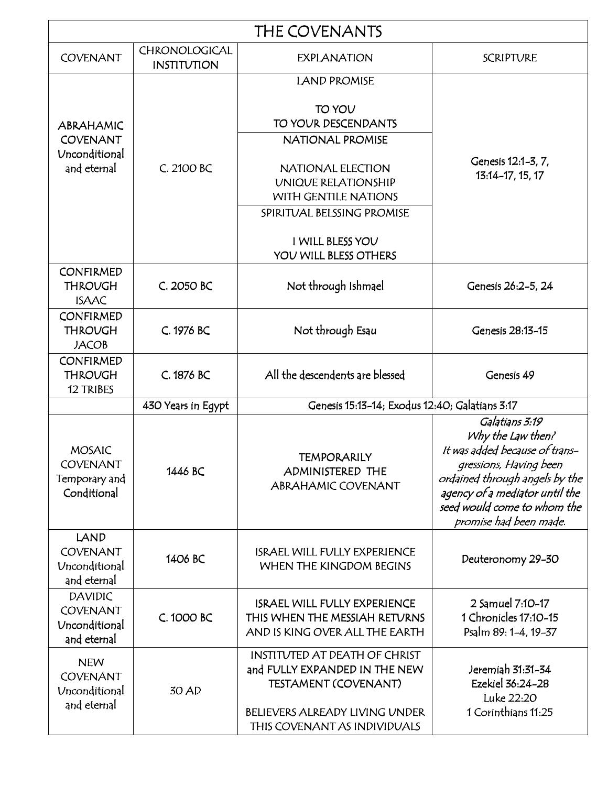| THE COVENANTS                                                    |                                            |                                                                                                                                                                                                                                              |                                                                                                                                                                                                                              |
|------------------------------------------------------------------|--------------------------------------------|----------------------------------------------------------------------------------------------------------------------------------------------------------------------------------------------------------------------------------------------|------------------------------------------------------------------------------------------------------------------------------------------------------------------------------------------------------------------------------|
| COVENANT                                                         | <b>CHRONOLOGICAL</b><br><b>INSTITUTION</b> | <b>EXPLANATION</b>                                                                                                                                                                                                                           | <b>SCRIPTURE</b>                                                                                                                                                                                                             |
| <b>ABRAHAMIC</b><br>COVENANT<br>Unconditional<br>and eternal     | C. 2100 BC                                 | <b>LAND PROMISE</b><br>TO YOU<br>TO YOUR DESCENDANTS<br>NATIONAL PROMISE<br><b>NATIONAL ELECTION</b><br><b>UNIQUE RELATIONSHIP</b><br><b>WITH GENTILE NATIONS</b><br>SPIRITUAL BELSSING PROMISE<br>I WILL BLESS YOU<br>YOU WILL BLESS OTHERS | Genesis 12:1-3, 7,<br>13:14-17, 15, 17                                                                                                                                                                                       |
| <b>CONFIRMED</b><br><b>THROVGH</b><br><b>ISAAC</b>               | C. 2050 BC                                 | Not through Ishmael                                                                                                                                                                                                                          | Genesis 26:2-5, 24                                                                                                                                                                                                           |
| <b>CONFIRMED</b><br><b>THROVGH</b><br><b>JACOB</b>               | C. 1976 BC                                 | Not through Esau                                                                                                                                                                                                                             | Genesis 28:13-15                                                                                                                                                                                                             |
| <b>CONFIRMED</b><br><b>THROVGH</b><br>12 TRIBES                  | C. 1876 BC                                 | All the descendents are blessed                                                                                                                                                                                                              | Genesis 49                                                                                                                                                                                                                   |
|                                                                  | 430 Years in Egypt                         | Genesis 15:13-14; Exodus 12:40; Galatians 3:17                                                                                                                                                                                               |                                                                                                                                                                                                                              |
| <b>MOSAIC</b><br><b>COVENANT</b><br>Temporary and<br>Conditional | 1446 BC                                    | <b>TEMPORARILY</b><br><b>ADMINISTERED THE</b><br><b>ABRAHAMIC COVENANT</b>                                                                                                                                                                   | Galatians 3:19<br>Why the Law then?<br>It was added because of trans-<br>gressions, Having been<br>ordained through angels by the<br>agency of a mediator until the<br>seed would come to whom the<br>promise had been made. |
| LAND<br><b>COVENANT</b><br>Unconditional<br>and eternal          | 1406 BC                                    | <b>ISRAEL WILL FULLY EXPERIENCE</b><br>WHEN THE KINGDOM BEGINS                                                                                                                                                                               | Deuteronomy 29-30                                                                                                                                                                                                            |
| <b>DAVIDIC</b><br>COVENANT<br>Unconditional<br>and eternal       | C. 1000 BC                                 | <b>ISRAEL WILL FULLY EXPERIENCE</b><br>THIS WHEN THE MESSIAH RETURNS<br>AND IS KING OVER ALL THE EARTH                                                                                                                                       | 2 Samuel 7:10-17<br>1 Chronicles 17:10-15<br>Psalm 89: 1-4, 19-37                                                                                                                                                            |
| <b>NEW</b><br>COVENANT<br>Unconditional<br>and eternal           | 30 AD                                      | INSTITUTED AT DEATH OF CHRIST<br>and FULLY EXPANDED IN THE NEW<br>TESTAMENT (COVENANT)<br>BELIEVERS ALREADY LIVING UNDER<br>THIS COVENANT AS INDIVIDUALS                                                                                     | Jeremiah 31:31-34<br>Ezekiel 36:24-28<br>Luke 22:20<br>1 Corinthians 11:25                                                                                                                                                   |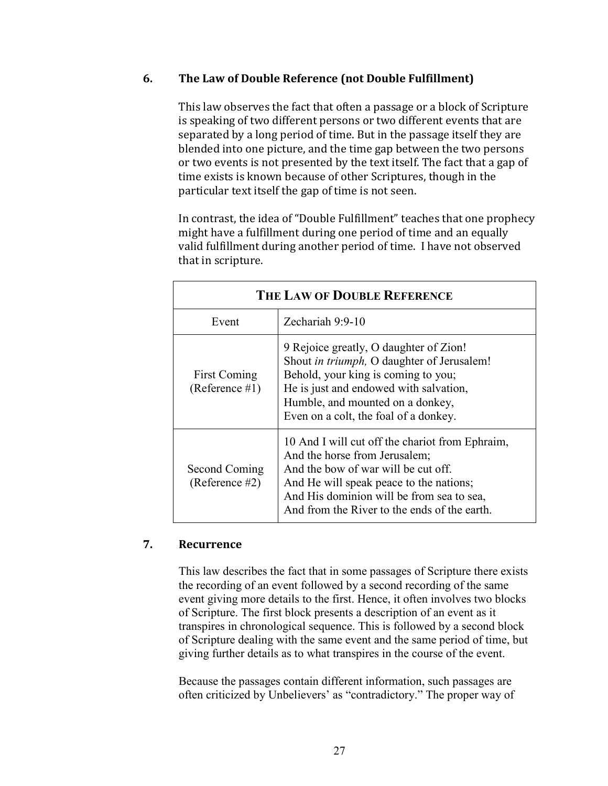## **6. The Law of Double Reference (not Double Fulfillment)**

This law observes the fact that often a passage or a block of Scripture is speaking of two different persons or two different events that are separated by a long period of time. But in the passage itself they are blended into one picture, and the time gap between the two persons or two events is not presented by the text itself. The fact that a gap of time exists is known because of other Scriptures, though in the particular text itself the gap of time is not seen.

In contrast, the idea of "Double Fulfillment" teaches that one prophecy might have a fulfillment during one period of time and an equally valid fulfillment during another period of time. I have not observed that in scripture.

| THE LAW OF DOUBLE REFERENCE                                                                                                                                                                                                                                                                        |                    |  |
|----------------------------------------------------------------------------------------------------------------------------------------------------------------------------------------------------------------------------------------------------------------------------------------------------|--------------------|--|
| Event                                                                                                                                                                                                                                                                                              | Zechariah $9:9-10$ |  |
| 9 Rejoice greatly, O daughter of Zion!<br>Shout in triumph, O daughter of Jerusalem!<br>Behold, your king is coming to you;<br>First Coming<br>(Reference $#1$ )<br>He is just and endowed with salvation,<br>Humble, and mounted on a donkey,<br>Even on a colt, the foal of a donkey.            |                    |  |
| 10 And I will cut off the chariot from Ephraim,<br>And the horse from Jerusalem;<br>And the bow of war will be cut off.<br>Second Coming<br>(Reference #2)<br>And He will speak peace to the nations;<br>And His dominion will be from sea to sea,<br>And from the River to the ends of the earth. |                    |  |

### **7. Recurrence**

This law describes the fact that in some passages of Scripture there exists the recording of an event followed by a second recording of the same event giving more details to the first. Hence, it often involves two blocks of Scripture. The first block presents a description of an event as it transpires in chronological sequence. This is followed by a second block of Scripture dealing with the same event and the same period of time, but giving further details as to what transpires in the course of the event.

Because the passages contain different information, such passages are often criticized by Unbelievers' as "contradictory." The proper way of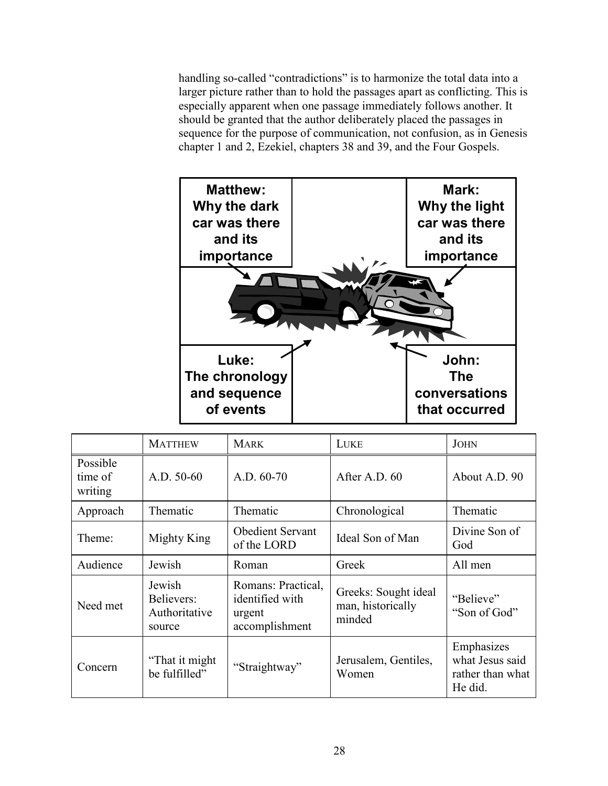handling so-called "contradictions" is to harmonize the total data into a larger picture rather than to hold the passages apart as conflicting. This is especially apparent when one passage immediately follows another. It should be granted that the author deliberately placed the passages in sequence for the purpose of communication, not confusion, as in Genesis chapter 1 and 2, Ezekiel, chapters 38 and 39, and the Four Gospels.

| <b>Matthew:</b><br>Why the dark<br>car was there<br>and its<br>importance |  | Mark:<br>Why the light<br>car was there<br>and its<br>importance |
|---------------------------------------------------------------------------|--|------------------------------------------------------------------|
|                                                                           |  |                                                                  |
| Luke:<br>The chronology<br>and sequence<br>of events                      |  | John:<br><b>The</b><br>conversations<br>that occurred            |

|                                | <b>MATTHEW</b>                                  | <b>MARK</b>                                                       | LUKE                                                | <b>JOHN</b>                                                  |
|--------------------------------|-------------------------------------------------|-------------------------------------------------------------------|-----------------------------------------------------|--------------------------------------------------------------|
| Possible<br>time of<br>writing | A.D. 50-60                                      | A.D. 60-70                                                        | After A.D. 60                                       | About A.D. 90                                                |
| Approach                       | Thematic                                        | Thematic                                                          | Chronological                                       | Thematic                                                     |
| Theme:                         | Mighty King                                     | <b>Obedient Servant</b><br>of the LORD                            | Ideal Son of Man                                    | Divine Son of<br>God                                         |
| Audience                       | Jewish                                          | Roman                                                             | Greek                                               | All men                                                      |
| Need met                       | Jewish<br>Believers:<br>Authoritative<br>source | Romans: Practical,<br>identified with<br>urgent<br>accomplishment | Greeks: Sought ideal<br>man, historically<br>minded | "Believe"<br>"Son of God"                                    |
| Concern                        | "That it might"<br>be fulfilled"                | "Straightway"                                                     | Jerusalem, Gentiles,<br>Women                       | Emphasizes<br>what Jesus said<br>rather than what<br>He did. |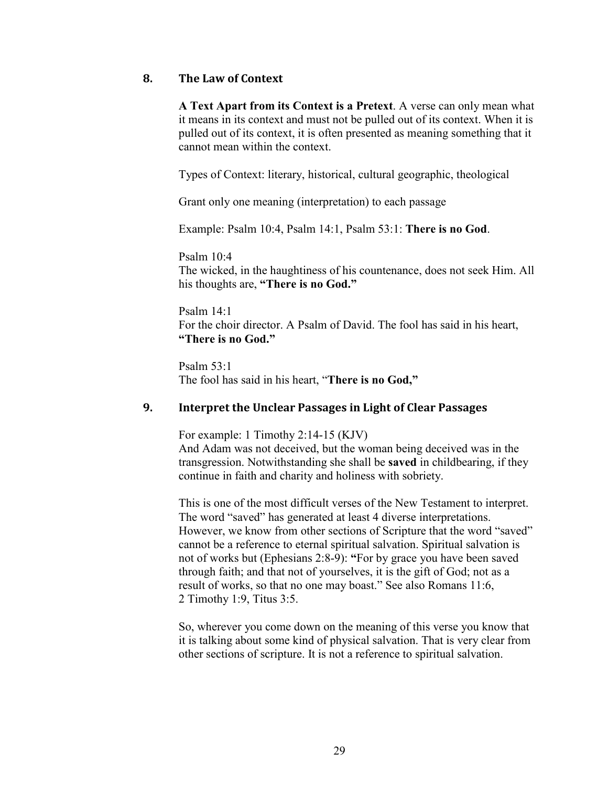#### **8. The Law of Context**

**A Text Apart from its Context is a Pretext**. A verse can only mean what it means in its context and must not be pulled out of its context. When it is pulled out of its context, it is often presented as meaning something that it cannot mean within the context.

Types of Context: literary, historical, cultural geographic, theological

Grant only one meaning (interpretation) to each passage

Example: Psalm 10:4, Psalm 14:1, Psalm 53:1: **There is no God**.

Psalm 10:4 The wicked, in the haughtiness of his countenance, does not seek Him. All his thoughts are, **"There is no God."**

Psalm 14:1 For the choir director. A Psalm of David. The fool has said in his heart, **"There is no God."**

Psalm 53:1 The fool has said in his heart, "**There is no God,"**

#### **9. Interpret the Unclear Passages in Light of Clear Passages**

For example: 1 Timothy 2:14-15 (KJV)

And Adam was not deceived, but the woman being deceived was in the transgression. Notwithstanding she shall be **saved** in childbearing, if they continue in faith and charity and holiness with sobriety.

This is one of the most difficult verses of the New Testament to interpret. The word "saved" has generated at least 4 diverse interpretations. However, we know from other sections of Scripture that the word "saved" cannot be a reference to eternal spiritual salvation. Spiritual salvation is not of works but (Ephesians 2:8-9): **"**For by grace you have been saved through faith; and that not of yourselves, it is the gift of God; not as a result of works, so that no one may boast." See also Romans 11:6, 2 Timothy 1:9, Titus 3:5.

So, wherever you come down on the meaning of this verse you know that it is talking about some kind of physical salvation. That is very clear from other sections of scripture. It is not a reference to spiritual salvation.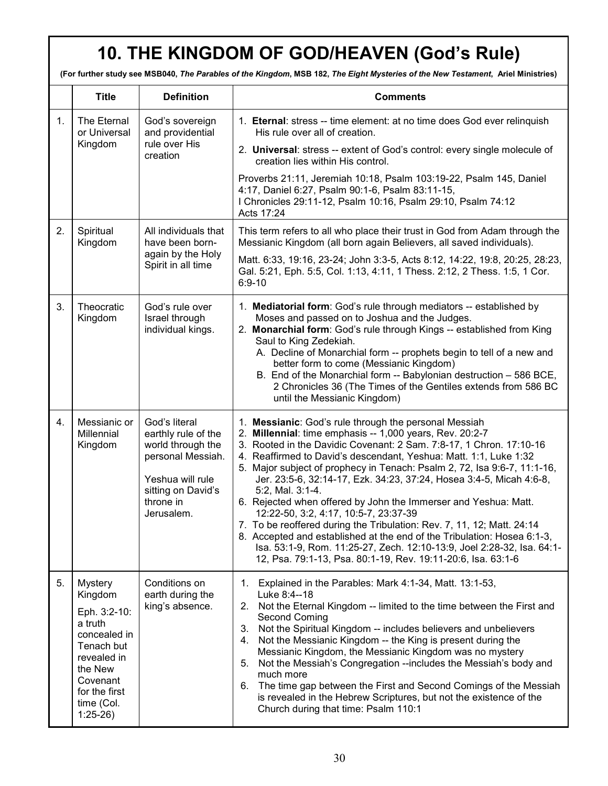## **10. THE KINGDOM OF GOD/HEAVEN (God's Rule)**

**(For further study see MSB040,** *The Parables of the Kingdom***, MSB 182,** *The Eight Mysteries of the New Testament***, Ariel Ministries)**

|    | <b>Title</b>                                                                                                                                                  | <b>Definition</b>                                                                                                                                   | <b>Comments</b>                                                                                                                                                                                                                                                                                                                                                                                                                                                                                                                                                                                                                                                                                                                                                                                                                                 |
|----|---------------------------------------------------------------------------------------------------------------------------------------------------------------|-----------------------------------------------------------------------------------------------------------------------------------------------------|-------------------------------------------------------------------------------------------------------------------------------------------------------------------------------------------------------------------------------------------------------------------------------------------------------------------------------------------------------------------------------------------------------------------------------------------------------------------------------------------------------------------------------------------------------------------------------------------------------------------------------------------------------------------------------------------------------------------------------------------------------------------------------------------------------------------------------------------------|
| 1. | The Eternal<br>or Universal<br>Kingdom                                                                                                                        | God's sovereign<br>and providential<br>rule over His<br>creation                                                                                    | 1. Eternal: stress -- time element: at no time does God ever relinquish<br>His rule over all of creation.<br>2. Universal: stress -- extent of God's control: every single molecule of                                                                                                                                                                                                                                                                                                                                                                                                                                                                                                                                                                                                                                                          |
|    |                                                                                                                                                               |                                                                                                                                                     | creation lies within His control.<br>Proverbs 21:11, Jeremiah 10:18, Psalm 103:19-22, Psalm 145, Daniel<br>4:17, Daniel 6:27, Psalm 90:1-6, Psalm 83:11-15,<br>I Chronicles 29:11-12, Psalm 10:16, Psalm 29:10, Psalm 74:12<br>Acts 17:24                                                                                                                                                                                                                                                                                                                                                                                                                                                                                                                                                                                                       |
| 2. | Spiritual<br>Kingdom                                                                                                                                          | All individuals that<br>have been born-<br>again by the Holy<br>Spirit in all time                                                                  | This term refers to all who place their trust in God from Adam through the<br>Messianic Kingdom (all born again Believers, all saved individuals).<br>Matt. 6:33, 19:16, 23-24; John 3:3-5, Acts 8:12, 14:22, 19:8, 20:25, 28:23,<br>Gal. 5:21, Eph. 5:5, Col. 1:13, 4:11, 1 Thess. 2:12, 2 Thess. 1:5, 1 Cor.<br>$6:9 - 10$                                                                                                                                                                                                                                                                                                                                                                                                                                                                                                                    |
| 3. | Theocratic<br>Kingdom                                                                                                                                         | God's rule over<br>Israel through<br>individual kings.                                                                                              | 1. Mediatorial form: God's rule through mediators -- established by<br>Moses and passed on to Joshua and the Judges.<br>2. Monarchial form: God's rule through Kings -- established from King<br>Saul to King Zedekiah.<br>A. Decline of Monarchial form -- prophets begin to tell of a new and<br>better form to come (Messianic Kingdom)<br>B. End of the Monarchial form -- Babylonian destruction - 586 BCE,<br>2 Chronicles 36 (The Times of the Gentiles extends from 586 BC<br>until the Messianic Kingdom)                                                                                                                                                                                                                                                                                                                              |
| 4. | Messianic or<br>Millennial<br>Kingdom                                                                                                                         | God's literal<br>earthly rule of the<br>world through the<br>personal Messiah.<br>Yeshua will rule<br>sitting on David's<br>throne in<br>Jerusalem. | 1. Messianic: God's rule through the personal Messiah<br>2. Millennial: time emphasis -- 1,000 years, Rev. 20:2-7<br>3. Rooted in the Davidic Covenant: 2 Sam. 7:8-17, 1 Chron. 17:10-16<br>4. Reaffirmed to David's descendant, Yeshua: Matt. 1:1, Luke 1:32<br>5. Major subject of prophecy in Tenach: Psalm 2, 72, Isa 9:6-7, 11:1-16,<br>Jer. 23:5-6, 32:14-17, Ezk. 34:23, 37:24, Hosea 3:4-5, Micah 4:6-8,<br>5:2, Mal. 3:1-4.<br>6. Rejected when offered by John the Immerser and Yeshua: Matt.<br>12:22-50, 3:2, 4:17, 10:5-7, 23:37-39<br>7. To be reoffered during the Tribulation: Rev. 7, 11, 12; Matt. 24:14<br>8. Accepted and established at the end of the Tribulation: Hosea 6:1-3,<br>Isa. 53:1-9, Rom. 11:25-27, Zech. 12:10-13:9, Joel 2:28-32, Isa. 64:1-<br>12, Psa. 79:1-13, Psa. 80:1-19, Rev. 19:11-20:6, Isa. 63:1-6 |
| 5. | Mystery<br>Kingdom<br>Eph. 3:2-10:<br>a truth<br>concealed in<br>Tenach but<br>revealed in<br>the New<br>Covenant<br>for the first<br>time (Col.<br>$1:25-26$ | Conditions on<br>earth during the<br>king's absence.                                                                                                | Explained in the Parables: Mark 4:1-34, Matt. 13:1-53,<br>1.<br>Luke 8:4--18<br>2. Not the Eternal Kingdom -- limited to the time between the First and<br>Second Coming<br>Not the Spiritual Kingdom -- includes believers and unbelievers<br>3.<br>Not the Messianic Kingdom -- the King is present during the<br>4.<br>Messianic Kingdom, the Messianic Kingdom was no mystery<br>Not the Messiah's Congregation --includes the Messiah's body and<br>5.<br>much more<br>The time gap between the First and Second Comings of the Messiah<br>6.<br>is revealed in the Hebrew Scriptures, but not the existence of the<br>Church during that time: Psalm 110:1                                                                                                                                                                                |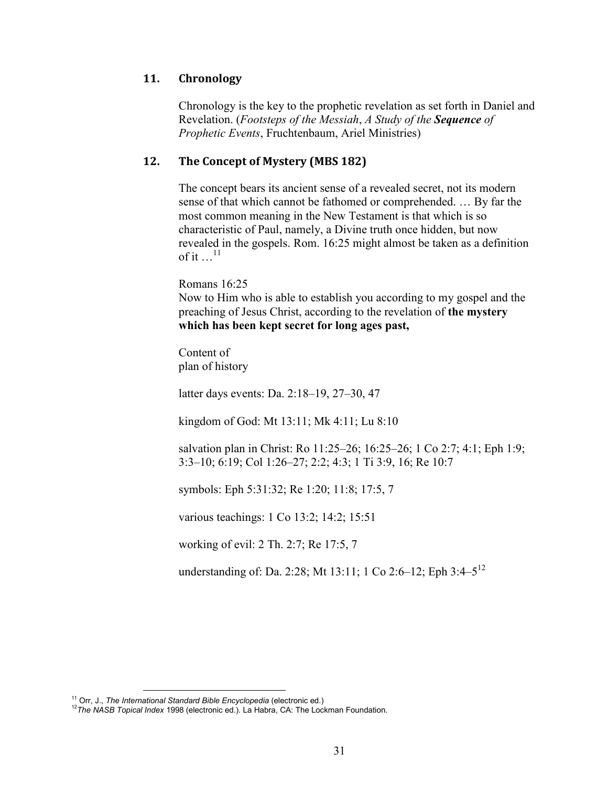#### **11. Chronology**

Chronology is the key to the prophetic revelation as set forth in Daniel and Revelation. (*Footsteps of the Messiah*, *A Study of the Sequence of Prophetic Events*, Fruchtenbaum, Ariel Ministries)

#### **12. The Concept of Mystery (MBS 182)**

The concept bears its ancient sense of a revealed secret, not its modern sense of that which cannot be fathomed or comprehended. … By far the most common meaning in the New Testament is that which is so characteristic of Paul, namely, a Divine truth once hidden, but now revealed in the gospels. Rom. 16:25 might almost be taken as a definition of it  $\ldots$ <sup>11</sup>

Romans 16:25 Now to Him who is able to establish you according to my gospel and the preaching of Jesus Christ, according to the revelation of **the mystery which has been kept secret for long ages past,**

Content of plan of history

latter days events: Da. 2:18–19, 27–30, 47

kingdom of God: Mt 13:11; Mk 4:11; Lu 8:10

salvation plan in Christ: Ro 11:25–26; 16:25–26; 1 Co 2:7; 4:1; Eph 1:9; 3:3–10; 6:19; Col 1:26–27; 2:2; 4:3; 1 Ti 3:9, 16; Re 10:7

symbols: Eph 5:31:32; Re 1:20; 11:8; 17:5, 7

various teachings: 1 Co 13:2; 14:2; 15:51

working of evil: 2 Th. 2:7; Re 17:5, 7

understanding of: Da. 2:28; Mt 13:11; 1 Co 2:6-12; Eph 3:4-5<sup>12</sup>

<u>.</u>

<sup>11</sup> Orr, J., *The International Standard Bible Encyclopedia* (electronic ed.)

<sup>12</sup>*The NASB Topical Index* 1998 (electronic ed.). La Habra, CA: The Lockman Foundation.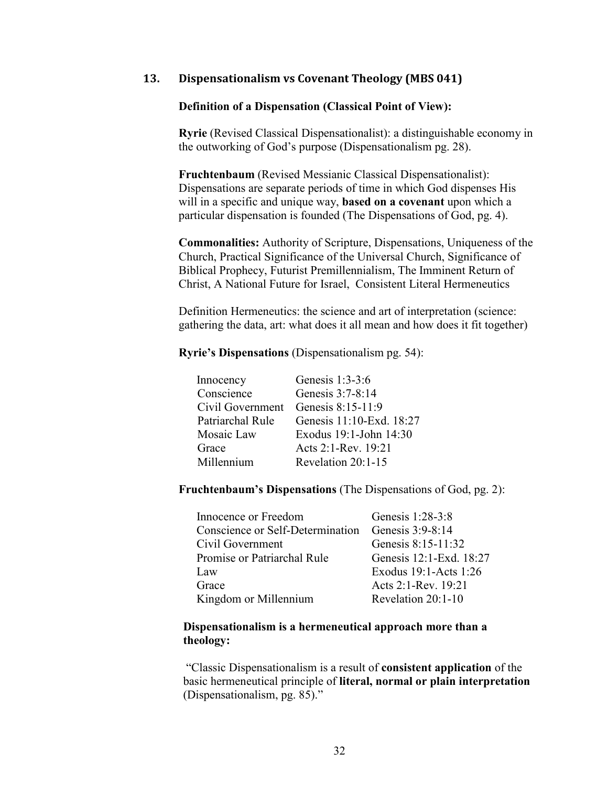#### **13. Dispensationalism vs Covenant Theology (MBS 041)**

#### **Definition of a Dispensation (Classical Point of View):**

**Ryrie** (Revised Classical Dispensationalist): a distinguishable economy in the outworking of God's purpose (Dispensationalism pg. 28).

**Fruchtenbaum** (Revised Messianic Classical Dispensationalist): Dispensations are separate periods of time in which God dispenses His will in a specific and unique way, **based on a covenant** upon which a particular dispensation is founded (The Dispensations of God, pg. 4).

**Commonalities:** Authority of Scripture, Dispensations, Uniqueness of the Church, Practical Significance of the Universal Church, Significance of Biblical Prophecy, Futurist Premillennialism, The Imminent Return of Christ, A National Future for Israel, Consistent Literal Hermeneutics

Definition Hermeneutics: the science and art of interpretation (science: gathering the data, art: what does it all mean and how does it fit together)

**Ryrie's Dispensations** (Dispensationalism pg. 54):

| Genesis 1:3-3:6          |
|--------------------------|
| Genesis 3:7-8:14         |
| Genesis 8:15-11:9        |
| Genesis 11:10-Exd. 18:27 |
| Exodus 19:1-John 14:30   |
| Acts 2:1-Rev. 19:21      |
| Revelation 20:1-15       |
|                          |

**Fruchtenbaum's Dispensations** (The Dispensations of God, pg. 2):

| Innocence or Freedom                              | Genesis 1:28-3:8        |
|---------------------------------------------------|-------------------------|
| Conscience or Self-Determination Genesis 3:9-8:14 |                         |
| Civil Government                                  | Genesis 8:15-11:32      |
| Promise or Patriarchal Rule                       | Genesis 12:1-Exd. 18:27 |
| Law                                               | Exodus 19:1-Acts 1:26   |
| Grace                                             | Acts 2:1-Rev. 19:21     |
| Kingdom or Millennium                             | Revelation 20:1-10      |

#### **Dispensationalism is a hermeneutical approach more than a theology:**

 "Classic Dispensationalism is a result of **consistent application** of the basic hermeneutical principle of **literal, normal or plain interpretation** (Dispensationalism, pg. 85)."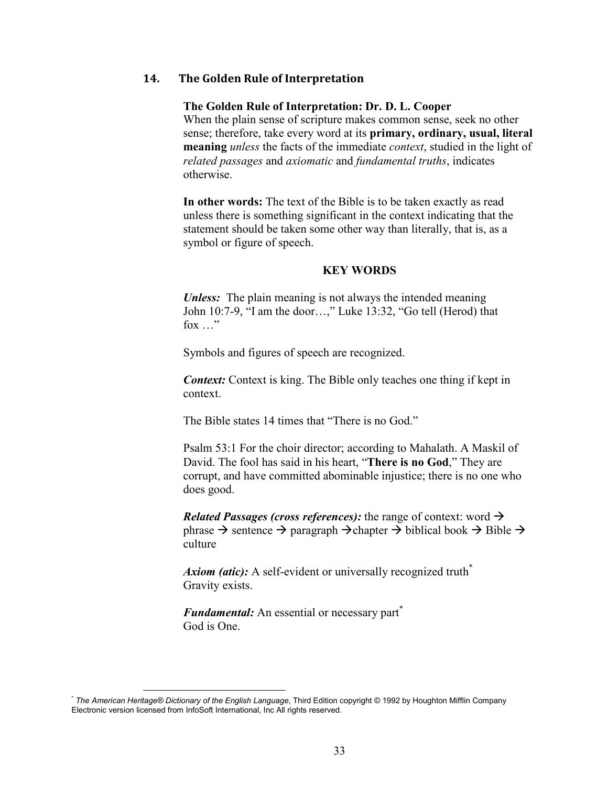#### **14. The Golden Rule of Interpretation**

#### **The Golden Rule of Interpretation: Dr. D. L. Cooper**

When the plain sense of scripture makes common sense, seek no other sense; therefore, take every word at its **primary, ordinary, usual, literal meaning** *unless* the facts of the immediate *context*, studied in the light of *related passages* and *axiomatic* and *fundamental truths*, indicates otherwise.

**In other words:** The text of the Bible is to be taken exactly as read unless there is something significant in the context indicating that the statement should be taken some other way than literally, that is, as a symbol or figure of speech.

#### **KEY WORDS**

*Unless:* The plain meaning is not always the intended meaning John 10:7-9, "I am the door…," Luke 13:32, "Go tell (Herod) that fox  $"$ 

Symbols and figures of speech are recognized.

*Context:* Context is king. The Bible only teaches one thing if kept in context.

The Bible states 14 times that "There is no God."

Psalm 53:1 For the choir director; according to Mahalath. A Maskil of David. The fool has said in his heart, "**There is no God**," They are corrupt, and have committed abominable injustice; there is no one who does good.

*Related Passages (cross references):* the range of context: word  $\rightarrow$ phrase  $\rightarrow$  sentence  $\rightarrow$  paragraph  $\rightarrow$  chapter  $\rightarrow$  biblical book  $\rightarrow$  Bible  $\rightarrow$ culture

*Axiom (atic)*: A self-evident or universally recognized truth<sup>\*</sup> Gravity exists.

*Fundamental:* An essential or necessary part<sup>\*</sup> God is One.

<u>.</u>

<sup>\*</sup> *The American Heritage® Dictionary of the English Language*, Third Edition copyright © 1992 by Houghton Mifflin Company Electronic version licensed from InfoSoft International, Inc All rights reserved.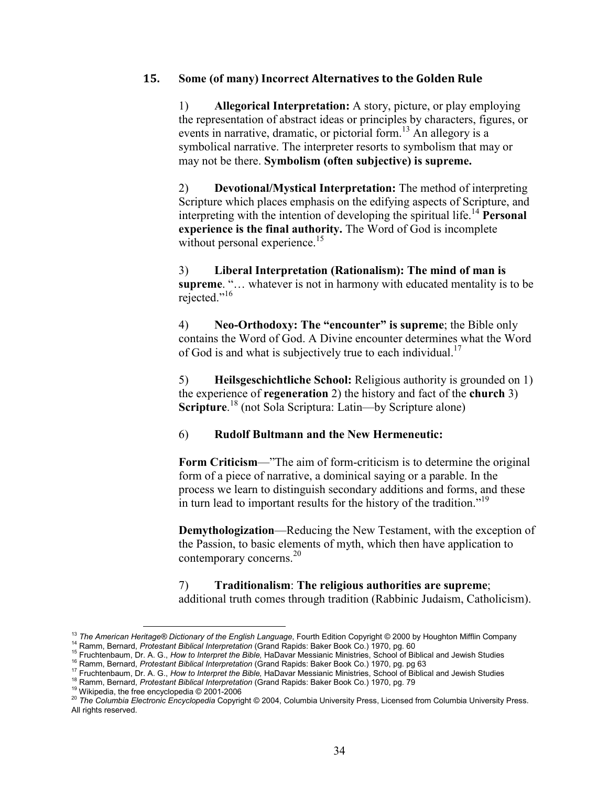#### **15. Some (of many) Incorrect Alternatives to the Golden Rule**

1) **Allegorical Interpretation:** A story, picture, or play employing the representation of abstract ideas or principles by characters, figures, or events in narrative, dramatic, or pictorial form.<sup>13</sup> An allegory is a symbolical narrative. The interpreter resorts to symbolism that may or may not be there. **Symbolism (often subjective) is supreme.** 

2) **Devotional/Mystical Interpretation:** The method of interpreting Scripture which places emphasis on the edifying aspects of Scripture, and interpreting with the intention of developing the spiritual life.<sup>14</sup> **Personal experience is the final authority.** The Word of God is incomplete without personal experience.<sup>15</sup>

3) **Liberal Interpretation (Rationalism): The mind of man is supreme**. "… whatever is not in harmony with educated mentality is to be rejected."<sup>16</sup>

4) **!eo-Orthodoxy: The "encounter" is supreme**; the Bible only contains the Word of God. A Divine encounter determines what the Word of God is and what is subjectively true to each individual.<sup>17</sup>

5) **Heilsgeschichtliche School:** Religious authority is grounded on 1) the experience of **regeneration** 2) the history and fact of the **church** 3) **Scripture**. <sup>18</sup> (not Sola Scriptura: Latin—by Scripture alone)

#### 6) **Rudolf Bultmann and the New Hermeneutic:**

**Form Criticism**—"The aim of form-criticism is to determine the original form of a piece of narrative, a dominical saying or a parable. In the process we learn to distinguish secondary additions and forms, and these in turn lead to important results for the history of the tradition."<sup>19</sup>

**Demythologization**—Reducing the New Testament, with the exception of the Passion, to basic elements of myth, which then have application to contemporary concerns.<sup>20</sup>

7) **Traditionalism**: **The religious authorities are supreme**; additional truth comes through tradition (Rabbinic Judaism, Catholicism).

<sup>&</sup>lt;u>.</u> <sup>13</sup> *The American Heritage® Dictionary of the English Language*, Fourth Edition Copyright © 2000 by Houghton Mifflin Company

<sup>14</sup> Ramm, Bernard, *Protestant Biblical Interpretation* (Grand Rapids: Baker Book Co.) 1970, pg. 60

<sup>15</sup> Fruchtenbaum, Dr. A. G., *How to Interpret the Bible,* HaDavar Messianic Ministries, School of Biblical and Jewish Studies

<sup>16</sup> Ramm, Bernard, *Protestant Biblical Interpretation* (Grand Rapids: Baker Book Co.) 1970, pg. pg 63

<sup>17</sup> Fruchtenbaum, Dr. A. G., *How to Interpret the Bible,* HaDavar Messianic Ministries, School of Biblical and Jewish Studies <sup>18</sup> Ramm, Bernard, *Protestant Biblical Interpretation* (Grand Rapids: Baker Book Co.) 1970, pg. 79

<sup>19</sup> Wikipedia, the free encyclopedia © 2001-2006

<sup>20</sup> *The Columbia Electronic Encyclopedia* Copyright © 2004, Columbia University Press, Licensed from Columbia University Press. All rights reserved.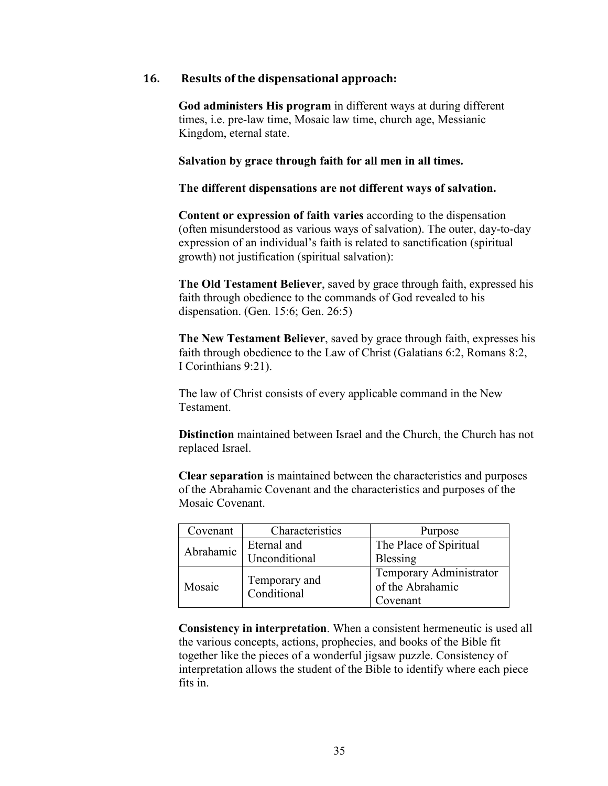#### **16. Results of the dispensational approach:**

**God administers His program** in different ways at during different times, i.e. pre-law time, Mosaic law time, church age, Messianic Kingdom, eternal state.

**Salvation by grace through faith for all men in all times.** 

**The different dispensations are not different ways of salvation.** 

**Content or expression of faith varies** according to the dispensation (often misunderstood as various ways of salvation). The outer, day-to-day expression of an individual's faith is related to sanctification (spiritual growth) not justification (spiritual salvation):

**The Old Testament Believer**, saved by grace through faith, expressed his faith through obedience to the commands of God revealed to his dispensation. (Gen. 15:6; Gen. 26:5)

**The New Testament Believer**, saved by grace through faith, expresses his faith through obedience to the Law of Christ (Galatians 6:2, Romans 8:2, I Corinthians 9:21).

The law of Christ consists of every applicable command in the New Testament.

**Distinction** maintained between Israel and the Church, the Church has not replaced Israel.

**Clear separation** is maintained between the characteristics and purposes of the Abrahamic Covenant and the characteristics and purposes of the Mosaic Covenant.

| Covenant  | Characteristics              | Purpose                 |
|-----------|------------------------------|-------------------------|
| Abrahamic | Eternal and                  | The Place of Spiritual  |
|           | Unconditional                | <b>Blessing</b>         |
| Mosaic    | Temporary and<br>Conditional | Temporary Administrator |
|           |                              | of the Abrahamic        |
|           |                              | Covenant                |

**Consistency in interpretation**. When a consistent hermeneutic is used all the various concepts, actions, prophecies, and books of the Bible fit together like the pieces of a wonderful jigsaw puzzle. Consistency of interpretation allows the student of the Bible to identify where each piece fits in.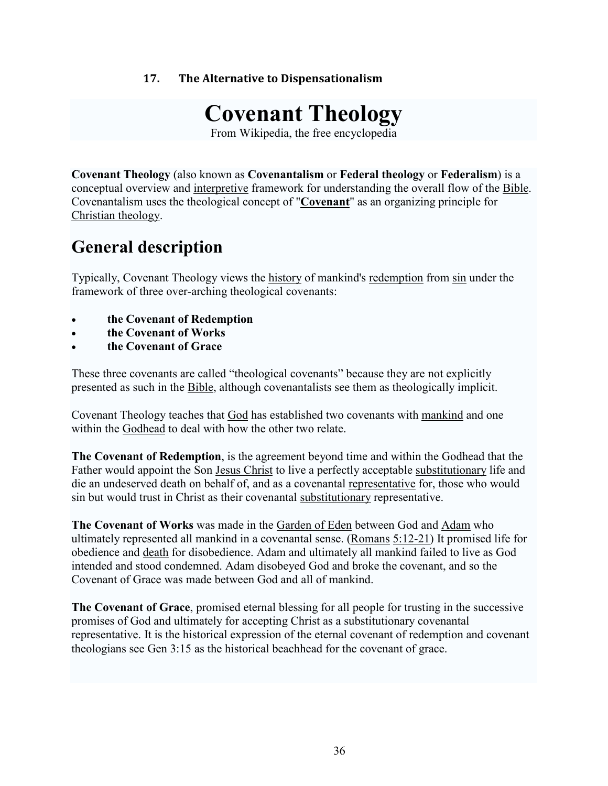## **17. The Alternative to Dispensationalism**

# **Covenant Theology**

From Wikipedia, the free encyclopedia

**Covenant Theology** (also known as **Covenantalism** or **Federal theology** or **Federalism**) is a conceptual overview and interpretive framework for understanding the overall flow of the Bible. Covenantalism uses the theological concept of "**Covenant**" as an organizing principle for Christian theology.

## **General description**

Typically, Covenant Theology views the history of mankind's redemption from sin under the framework of three over-arching theological covenants:

- **the Covenant of Redemption**
- **the Covenant of Works**
- **the Covenant of Grace**

These three covenants are called "theological covenants" because they are not explicitly presented as such in the Bible, although covenantalists see them as theologically implicit.

Covenant Theology teaches that God has established two covenants with mankind and one within the Godhead to deal with how the other two relate.

**The Covenant of Redemption**, is the agreement beyond time and within the Godhead that the Father would appoint the Son Jesus Christ to live a perfectly acceptable substitutionary life and die an undeserved death on behalf of, and as a covenantal representative for, those who would sin but would trust in Christ as their covenantal substitutionary representative.

**The Covenant of Works** was made in the Garden of Eden between God and Adam who ultimately represented all mankind in a covenantal sense. (Romans 5:12-21) It promised life for obedience and death for disobedience. Adam and ultimately all mankind failed to live as God intended and stood condemned. Adam disobeyed God and broke the covenant, and so the Covenant of Grace was made between God and all of mankind.

**The Covenant of Grace**, promised eternal blessing for all people for trusting in the successive promises of God and ultimately for accepting Christ as a substitutionary covenantal representative. It is the historical expression of the eternal covenant of redemption and covenant theologians see Gen 3:15 as the historical beachhead for the covenant of grace.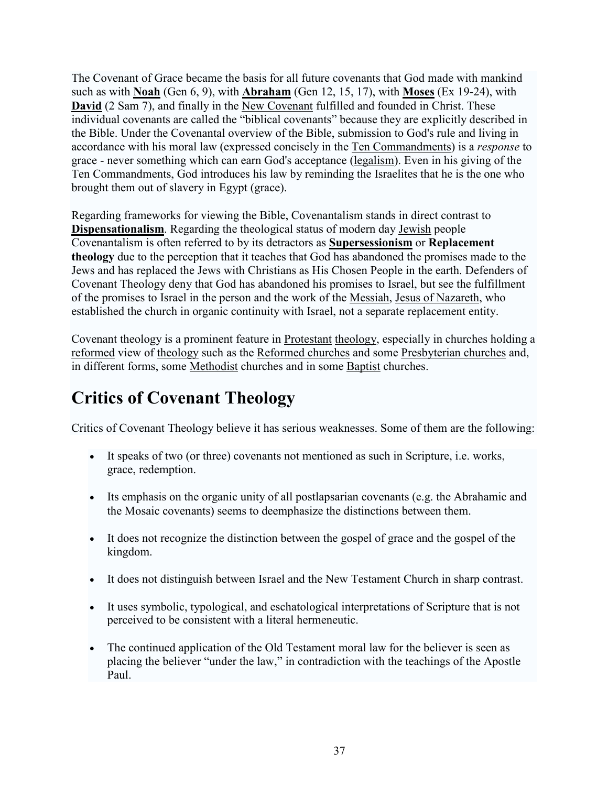The Covenant of Grace became the basis for all future covenants that God made with mankind such as with **!oah** (Gen 6, 9), with **Abraham** (Gen 12, 15, 17), with **Moses** (Ex 19-24), with **David** (2 Sam 7), and finally in the New Covenant fulfilled and founded in Christ. These individual covenants are called the "biblical covenants" because they are explicitly described in the Bible. Under the Covenantal overview of the Bible, submission to God's rule and living in accordance with his moral law (expressed concisely in the Ten Commandments) is a *response* to grace - never something which can earn God's acceptance (legalism). Even in his giving of the Ten Commandments, God introduces his law by reminding the Israelites that he is the one who brought them out of slavery in Egypt (grace).

Regarding frameworks for viewing the Bible, Covenantalism stands in direct contrast to **Dispensationalism**. Regarding the theological status of modern day Jewish people Covenantalism is often referred to by its detractors as **Supersessionism** or **Replacement theology** due to the perception that it teaches that God has abandoned the promises made to the Jews and has replaced the Jews with Christians as His Chosen People in the earth. Defenders of Covenant Theology deny that God has abandoned his promises to Israel, but see the fulfillment of the promises to Israel in the person and the work of the Messiah, Jesus of Nazareth, who established the church in organic continuity with Israel, not a separate replacement entity.

Covenant theology is a prominent feature in Protestant theology, especially in churches holding a reformed view of theology such as the Reformed churches and some Presbyterian churches and, in different forms, some Methodist churches and in some Baptist churches.

## **Critics of Covenant Theology**

Critics of Covenant Theology believe it has serious weaknesses. Some of them are the following:

- It speaks of two (or three) covenants not mentioned as such in Scripture, i.e. works, grace, redemption.
- Its emphasis on the organic unity of all postlapsarian covenants (e.g. the Abrahamic and the Mosaic covenants) seems to deemphasize the distinctions between them.
- It does not recognize the distinction between the gospel of grace and the gospel of the kingdom.
- It does not distinguish between Israel and the New Testament Church in sharp contrast.
- It uses symbolic, typological, and eschatological interpretations of Scripture that is not perceived to be consistent with a literal hermeneutic.
- The continued application of the Old Testament moral law for the believer is seen as placing the believer "under the law," in contradiction with the teachings of the Apostle Paul.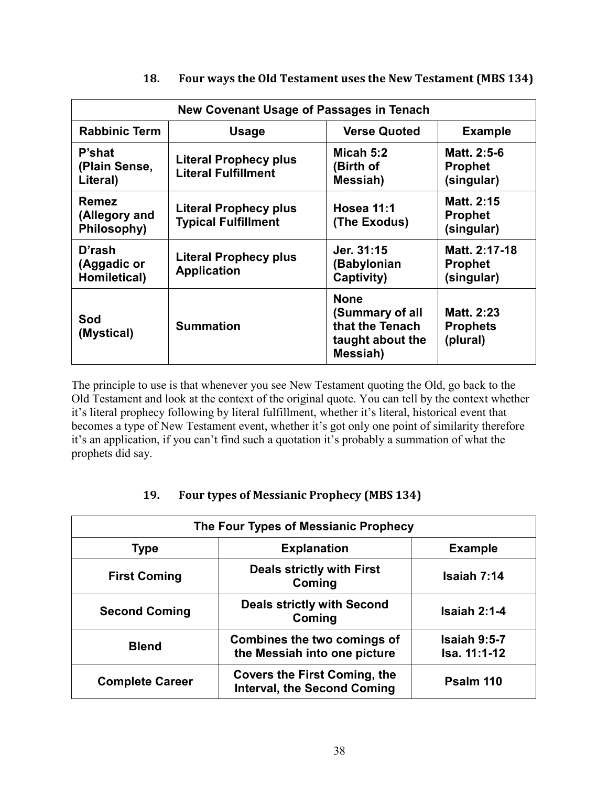| <b>New Covenant Usage of Passages in Tenach</b> |                                                            |                                                                                   |                                                  |
|-------------------------------------------------|------------------------------------------------------------|-----------------------------------------------------------------------------------|--------------------------------------------------|
| <b>Rabbinic Term</b>                            | <b>Usage</b>                                               | <b>Verse Quoted</b>                                                               | <b>Example</b>                                   |
| P'shat<br>(Plain Sense,<br>Literal)             | <b>Literal Prophecy plus</b><br><b>Literal Fulfillment</b> | Micah 5:2<br>(Birth of<br>Messiah)                                                | Matt. 2:5-6<br><b>Prophet</b><br>(singular)      |
| <b>Remez</b><br>(Allegory and<br>Philosophy)    | <b>Literal Prophecy plus</b><br><b>Typical Fulfillment</b> | <b>Hosea 11:1</b><br>(The Exodus)                                                 | Matt. 2:15<br><b>Prophet</b><br>(singular)       |
| D'rash<br>(Aggadic or<br>Homiletical)           | <b>Literal Prophecy plus</b><br><b>Application</b>         | Jer. 31:15<br>(Babylonian<br>Captivity)                                           | Matt. 2:17-18<br><b>Prophet</b><br>(singular)    |
| Sod<br>(Mystical)                               | <b>Summation</b>                                           | <b>None</b><br>(Summary of all<br>that the Tenach<br>taught about the<br>Messiah) | <b>Matt. 2:23</b><br><b>Prophets</b><br>(plural) |

## **18. Four ways the Old Testament uses the New Testament (MBS 134)**

The principle to use is that whenever you see New Testament quoting the Old, go back to the Old Testament and look at the context of the original quote. You can tell by the context whether it's literal prophecy following by literal fulfillment, whether it's literal, historical event that becomes a type of New Testament event, whether it's got only one point of similarity therefore it's an application, if you can't find such a quotation it's probably a summation of what the prophets did say.

## **19. Four types of Messianic Prophecy (MBS 134)**

| The Four Types of Messianic Prophecy |                                                                    |                              |  |
|--------------------------------------|--------------------------------------------------------------------|------------------------------|--|
| <b>Type</b>                          | <b>Explanation</b>                                                 | <b>Example</b>               |  |
| <b>First Coming</b>                  | <b>Deals strictly with First</b><br>Coming                         | Isaiah 7:14                  |  |
| <b>Second Coming</b>                 | <b>Deals strictly with Second</b><br>Coming                        | Isaiah $2:1-4$               |  |
| <b>Blend</b>                         | Combines the two comings of<br>the Messiah into one picture        | Isaiah 9:5-7<br>Isa. 11:1-12 |  |
| <b>Complete Career</b>               | <b>Covers the First Coming, the</b><br>Interval, the Second Coming | Psalm 110                    |  |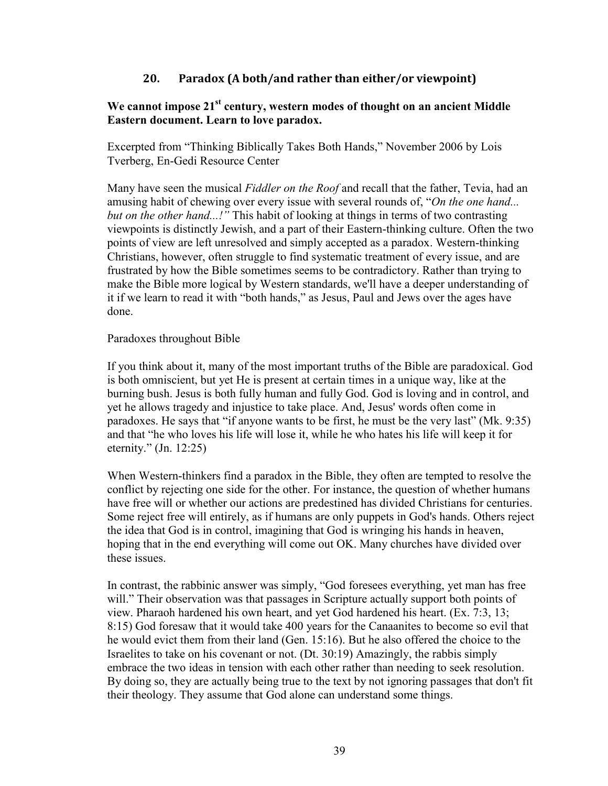## **20. Paradox (A both/and rather than either/or viewpoint)**

## **We cannot impose 21st century, western modes of thought on an ancient Middle Eastern document. Learn to love paradox.**

Excerpted from "Thinking Biblically Takes Both Hands," November 2006 by Lois Tverberg, En-Gedi Resource Center

Many have seen the musical *Fiddler on the Roof* and recall that the father, Tevia, had an amusing habit of chewing over every issue with several rounds of, "*On the one hand... but on the other hand...!"* This habit of looking at things in terms of two contrasting viewpoints is distinctly Jewish, and a part of their Eastern-thinking culture. Often the two points of view are left unresolved and simply accepted as a paradox. Western-thinking Christians, however, often struggle to find systematic treatment of every issue, and are frustrated by how the Bible sometimes seems to be contradictory. Rather than trying to make the Bible more logical by Western standards, we'll have a deeper understanding of it if we learn to read it with "both hands," as Jesus, Paul and Jews over the ages have done.

## Paradoxes throughout Bible

If you think about it, many of the most important truths of the Bible are paradoxical. God is both omniscient, but yet He is present at certain times in a unique way, like at the burning bush. Jesus is both fully human and fully God. God is loving and in control, and yet he allows tragedy and injustice to take place. And, Jesus' words often come in paradoxes. He says that "if anyone wants to be first, he must be the very last" (Mk. 9:35) and that "he who loves his life will lose it, while he who hates his life will keep it for eternity." (Jn. 12:25)

When Western-thinkers find a paradox in the Bible, they often are tempted to resolve the conflict by rejecting one side for the other. For instance, the question of whether humans have free will or whether our actions are predestined has divided Christians for centuries. Some reject free will entirely, as if humans are only puppets in God's hands. Others reject the idea that God is in control, imagining that God is wringing his hands in heaven, hoping that in the end everything will come out OK. Many churches have divided over these issues.

In contrast, the rabbinic answer was simply, "God foresees everything, yet man has free will." Their observation was that passages in Scripture actually support both points of view. Pharaoh hardened his own heart, and yet God hardened his heart. (Ex. 7:3, 13; 8:15) God foresaw that it would take 400 years for the Canaanites to become so evil that he would evict them from their land (Gen. 15:16). But he also offered the choice to the Israelites to take on his covenant or not. (Dt. 30:19) Amazingly, the rabbis simply embrace the two ideas in tension with each other rather than needing to seek resolution. By doing so, they are actually being true to the text by not ignoring passages that don't fit their theology. They assume that God alone can understand some things.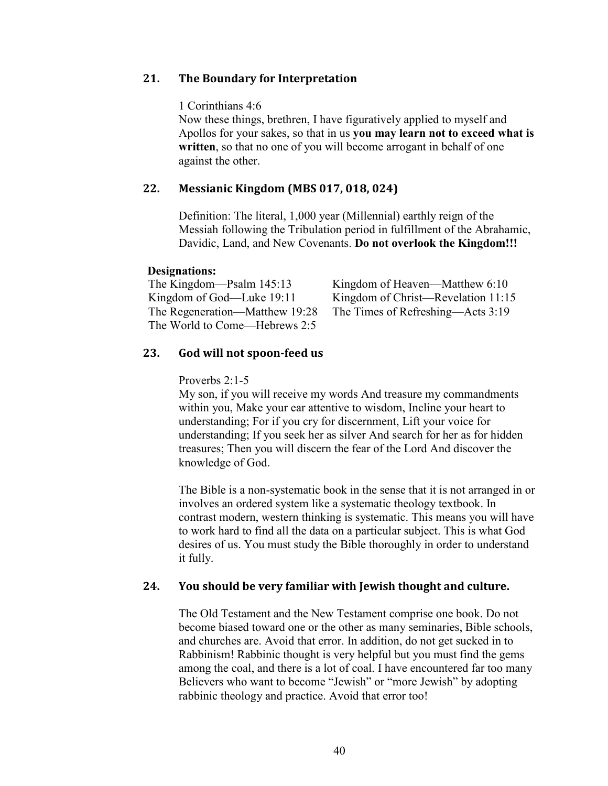## **21. The Boundary for Interpretation**

1 Corinthians 4:6

Now these things, brethren, I have figuratively applied to myself and Apollos for your sakes, so that in us **you may learn not to exceed what is written**, so that no one of you will become arrogant in behalf of one against the other.

## **22. Messianic Kingdom (MBS 017, 018, 024)**

Definition: The literal, 1,000 year (Millennial) earthly reign of the Messiah following the Tribulation period in fulfillment of the Abrahamic, Davidic, Land, and New Covenants. **Do not overlook the Kingdom!!!** 

#### **Designations:**

The World to Come—Hebrews 2:5

The Kingdom—Psalm 145:13 Kingdom of Heaven—Matthew 6:10 Kingdom of God—Luke 19:11 Kingdom of Christ—Revelation 11:15 The Regeneration—Matthew 19:28 The Times of Refreshing—Acts 3:19

## **23. God will not spoon-feed us**

Proverbs 2:1-5

My son, if you will receive my words And treasure my commandments within you, Make your ear attentive to wisdom, Incline your heart to understanding; For if you cry for discernment, Lift your voice for understanding; If you seek her as silver And search for her as for hidden treasures; Then you will discern the fear of the Lord And discover the knowledge of God.

The Bible is a non-systematic book in the sense that it is not arranged in or involves an ordered system like a systematic theology textbook. In contrast modern, western thinking is systematic. This means you will have to work hard to find all the data on a particular subject. This is what God desires of us. You must study the Bible thoroughly in order to understand it fully.

## **24. You should be very familiar with Jewish thought and culture.**

The Old Testament and the New Testament comprise one book. Do not become biased toward one or the other as many seminaries, Bible schools, and churches are. Avoid that error. In addition, do not get sucked in to Rabbinism! Rabbinic thought is very helpful but you must find the gems among the coal, and there is a lot of coal. I have encountered far too many Believers who want to become "Jewish" or "more Jewish" by adopting rabbinic theology and practice. Avoid that error too!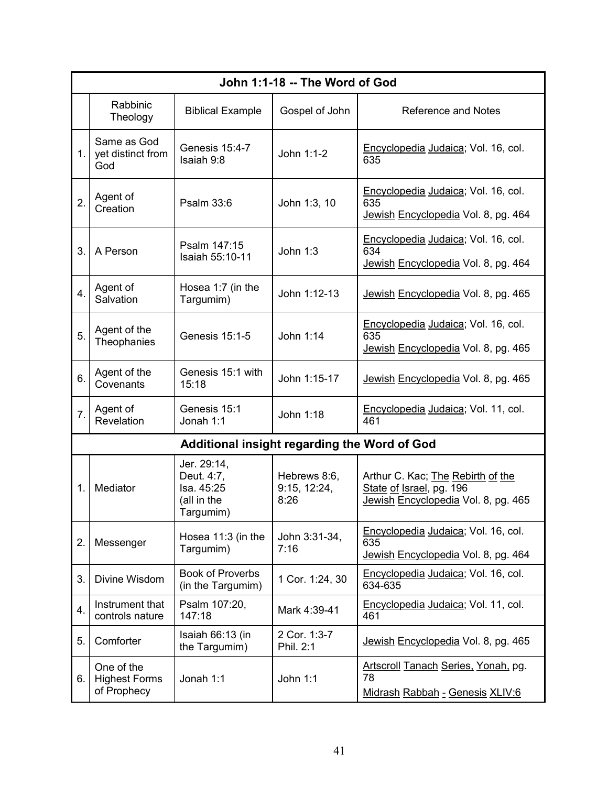| John 1:1-18 -- The Word of God               |                                                   |                                                                     |                                      |                                                                                                      |
|----------------------------------------------|---------------------------------------------------|---------------------------------------------------------------------|--------------------------------------|------------------------------------------------------------------------------------------------------|
|                                              | Rabbinic<br>Theology                              | <b>Biblical Example</b>                                             | Gospel of John                       | Reference and Notes                                                                                  |
| 1.                                           | Same as God<br>yet distinct from<br>God           | Genesis 15:4-7<br>Isaiah 9:8                                        | John 1:1-2                           | Encyclopedia Judaica; Vol. 16, col.<br>635                                                           |
| $\overline{2}$ .                             | Agent of<br>Creation                              | Psalm 33:6                                                          | John 1:3, 10                         | Encyclopedia Judaica; Vol. 16, col.<br>635<br>Jewish Encyclopedia Vol. 8, pg. 464                    |
| 3.                                           | A Person                                          | Psalm 147:15<br>Isaiah 55:10-11                                     | John 1:3                             | Encyclopedia Judaica; Vol. 16, col.<br>634<br>Jewish Encyclopedia Vol. 8, pg. 464                    |
| 4.                                           | Agent of<br>Salvation                             | Hosea 1:7 (in the<br>Targumim)                                      | John 1:12-13                         | Jewish Encyclopedia Vol. 8, pg. 465                                                                  |
| 5.                                           | Agent of the<br>Theophanies                       | <b>Genesis 15:1-5</b>                                               | John 1:14                            | Encyclopedia Judaica; Vol. 16, col.<br>635<br>Jewish Encyclopedia Vol. 8, pg. 465                    |
| 6.                                           | Agent of the<br>Covenants                         | Genesis 15:1 with<br>15:18                                          | John 1:15-17                         | Jewish Encyclopedia Vol. 8, pg. 465                                                                  |
| 7.                                           | Agent of<br>Revelation                            | Genesis 15:1<br>Jonah 1:1                                           | John 1:18                            | Encyclopedia Judaica; Vol. 11, col.<br>461                                                           |
| Additional insight regarding the Word of God |                                                   |                                                                     |                                      |                                                                                                      |
| 1.                                           | Mediator                                          | Jer. 29:14,<br>Deut. 4:7,<br>Isa. 45:25<br>(all in the<br>Targumim) | Hebrews 8:6,<br>9:15, 12:24,<br>8:26 | Arthur C. Kac; The Rebirth of the<br>State of Israel, pg. 196<br>Jewish Encyclopedia Vol. 8, pg. 465 |
| 2.                                           | Messenger                                         | Hosea 11:3 (in the<br>Targumim)                                     | John 3:31-34,<br>7:16                | Encyclopedia Judaica; Vol. 16, col.<br>635<br>Jewish Encyclopedia Vol. 8, pg. 464                    |
| 3.                                           | Divine Wisdom                                     | <b>Book of Proverbs</b><br>(in the Targumim)                        | 1 Cor. 1:24, 30                      | Encyclopedia Judaica; Vol. 16, col.<br>634-635                                                       |
| 4.                                           | Instrument that<br>controls nature                | Psalm 107:20,<br>147:18                                             | Mark 4:39-41                         | Encyclopedia Judaica; Vol. 11, col.<br>461                                                           |
| 5.                                           | Comforter                                         | Isaiah 66:13 (in<br>the Targumim)                                   | 2 Cor. 1:3-7<br>Phil. 2:1            | Jewish Encyclopedia Vol. 8, pg. 465                                                                  |
| 6.                                           | One of the<br><b>Highest Forms</b><br>of Prophecy | Jonah 1:1                                                           | John 1:1                             | Artscroll Tanach Series, Yonah, pg.<br>78<br>Midrash Rabbah - Genesis XLIV:6                         |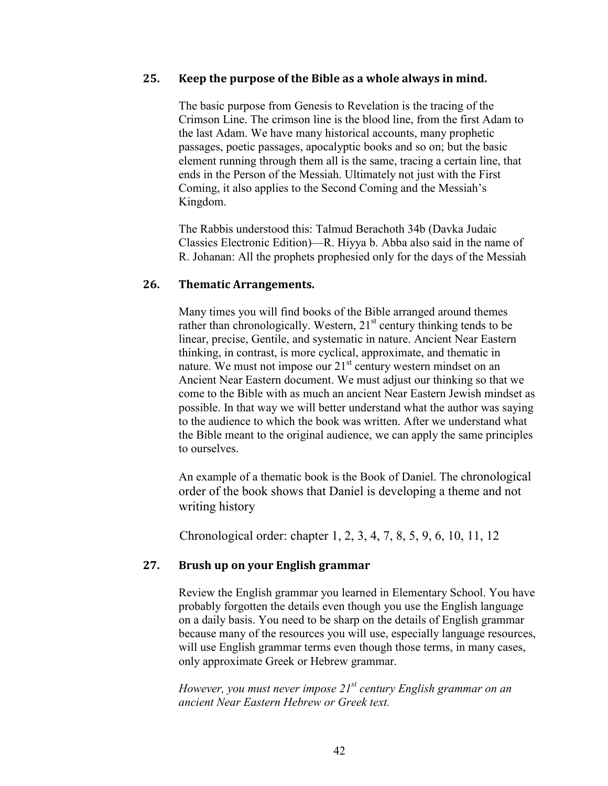#### **25. Keep the purpose of the Bible as a whole always in mind.**

The basic purpose from Genesis to Revelation is the tracing of the Crimson Line. The crimson line is the blood line, from the first Adam to the last Adam. We have many historical accounts, many prophetic passages, poetic passages, apocalyptic books and so on; but the basic element running through them all is the same, tracing a certain line, that ends in the Person of the Messiah. Ultimately not just with the First Coming, it also applies to the Second Coming and the Messiah's Kingdom.

The Rabbis understood this: Talmud Berachoth 34b (Davka Judaic Classics Electronic Edition)—R. Hiyya b. Abba also said in the name of R. Johanan: All the prophets prophesied only for the days of the Messiah

#### **26. Thematic Arrangements.**

Many times you will find books of the Bible arranged around themes rather than chronologically. Western, 21<sup>st</sup> century thinking tends to be linear, precise, Gentile, and systematic in nature. Ancient Near Eastern thinking, in contrast, is more cyclical, approximate, and thematic in nature. We must not impose our 21<sup>st</sup> century western mindset on an Ancient Near Eastern document. We must adjust our thinking so that we come to the Bible with as much an ancient Near Eastern Jewish mindset as possible. In that way we will better understand what the author was saying to the audience to which the book was written. After we understand what the Bible meant to the original audience, we can apply the same principles to ourselves.

An example of a thematic book is the Book of Daniel. The chronological order of the book shows that Daniel is developing a theme and not writing history

Chronological order: chapter 1, 2, 3, 4, 7, 8, 5, 9, 6, 10, 11, 12

## **27. Brush up on your English grammar**

Review the English grammar you learned in Elementary School. You have probably forgotten the details even though you use the English language on a daily basis. You need to be sharp on the details of English grammar because many of the resources you will use, especially language resources, will use English grammar terms even though those terms, in many cases, only approximate Greek or Hebrew grammar.

*However, you must never impose 21st century English grammar on an ancient 1ear Eastern Hebrew or Greek text.*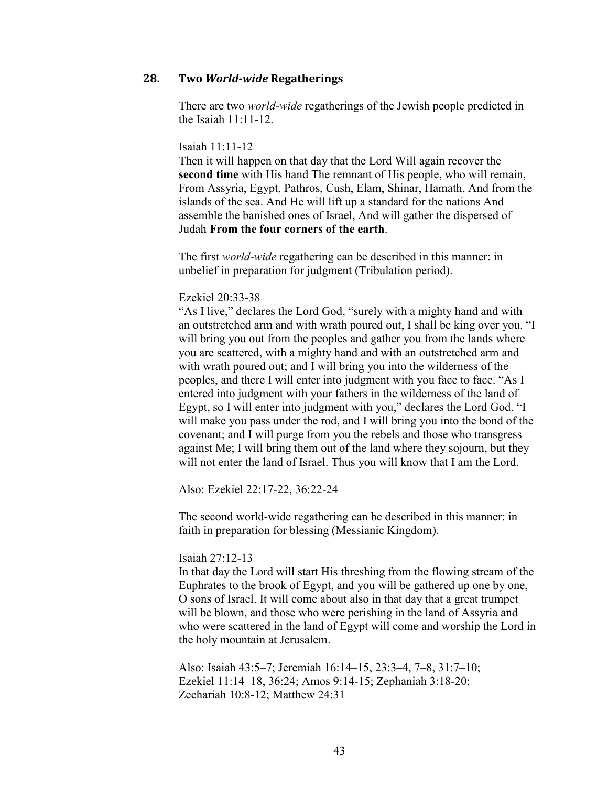#### **28. Two** *World-wide* **Regatherings**

There are two *world-wide* regatherings of the Jewish people predicted in the Isaiah 11:11-12.

#### Isaiah 11:11-12

Then it will happen on that day that the Lord Will again recover the **second time** with His hand The remnant of His people, who will remain, From Assyria, Egypt, Pathros, Cush, Elam, Shinar, Hamath, And from the islands of the sea. And He will lift up a standard for the nations And assemble the banished ones of Israel, And will gather the dispersed of Judah **From the four corners of the earth**.

The first *world-wide* regathering can be described in this manner: in unbelief in preparation for judgment (Tribulation period).

#### Ezekiel 20:33-38

"As I live," declares the Lord God, "surely with a mighty hand and with an outstretched arm and with wrath poured out, I shall be king over you. "I will bring you out from the peoples and gather you from the lands where you are scattered, with a mighty hand and with an outstretched arm and with wrath poured out; and I will bring you into the wilderness of the peoples, and there I will enter into judgment with you face to face. "As I entered into judgment with your fathers in the wilderness of the land of Egypt, so I will enter into judgment with you," declares the Lord God. "I will make you pass under the rod, and I will bring you into the bond of the covenant; and I will purge from you the rebels and those who transgress against Me; I will bring them out of the land where they sojourn, but they will not enter the land of Israel. Thus you will know that I am the Lord.

Also: Ezekiel 22:17-22, 36:22-24

The second world-wide regathering can be described in this manner: in faith in preparation for blessing (Messianic Kingdom).

#### Isaiah 27:12-13

In that day the Lord will start His threshing from the flowing stream of the Euphrates to the brook of Egypt, and you will be gathered up one by one, O sons of Israel. It will come about also in that day that a great trumpet will be blown, and those who were perishing in the land of Assyria and who were scattered in the land of Egypt will come and worship the Lord in the holy mountain at Jerusalem.

Also: Isaiah 43:5–7; Jeremiah 16:14–15, 23:3–4, 7–8, 31:7–10; Ezekiel 11:14–18, 36:24; Amos 9:14-15; Zephaniah 3:18-20; Zechariah 10:8-12; Matthew 24:31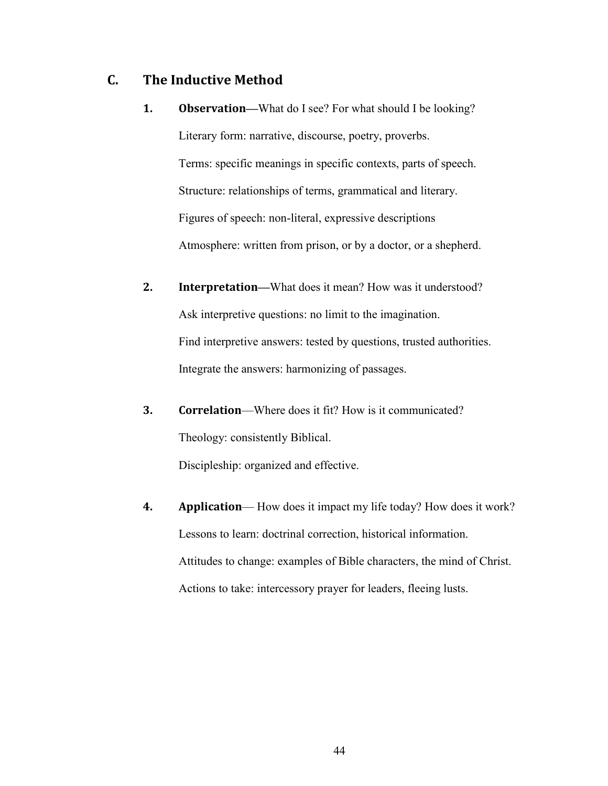## **C. The Inductive Method**

- **1. Observation**—What do I see? For what should I be looking? Literary form: narrative, discourse, poetry, proverbs. Terms: specific meanings in specific contexts, parts of speech. Structure: relationships of terms, grammatical and literary. Figures of speech: non-literal, expressive descriptions Atmosphere: written from prison, or by a doctor, or a shepherd.
- **2.** Interpretation—What does it mean? How was it understood? Ask interpretive questions: no limit to the imagination. Find interpretive answers: tested by questions, trusted authorities. Integrate the answers: harmonizing of passages.
- **3. Correlation**—Where does it fit? How is it communicated? Theology: consistently Biblical.

Discipleship: organized and effective.

**4. Application**— How does it impact my life today? How does it work? Lessons to learn: doctrinal correction, historical information. Attitudes to change: examples of Bible characters, the mind of Christ. Actions to take: intercessory prayer for leaders, fleeing lusts.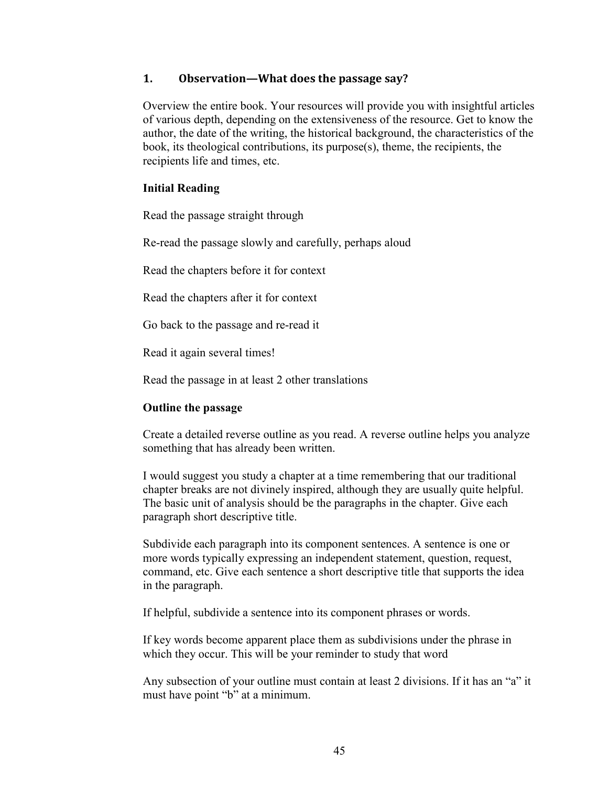## **1. Observation—What does the passage say?**

Overview the entire book. Your resources will provide you with insightful articles of various depth, depending on the extensiveness of the resource. Get to know the author, the date of the writing, the historical background, the characteristics of the book, its theological contributions, its purpose(s), theme, the recipients, the recipients life and times, etc.

## **Initial Reading**

Read the passage straight through

Re-read the passage slowly and carefully, perhaps aloud

Read the chapters before it for context

Read the chapters after it for context

Go back to the passage and re-read it

Read it again several times!

Read the passage in at least 2 other translations

## **Outline the passage**

Create a detailed reverse outline as you read. A reverse outline helps you analyze something that has already been written.

I would suggest you study a chapter at a time remembering that our traditional chapter breaks are not divinely inspired, although they are usually quite helpful. The basic unit of analysis should be the paragraphs in the chapter. Give each paragraph short descriptive title.

Subdivide each paragraph into its component sentences. A sentence is one or more words typically expressing an independent statement, question, request, command, etc. Give each sentence a short descriptive title that supports the idea in the paragraph.

If helpful, subdivide a sentence into its component phrases or words.

If key words become apparent place them as subdivisions under the phrase in which they occur. This will be your reminder to study that word

Any subsection of your outline must contain at least 2 divisions. If it has an "a" it must have point "b" at a minimum.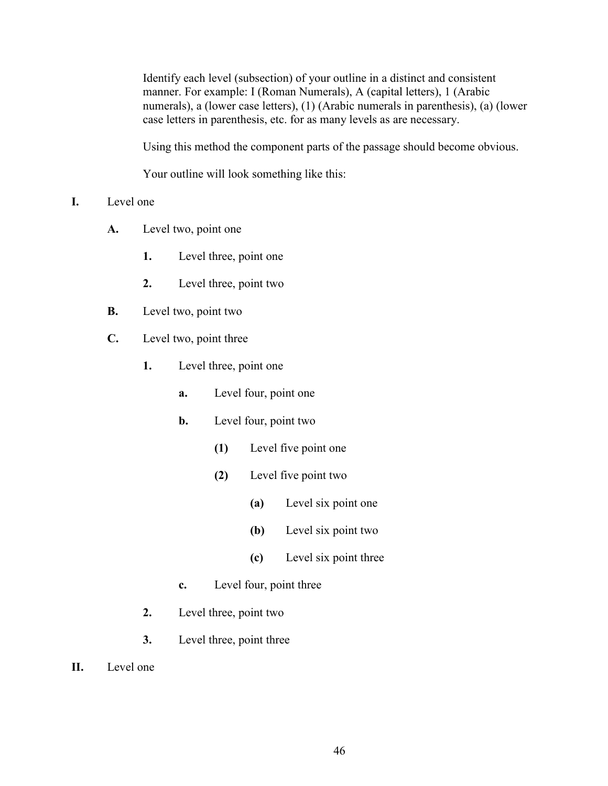Identify each level (subsection) of your outline in a distinct and consistent manner. For example: I (Roman Numerals), A (capital letters), 1 (Arabic numerals), a (lower case letters), (1) (Arabic numerals in parenthesis), (a) (lower case letters in parenthesis, etc. for as many levels as are necessary.

Using this method the component parts of the passage should become obvious.

Your outline will look something like this:

## **I.** Level one

- **A.** Level two, point one
	- **1.** Level three, point one
	- **2.** Level three, point two
- **B.** Level two, point two
- **C.** Level two, point three
	- **1.** Level three, point one
		- **a.** Level four, point one
		- **b.** Level four, point two
			- **(1)** Level five point one
			- **(2)** Level five point two
				- **(a)** Level six point one
				- **(b)** Level six point two
				- **(c)** Level six point three
		- **c.** Level four, point three
	- **2.** Level three, point two
	- **3.** Level three, point three
- **II.** Level one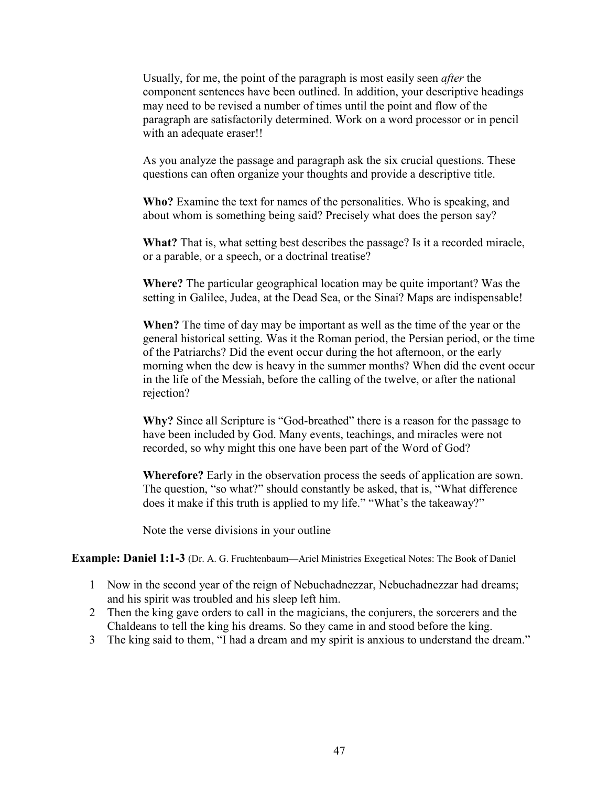Usually, for me, the point of the paragraph is most easily seen *after* the component sentences have been outlined. In addition, your descriptive headings may need to be revised a number of times until the point and flow of the paragraph are satisfactorily determined. Work on a word processor or in pencil with an adequate eraser!!

As you analyze the passage and paragraph ask the six crucial questions. These questions can often organize your thoughts and provide a descriptive title.

**Who?** Examine the text for names of the personalities. Who is speaking, and about whom is something being said? Precisely what does the person say?

**What?** That is, what setting best describes the passage? Is it a recorded miracle, or a parable, or a speech, or a doctrinal treatise?

**Where?** The particular geographical location may be quite important? Was the setting in Galilee, Judea, at the Dead Sea, or the Sinai? Maps are indispensable!

**When?** The time of day may be important as well as the time of the year or the general historical setting. Was it the Roman period, the Persian period, or the time of the Patriarchs? Did the event occur during the hot afternoon, or the early morning when the dew is heavy in the summer months? When did the event occur in the life of the Messiah, before the calling of the twelve, or after the national rejection?

**Why?** Since all Scripture is "God-breathed" there is a reason for the passage to have been included by God. Many events, teachings, and miracles were not recorded, so why might this one have been part of the Word of God?

**Wherefore?** Early in the observation process the seeds of application are sown. The question, "so what?" should constantly be asked, that is, "What difference does it make if this truth is applied to my life." "What's the takeaway?"

Note the verse divisions in your outline

**Example: Daniel 1:1-3** (Dr. A. G. Fruchtenbaum—Ariel Ministries Exegetical Notes: The Book of Daniel

- 1 Now in the second year of the reign of Nebuchadnezzar, Nebuchadnezzar had dreams; and his spirit was troubled and his sleep left him.
- 2 Then the king gave orders to call in the magicians, the conjurers, the sorcerers and the Chaldeans to tell the king his dreams. So they came in and stood before the king.
- 3 The king said to them, "I had a dream and my spirit is anxious to understand the dream."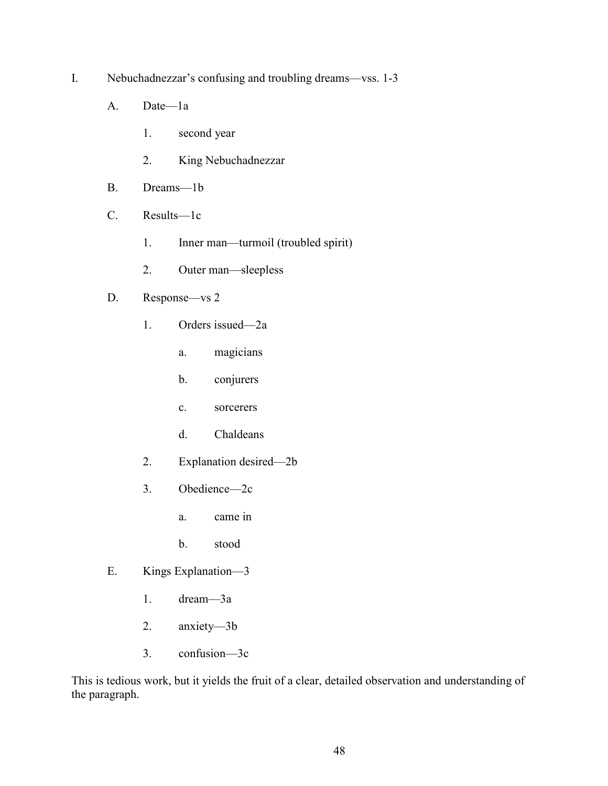- I. Nebuchadnezzar's confusing and troubling dreams—vss. 1-3
	- A. Date—1a
		- 1. second year
		- 2. King Nebuchadnezzar
	- B. Dreams—1b
	- C. Results—1c
		- 1. Inner man—turmoil (troubled spirit)
		- 2. Outer man—sleepless
	- D. Response—vs 2
		- 1. Orders issued—2a
			- a. magicians
			- b. conjurers
			- c. sorcerers
			- d. Chaldeans
		- 2. Explanation desired—2b
		- 3. Obedience—2c
			- a. came in
			- b. stood
	- E. Kings Explanation—3
		- 1. dream—3a
		- 2. anxiety—3b
		- 3. confusion—3c

This is tedious work, but it yields the fruit of a clear, detailed observation and understanding of the paragraph.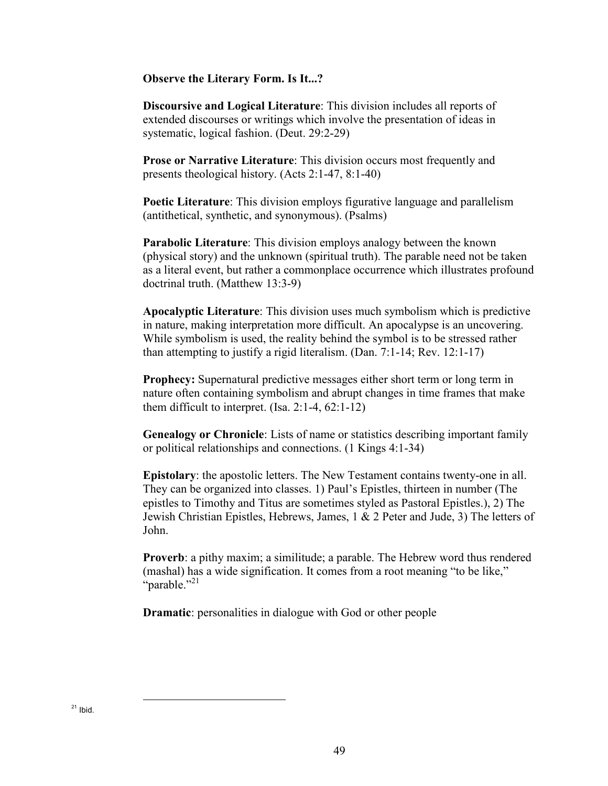#### **Observe the Literary Form. Is It...?**

**Discoursive and Logical Literature**: This division includes all reports of extended discourses or writings which involve the presentation of ideas in systematic, logical fashion. (Deut. 29:2-29)

**Prose or Narrative Literature:** This division occurs most frequently and presents theological history. (Acts 2:1-47, 8:1-40)

**Poetic Literature**: This division employs figurative language and parallelism (antithetical, synthetic, and synonymous). (Psalms)

**Parabolic Literature**: This division employs analogy between the known (physical story) and the unknown (spiritual truth). The parable need not be taken as a literal event, but rather a commonplace occurrence which illustrates profound doctrinal truth. (Matthew 13:3-9)

**Apocalyptic Literature**: This division uses much symbolism which is predictive in nature, making interpretation more difficult. An apocalypse is an uncovering. While symbolism is used, the reality behind the symbol is to be stressed rather than attempting to justify a rigid literalism. (Dan. 7:1-14; Rev. 12:1-17)

**Prophecy:** Supernatural predictive messages either short term or long term in nature often containing symbolism and abrupt changes in time frames that make them difficult to interpret.  $(Isa. 2:1-4, 62:1-12)$ 

**Genealogy or Chronicle**: Lists of name or statistics describing important family or political relationships and connections. (1 Kings 4:1-34)

**Epistolary**: the apostolic letters. The New Testament contains twenty-one in all. They can be organized into classes. 1) Paul's Epistles, thirteen in number (The epistles to Timothy and Titus are sometimes styled as Pastoral Epistles.), 2) The Jewish Christian Epistles, Hebrews, James, 1 & 2 Peter and Jude, 3) The letters of John.

**Proverb**: a pithy maxim; a similitude; a parable. The Hebrew word thus rendered (mashal) has a wide signification. It comes from a root meaning "to be like," "parable." $^{21}$ 

**Dramatic**: personalities in dialogue with God or other people

<u>.</u>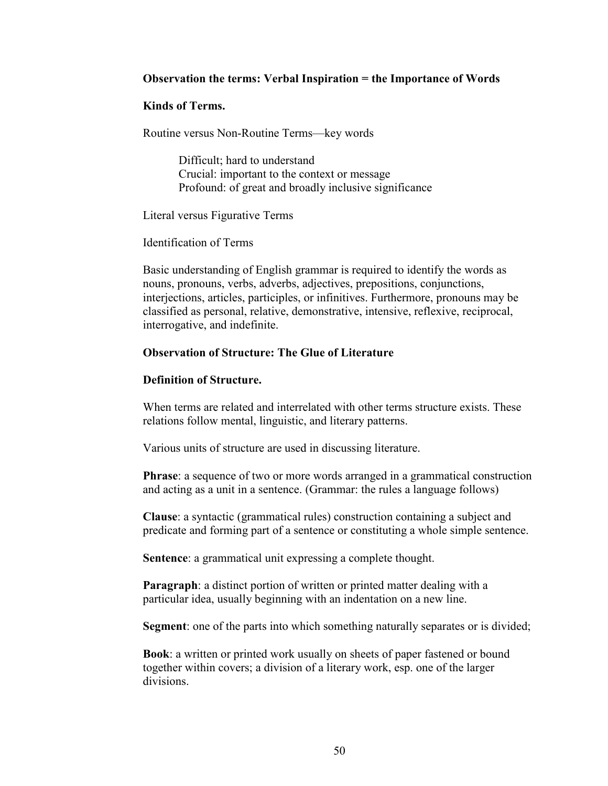#### **Observation the terms: Verbal Inspiration = the Importance of Words**

#### **Kinds of Terms.**

Routine versus Non-Routine Terms—key words

Difficult: hard to understand Crucial: important to the context or message Profound: of great and broadly inclusive significance

Literal versus Figurative Terms

Identification of Terms

Basic understanding of English grammar is required to identify the words as nouns, pronouns, verbs, adverbs, adjectives, prepositions, conjunctions, interjections, articles, participles, or infinitives. Furthermore, pronouns may be classified as personal, relative, demonstrative, intensive, reflexive, reciprocal, interrogative, and indefinite.

#### **Observation of Structure: The Glue of Literature**

#### **Definition of Structure.**

When terms are related and interrelated with other terms structure exists. These relations follow mental, linguistic, and literary patterns.

Various units of structure are used in discussing literature.

**Phrase**: a sequence of two or more words arranged in a grammatical construction and acting as a unit in a sentence. (Grammar: the rules a language follows)

**Clause**: a syntactic (grammatical rules) construction containing a subject and predicate and forming part of a sentence or constituting a whole simple sentence.

**Sentence**: a grammatical unit expressing a complete thought.

**Paragraph**: a distinct portion of written or printed matter dealing with a particular idea, usually beginning with an indentation on a new line.

**Segment**: one of the parts into which something naturally separates or is divided;

**Book**: a written or printed work usually on sheets of paper fastened or bound together within covers; a division of a literary work, esp. one of the larger divisions.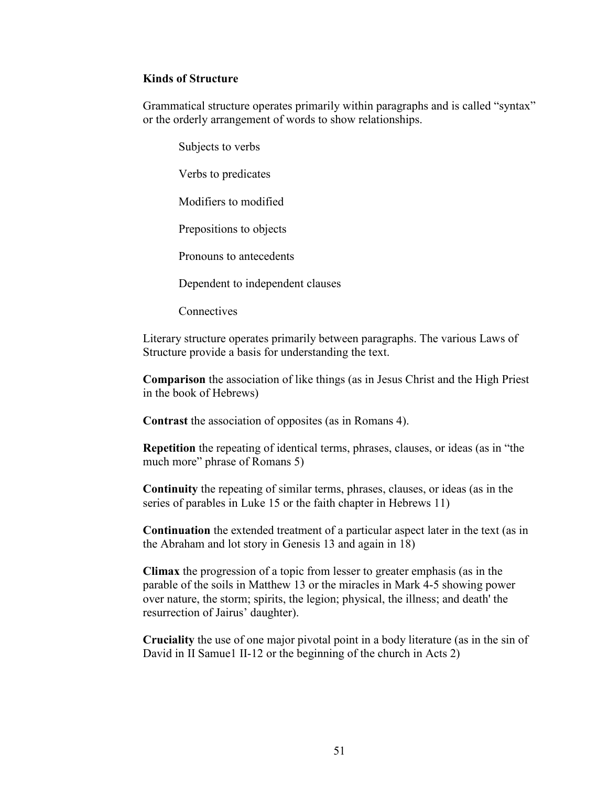#### **Kinds of Structure**

Grammatical structure operates primarily within paragraphs and is called "syntax" or the orderly arrangement of words to show relationships.

Subjects to verbs

Verbs to predicates

Modifiers to modified

Prepositions to objects

Pronouns to antecedents

Dependent to independent clauses

**Connectives** 

Literary structure operates primarily between paragraphs. The various Laws of Structure provide a basis for understanding the text.

**Comparison** the association of like things (as in Jesus Christ and the High Priest in the book of Hebrews)

**Contrast** the association of opposites (as in Romans 4).

**Repetition** the repeating of identical terms, phrases, clauses, or ideas (as in "the much more" phrase of Romans 5)

**Continuity** the repeating of similar terms, phrases, clauses, or ideas (as in the series of parables in Luke 15 or the faith chapter in Hebrews 11)

**Continuation** the extended treatment of a particular aspect later in the text (as in the Abraham and lot story in Genesis 13 and again in 18)

**Climax** the progression of a topic from lesser to greater emphasis (as in the parable of the soils in Matthew 13 or the miracles in Mark 4-5 showing power over nature, the storm; spirits, the legion; physical, the illness; and death' the resurrection of Jairus' daughter).

**Cruciality** the use of one major pivotal point in a body literature (as in the sin of David in II Samuel II-12 or the beginning of the church in Acts 2)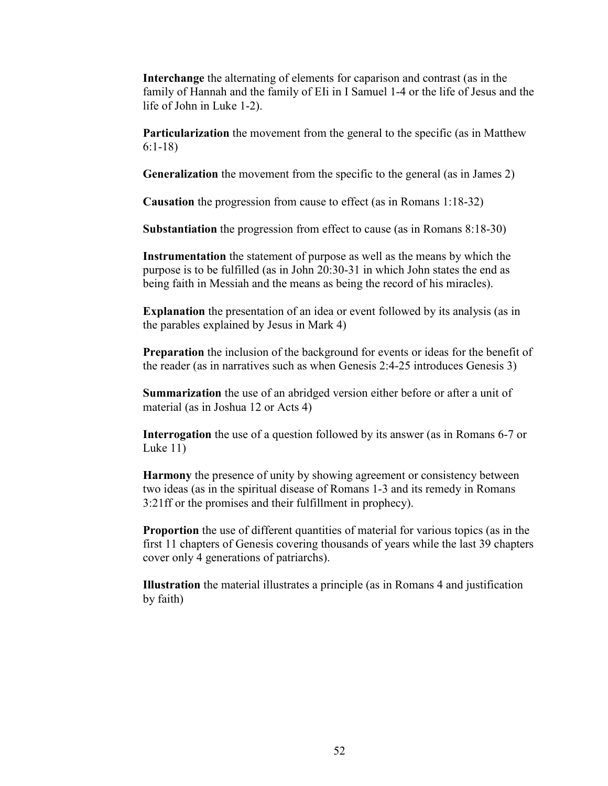**Interchange** the alternating of elements for caparison and contrast (as in the family of Hannah and the family of EIi in I Samuel 1-4 or the life of Jesus and the life of John in Luke 1-2).

**Particularization** the movement from the general to the specific (as in Matthew 6:1-18)

**Generalization** the movement from the specific to the general (as in James 2)

**Causation** the progression from cause to effect (as in Romans 1:18-32)

**Substantiation** the progression from effect to cause (as in Romans 8:18-30)

**Instrumentation** the statement of purpose as well as the means by which the purpose is to be fulfilled (as in John 20:30-31 in which John states the end as being faith in Messiah and the means as being the record of his miracles).

**Explanation** the presentation of an idea or event followed by its analysis (as in the parables explained by Jesus in Mark 4)

**Preparation** the inclusion of the background for events or ideas for the benefit of the reader (as in narratives such as when Genesis 2:4-25 introduces Genesis 3)

**Summarization** the use of an abridged version either before or after a unit of material (as in Joshua 12 or Acts 4)

**Interrogation** the use of a question followed by its answer (as in Romans 6-7 or Luke 11)

**Harmony** the presence of unity by showing agreement or consistency between two ideas (as in the spiritual disease of Romans 1-3 and its remedy in Romans 3:21ff or the promises and their fulfillment in prophecy).

**Proportion** the use of different quantities of material for various topics (as in the first 11 chapters of Genesis covering thousands of years while the last 39 chapters cover only 4 generations of patriarchs).

**Illustration** the material illustrates a principle (as in Romans 4 and justification by faith)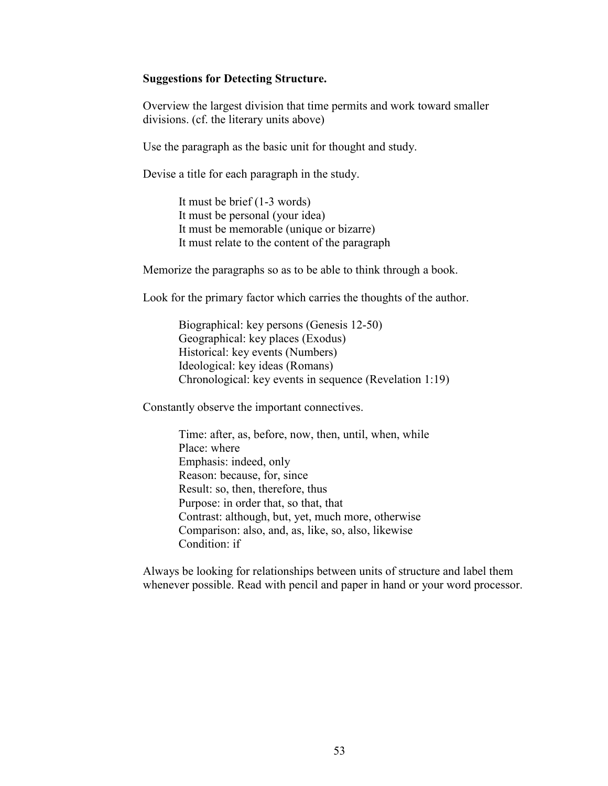#### **Suggestions for Detecting Structure.**

Overview the largest division that time permits and work toward smaller divisions. (cf. the literary units above)

Use the paragraph as the basic unit for thought and study.

Devise a title for each paragraph in the study.

It must be brief (1-3 words) It must be personal (your idea) It must be memorable (unique or bizarre) It must relate to the content of the paragraph

Memorize the paragraphs so as to be able to think through a book.

Look for the primary factor which carries the thoughts of the author.

Biographical: key persons (Genesis 12-50) Geographical: key places (Exodus) Historical: key events (Numbers) Ideological: key ideas (Romans) Chronological: key events in sequence (Revelation 1:19)

Constantly observe the important connectives.

Time: after, as, before, now, then, until, when, while Place: where Emphasis: indeed, only Reason: because, for, since Result: so, then, therefore, thus Purpose: in order that, so that, that Contrast: although, but, yet, much more, otherwise Comparison: also, and, as, like, so, also, likewise Condition: if

Always be looking for relationships between units of structure and label them whenever possible. Read with pencil and paper in hand or your word processor.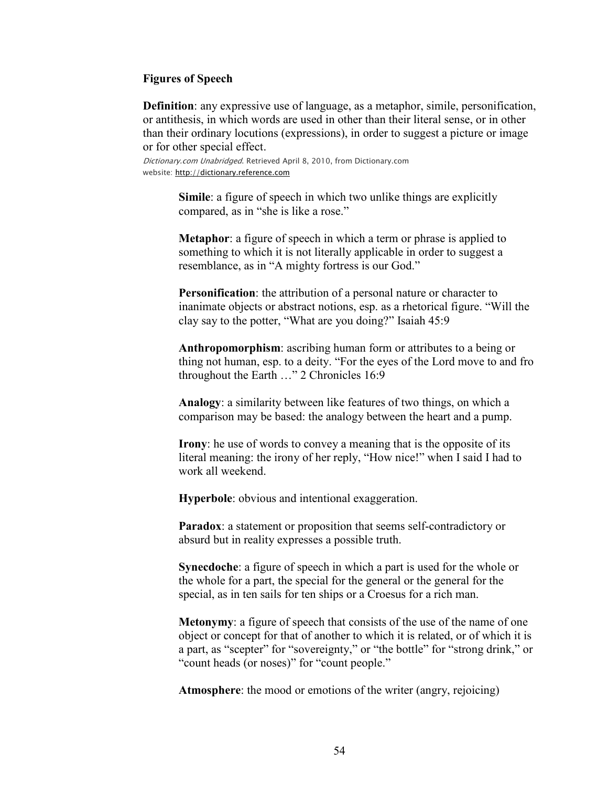#### **Figures of Speech**

**Definition**: any expressive use of language, as a metaphor, simile, personification, or antithesis, in which words are used in other than their literal sense, or in other than their ordinary locutions (expressions), in order to suggest a picture or image or for other special effect.

Dictionary.com Unabridged. Retrieved April 8, 2010, from Dictionary.com website: http://dictionary.reference.com

> **Simile**: a figure of speech in which two unlike things are explicitly compared, as in "she is like a rose."

**Metaphor**: a figure of speech in which a term or phrase is applied to something to which it is not literally applicable in order to suggest a resemblance, as in "A mighty fortress is our God."

**Personification**: the attribution of a personal nature or character to inanimate objects or abstract notions, esp. as a rhetorical figure. "Will the clay say to the potter, "What are you doing?" Isaiah 45:9

**Anthropomorphism**: ascribing human form or attributes to a being or thing not human, esp. to a deity. "For the eyes of the Lord move to and fro throughout the Earth …" 2 Chronicles 16:9

**Analogy**: a similarity between like features of two things, on which a comparison may be based: the analogy between the heart and a pump.

**Irony**: he use of words to convey a meaning that is the opposite of its literal meaning: the irony of her reply, "How nice!" when I said I had to work all weekend.

**Hyperbole**: obvious and intentional exaggeration.

**Paradox**: a statement or proposition that seems self-contradictory or absurd but in reality expresses a possible truth.

**Synecdoche**: a figure of speech in which a part is used for the whole or the whole for a part, the special for the general or the general for the special, as in ten sails for ten ships or a Croesus for a rich man.

**Metonymy**: a figure of speech that consists of the use of the name of one object or concept for that of another to which it is related, or of which it is a part, as "scepter" for "sovereignty," or "the bottle" for "strong drink," or "count heads (or noses)" for "count people."

**Atmosphere**: the mood or emotions of the writer (angry, rejoicing)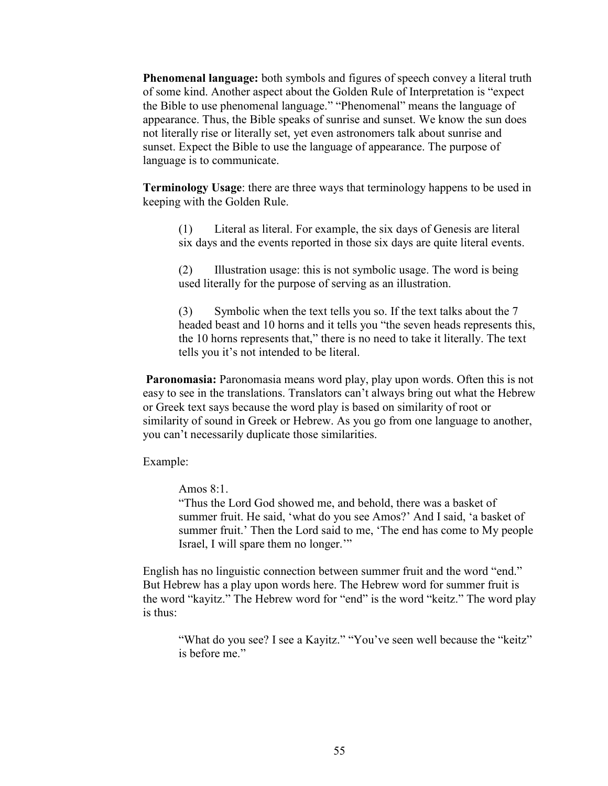**Phenomenal language:** both symbols and figures of speech convey a literal truth of some kind. Another aspect about the Golden Rule of Interpretation is "expect the Bible to use phenomenal language." "Phenomenal" means the language of appearance. Thus, the Bible speaks of sunrise and sunset. We know the sun does not literally rise or literally set, yet even astronomers talk about sunrise and sunset. Expect the Bible to use the language of appearance. The purpose of language is to communicate.

**Terminology Usage**: there are three ways that terminology happens to be used in keeping with the Golden Rule.

(1) Literal as literal. For example, the six days of Genesis are literal six days and the events reported in those six days are quite literal events.

(2) Illustration usage: this is not symbolic usage. The word is being used literally for the purpose of serving as an illustration.

(3) Symbolic when the text tells you so. If the text talks about the 7 headed beast and 10 horns and it tells you "the seven heads represents this, the 10 horns represents that," there is no need to take it literally. The text tells you it's not intended to be literal.

 **Paronomasia:** Paronomasia means word play, play upon words. Often this is not easy to see in the translations. Translators can't always bring out what the Hebrew or Greek text says because the word play is based on similarity of root or similarity of sound in Greek or Hebrew. As you go from one language to another, you can't necessarily duplicate those similarities.

Example:

Amos  $8.1$ .

"Thus the Lord God showed me, and behold, there was a basket of summer fruit. He said, 'what do you see Amos?' And I said, 'a basket of summer fruit.' Then the Lord said to me, 'The end has come to My people Israel, I will spare them no longer.'"

English has no linguistic connection between summer fruit and the word "end." But Hebrew has a play upon words here. The Hebrew word for summer fruit is the word "kayitz." The Hebrew word for "end" is the word "keitz." The word play is thus:

"What do you see? I see a Kayitz." "You've seen well because the "keitz" is before me"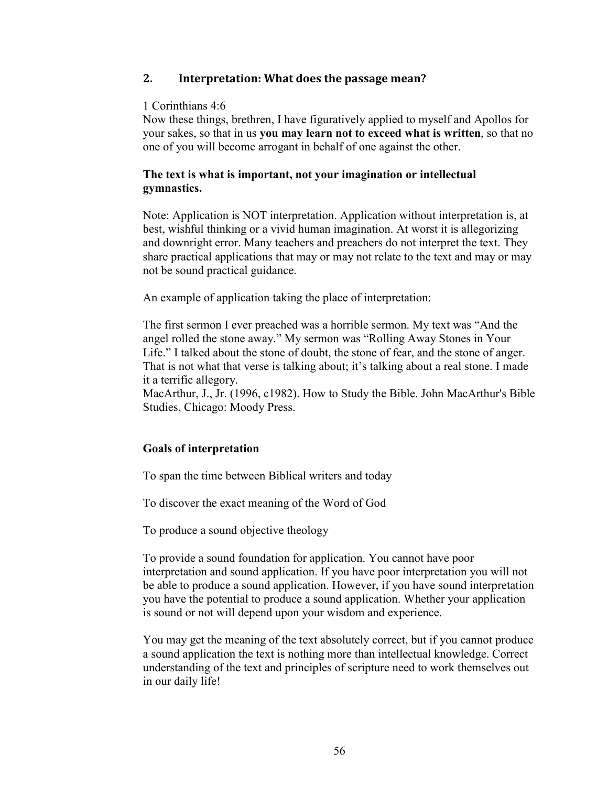## **2. Interpretation: What does the passage mean?**

#### 1 Corinthians 4:6

Now these things, brethren, I have figuratively applied to myself and Apollos for your sakes, so that in us **you may learn not to exceed what is written**, so that no one of you will become arrogant in behalf of one against the other.

#### **The text is what is important, not your imagination or intellectual gymnastics.**

Note: Application is NOT interpretation. Application without interpretation is, at best, wishful thinking or a vivid human imagination. At worst it is allegorizing and downright error. Many teachers and preachers do not interpret the text. They share practical applications that may or may not relate to the text and may or may not be sound practical guidance.

An example of application taking the place of interpretation:

The first sermon I ever preached was a horrible sermon. My text was "And the angel rolled the stone away." My sermon was "Rolling Away Stones in Your Life." I talked about the stone of doubt, the stone of fear, and the stone of anger. That is not what that verse is talking about; it's talking about a real stone. I made it a terrific allegory.

MacArthur, J., Jr. (1996, c1982). How to Study the Bible. John MacArthur's Bible Studies, Chicago: Moody Press.

## **Goals of interpretation**

To span the time between Biblical writers and today

To discover the exact meaning of the Word of God

To produce a sound objective theology

To provide a sound foundation for application. You cannot have poor interpretation and sound application. If you have poor interpretation you will not be able to produce a sound application. However, if you have sound interpretation you have the potential to produce a sound application. Whether your application is sound or not will depend upon your wisdom and experience.

You may get the meaning of the text absolutely correct, but if you cannot produce a sound application the text is nothing more than intellectual knowledge. Correct understanding of the text and principles of scripture need to work themselves out in our daily life!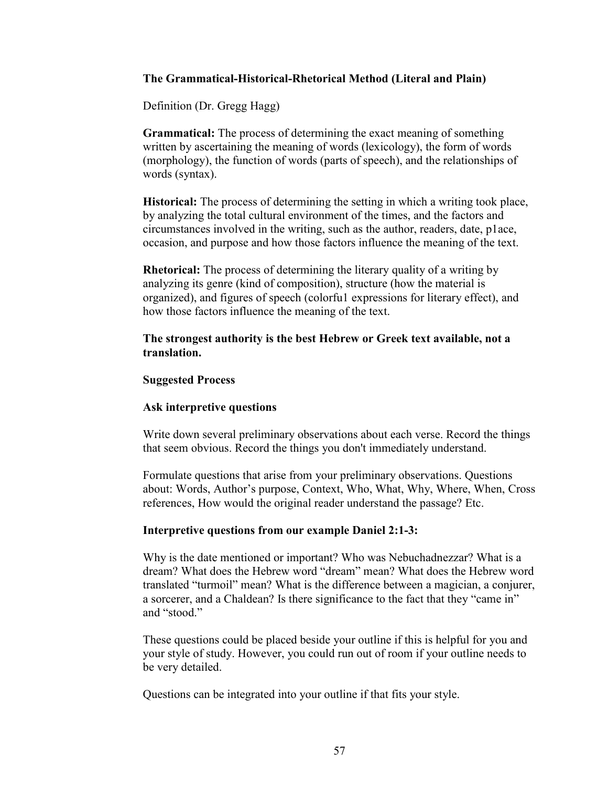## **The Grammatical-Historical-Rhetorical Method (Literal and Plain)**

Definition (Dr. Gregg Hagg)

**Grammatical:** The process of determining the exact meaning of something written by ascertaining the meaning of words (lexicology), the form of words (morphology), the function of words (parts of speech), and the relationships of words (syntax).

**Historical:** The process of determining the setting in which a writing took place, by analyzing the total cultural environment of the times, and the factors and circumstances involved in the writing, such as the author, readers, date, p1ace, occasion, and purpose and how those factors influence the meaning of the text.

**Rhetorical:** The process of determining the literary quality of a writing by analyzing its genre (kind of composition), structure (how the material is organized), and figures of speech (colorfu1 expressions for literary effect), and how those factors influence the meaning of the text.

## **The strongest authority is the best Hebrew or Greek text available, not a translation.**

## **Suggested Process**

## **Ask interpretive questions**

Write down several preliminary observations about each verse. Record the things that seem obvious. Record the things you don't immediately understand.

Formulate questions that arise from your preliminary observations. Questions about: Words, Author's purpose, Context, Who, What, Why, Where, When, Cross references, How would the original reader understand the passage? Etc.

#### **Interpretive questions from our example Daniel 2:1-3:**

Why is the date mentioned or important? Who was Nebuchadnezzar? What is a dream? What does the Hebrew word "dream" mean? What does the Hebrew word translated "turmoil" mean? What is the difference between a magician, a conjurer, a sorcerer, and a Chaldean? Is there significance to the fact that they "came in" and "stood."

These questions could be placed beside your outline if this is helpful for you and your style of study. However, you could run out of room if your outline needs to be very detailed.

Questions can be integrated into your outline if that fits your style.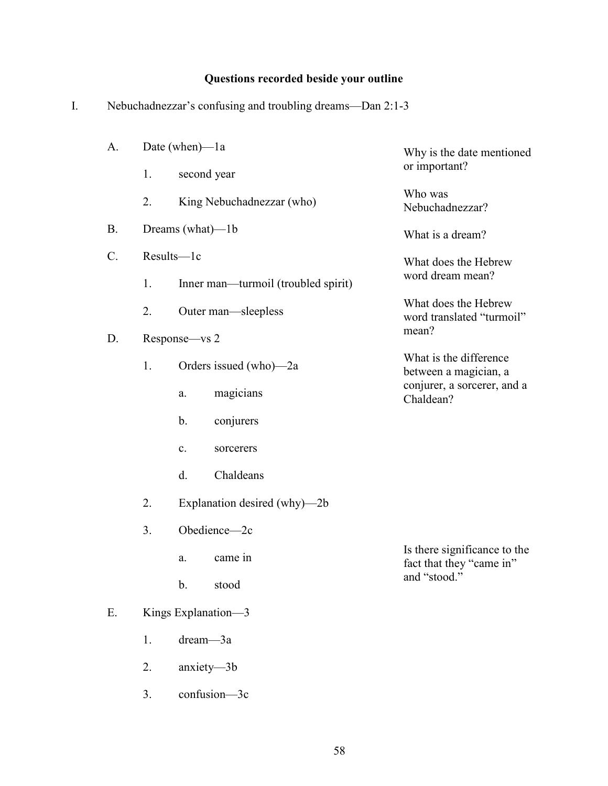## **Questions recorded beside your outline**

| Nebuchadnezzar's confusing and troubling dreams—Dan 2:1-3 |  |
|-----------------------------------------------------------|--|
|-----------------------------------------------------------|--|

| A.              |                     | Date (when)— $1a$   |                                     | Why is the date mentioned                                                |  |
|-----------------|---------------------|---------------------|-------------------------------------|--------------------------------------------------------------------------|--|
|                 | 1.                  | second year         |                                     | or important?                                                            |  |
|                 | 2.                  |                     | King Nebuchadnezzar (who)           | Who was<br>Nebuchadnezzar?                                               |  |
| <b>B.</b>       |                     | Dreams (what)— $1b$ |                                     | What is a dream?                                                         |  |
| $\mathcal{C}$ . | Results-lc          |                     |                                     | What does the Hebrew                                                     |  |
|                 | 1.                  |                     | Inner man—turmoil (troubled spirit) | word dream mean?                                                         |  |
|                 | 2.                  |                     | Outer man—sleepless                 | What does the Hebrew<br>word translated "turmoil"<br>mean?               |  |
| D.              |                     | Response—vs 2       |                                     |                                                                          |  |
|                 | 1.                  |                     | Orders issued $(who)$ —2a           | What is the difference<br>between a magician, a                          |  |
|                 |                     | a.                  | magicians                           | conjurer, a sorcerer, and a<br>Chaldean?                                 |  |
|                 |                     | $\mathbf b$ .       | conjurers                           |                                                                          |  |
|                 |                     | $\mathbf{c}$ .      | sorcerers                           |                                                                          |  |
|                 |                     | d.                  | Chaldeans                           |                                                                          |  |
|                 | 2.                  |                     | Explanation desired (why)—2b        |                                                                          |  |
|                 | 3.                  | Obedience-2c        |                                     |                                                                          |  |
|                 |                     | a.                  | came in                             | Is there significance to the<br>fact that they "came in"<br>and "stood." |  |
|                 |                     | $\mathbf b$ .       | stood                               |                                                                          |  |
| Ε.              | Kings Explanation-3 |                     |                                     |                                                                          |  |
|                 | 1.                  | dream-3a            |                                     |                                                                          |  |

- 2. anxiety—3b
- 3. confusion—3c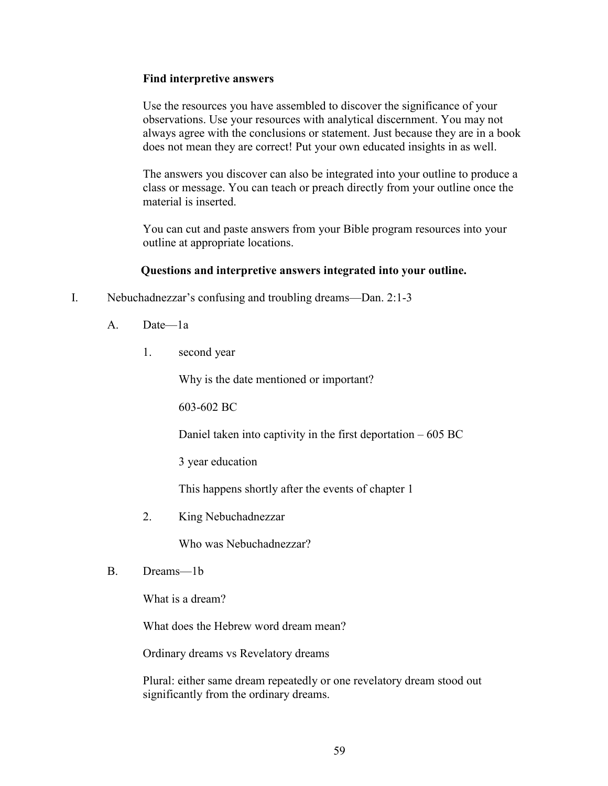#### **Find interpretive answers**

Use the resources you have assembled to discover the significance of your observations. Use your resources with analytical discernment. You may not always agree with the conclusions or statement. Just because they are in a book does not mean they are correct! Put your own educated insights in as well.

The answers you discover can also be integrated into your outline to produce a class or message. You can teach or preach directly from your outline once the material is inserted.

You can cut and paste answers from your Bible program resources into your outline at appropriate locations.

## **Questions and interpretive answers integrated into your outline.**

- I. Nebuchadnezzar's confusing and troubling dreams—Dan. 2:1-3
	- A. Date—1a
		- 1. second year

Why is the date mentioned or important?

603-602 BC

Daniel taken into captivity in the first deportation – 605 BC

3 year education

This happens shortly after the events of chapter 1

2. King Nebuchadnezzar

Who was Nebuchadnezzar?

B. Dreams—1b

What is a dream?

What does the Hebrew word dream mean?

Ordinary dreams vs Revelatory dreams

Plural: either same dream repeatedly or one revelatory dream stood out significantly from the ordinary dreams.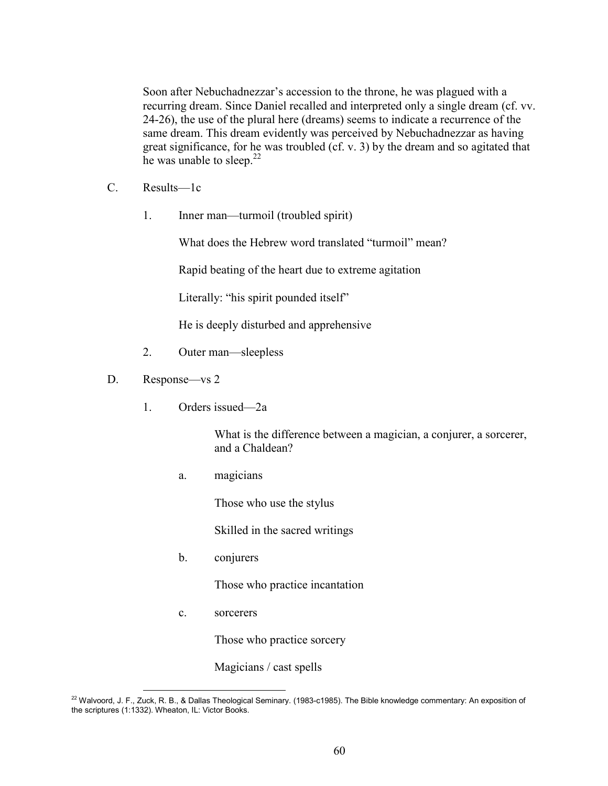Soon after Nebuchadnezzar's accession to the throne, he was plagued with a recurring dream. Since Daniel recalled and interpreted only a single dream (cf. vv. 24-26), the use of the plural here (dreams) seems to indicate a recurrence of the same dream. This dream evidently was perceived by Nebuchadnezzar as having great significance, for he was troubled (cf. v. 3) by the dream and so agitated that he was unable to sleep. $22$ 

- C. Results—1c
	- 1. Inner man—turmoil (troubled spirit)

What does the Hebrew word translated "turmoil" mean?

Rapid beating of the heart due to extreme agitation

Literally: "his spirit pounded itself"

He is deeply disturbed and apprehensive

- 2. Outer man—sleepless
- D. Response—vs 2
	- 1. Orders issued—2a

What is the difference between a magician, a conjurer, a sorcerer, and a Chaldean?

a. magicians

Those who use the stylus

Skilled in the sacred writings

b. conjurers

Those who practice incantation

c. sorcerers

Those who practice sorcery

Magicians / cast spells

<sup>&</sup>lt;u>.</u>  $^{22}$  Walvoord, J. F., Zuck, R. B., & Dallas Theological Seminary. (1983-c1985). The Bible knowledge commentary: An exposition of the scriptures (1:1332). Wheaton, IL: Victor Books.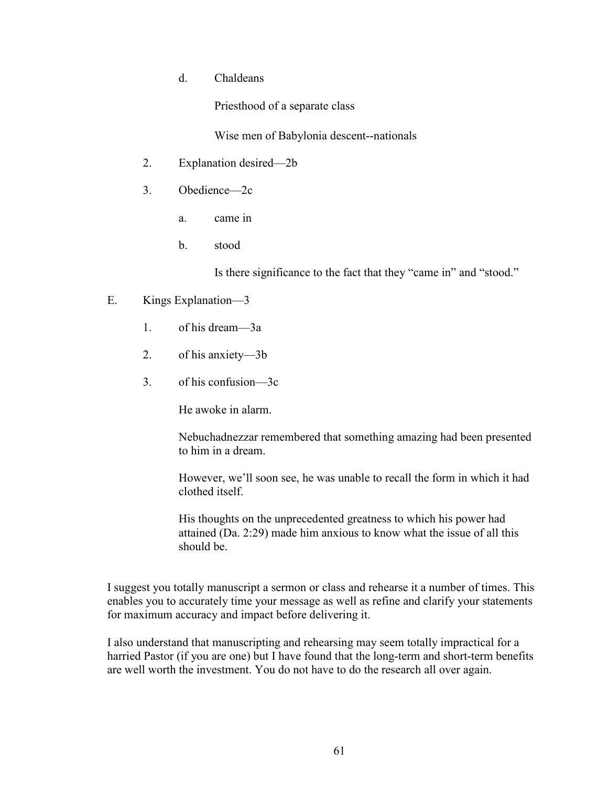d. Chaldeans

Priesthood of a separate class

Wise men of Babylonia descent--nationals

- 2. Explanation desired—2b
- 3. Obedience—2c
	- a. came in
	- b. stood

Is there significance to the fact that they "came in" and "stood."

- E. Kings Explanation—3
	- 1. of his dream—3a
	- 2. of his anxiety—3b
	- 3. of his confusion—3c

He awoke in alarm.

Nebuchadnezzar remembered that something amazing had been presented to him in a dream.

However, we'll soon see, he was unable to recall the form in which it had clothed itself.

His thoughts on the unprecedented greatness to which his power had attained (Da. 2:29) made him anxious to know what the issue of all this should be.

I suggest you totally manuscript a sermon or class and rehearse it a number of times. This enables you to accurately time your message as well as refine and clarify your statements for maximum accuracy and impact before delivering it.

I also understand that manuscripting and rehearsing may seem totally impractical for a harried Pastor (if you are one) but I have found that the long-term and short-term benefits are well worth the investment. You do not have to do the research all over again.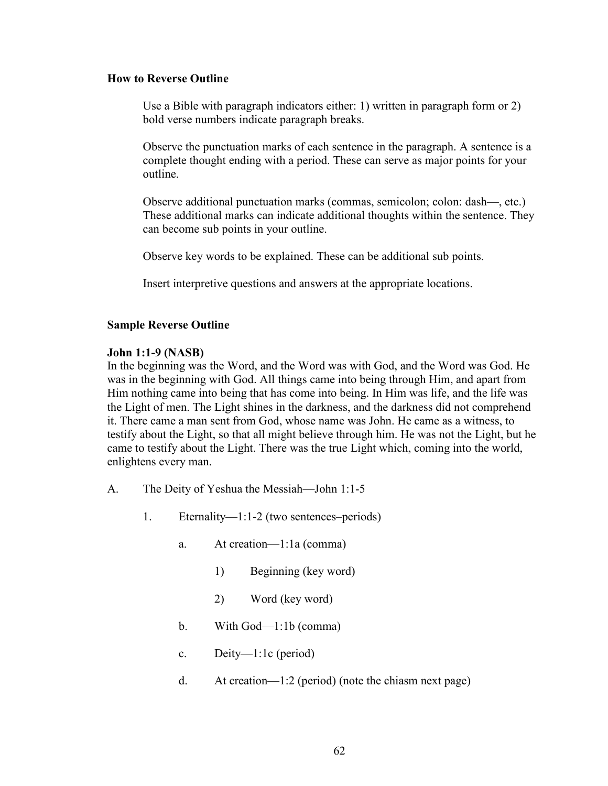#### **How to Reverse Outline**

Use a Bible with paragraph indicators either: 1) written in paragraph form or 2) bold verse numbers indicate paragraph breaks.

Observe the punctuation marks of each sentence in the paragraph. A sentence is a complete thought ending with a period. These can serve as major points for your outline.

Observe additional punctuation marks (commas, semicolon; colon: dash—, etc.) These additional marks can indicate additional thoughts within the sentence. They can become sub points in your outline.

Observe key words to be explained. These can be additional sub points.

Insert interpretive questions and answers at the appropriate locations.

#### **Sample Reverse Outline**

#### **John 1:1-9 (NASB)**

In the beginning was the Word, and the Word was with God, and the Word was God. He was in the beginning with God. All things came into being through Him, and apart from Him nothing came into being that has come into being. In Him was life, and the life was the Light of men. The Light shines in the darkness, and the darkness did not comprehend it. There came a man sent from God, whose name was John. He came as a witness, to testify about the Light, so that all might believe through him. He was not the Light, but he came to testify about the Light. There was the true Light which, coming into the world, enlightens every man.

- A. The Deity of Yeshua the Messiah—John 1:1-5
	- 1. Eternality—1:1-2 (two sentences–periods)
		- a. At creation—1:1a (comma)
			- 1) Beginning (key word)
			- 2) Word (key word)
		- b. With God—1:1b (comma)
		- c. Deity—1:1c (period)
		- d. At creation—1:2 (period) (note the chiasm next page)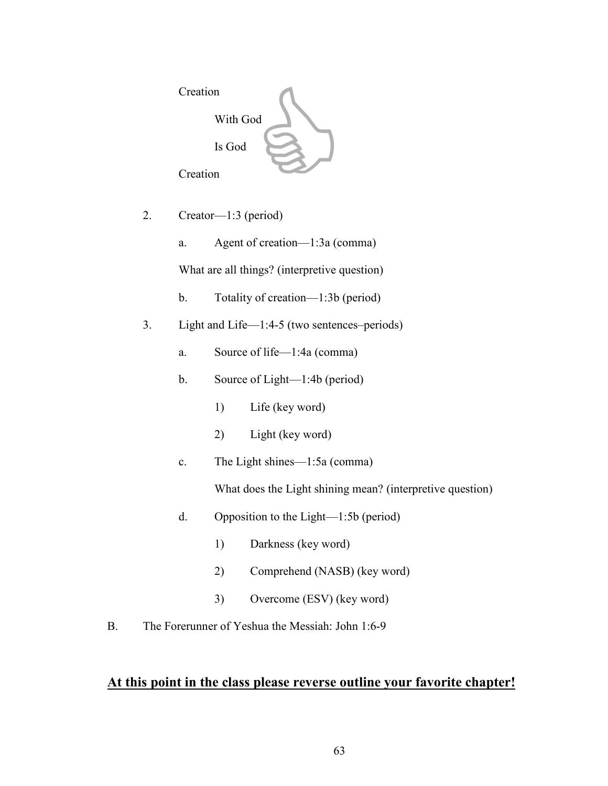| Creation |  |
|----------|--|
| With God |  |
| Is God   |  |
| Creation |  |

- 2. Creator—1:3 (period)
	- a. Agent of creation—1:3a (comma)

What are all things? (interpretive question)

- b. Totality of creation—1:3b (period)
- 3. Light and Life—1:4-5 (two sentences–periods)
	- a. Source of life—1:4a (comma)
	- b. Source of Light—1:4b (period)
		- 1) Life (key word)
		- 2) Light (key word)
	- c. The Light shines—1:5a (comma)

What does the Light shining mean? (interpretive question)

- d. Opposition to the Light—1:5b (period)
	- 1) Darkness (key word)
	- 2) Comprehend (NASB) (key word)
	- 3) Overcome (ESV) (key word)
- B. The Forerunner of Yeshua the Messiah: John 1:6-9

## **At this point in the class please reverse outline your favorite chapter!**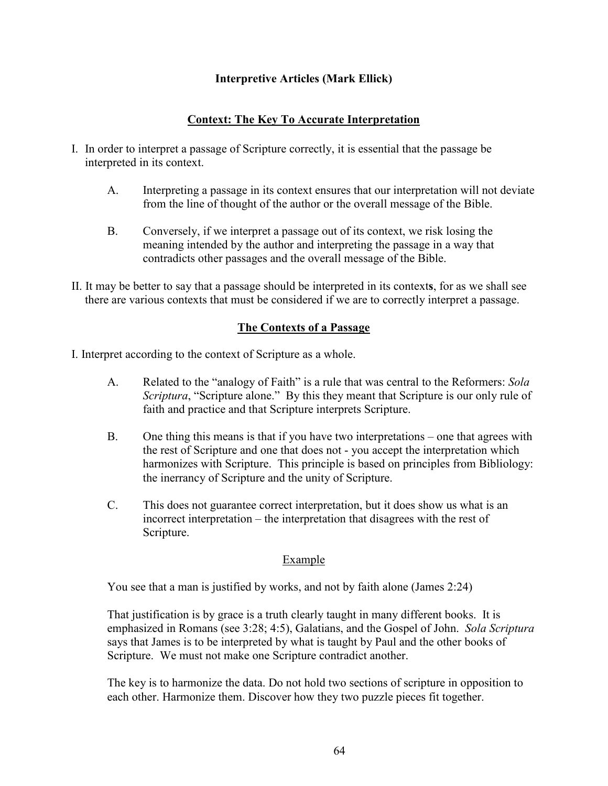## **Interpretive Articles (Mark Ellick)**

## **Context: The Key To Accurate Interpretation**

- I. In order to interpret a passage of Scripture correctly, it is essential that the passage be interpreted in its context.
	- A. Interpreting a passage in its context ensures that our interpretation will not deviate from the line of thought of the author or the overall message of the Bible.
	- B. Conversely, if we interpret a passage out of its context, we risk losing the meaning intended by the author and interpreting the passage in a way that contradicts other passages and the overall message of the Bible.
- II. It may be better to say that a passage should be interpreted in its context**s**, for as we shall see there are various contexts that must be considered if we are to correctly interpret a passage.

## **The Contexts of a Passage**

I. Interpret according to the context of Scripture as a whole.

- A. Related to the "analogy of Faith" is a rule that was central to the Reformers: *Sola Scriptura*, "Scripture alone." By this they meant that Scripture is our only rule of faith and practice and that Scripture interprets Scripture.
- B. One thing this means is that if you have two interpretations one that agrees with the rest of Scripture and one that does not - you accept the interpretation which harmonizes with Scripture. This principle is based on principles from Bibliology: the inerrancy of Scripture and the unity of Scripture.
- C. This does not guarantee correct interpretation, but it does show us what is an incorrect interpretation – the interpretation that disagrees with the rest of Scripture.

## Example

You see that a man is justified by works, and not by faith alone (James 2:24)

That justification is by grace is a truth clearly taught in many different books. It is emphasized in Romans (see 3:28; 4:5), Galatians, and the Gospel of John. *Sola Scriptura*  says that James is to be interpreted by what is taught by Paul and the other books of Scripture. We must not make one Scripture contradict another.

The key is to harmonize the data. Do not hold two sections of scripture in opposition to each other. Harmonize them. Discover how they two puzzle pieces fit together.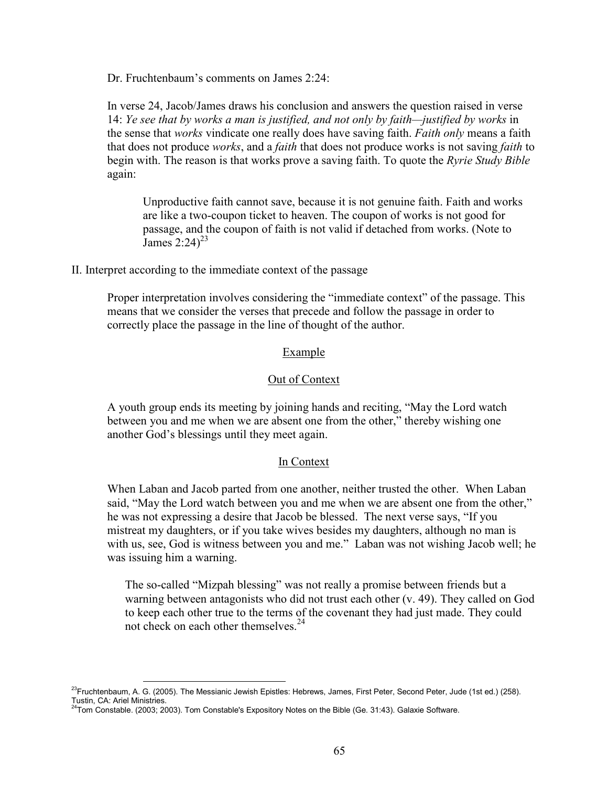Dr. Fruchtenbaum's comments on James 2:24:

In verse 24, Jacob/James draws his conclusion and answers the question raised in verse 14: *Ye see that by works a man is justified, and not only by faith—justified by works* in the sense that *works* vindicate one really does have saving faith. *Faith only* means a faith that does not produce *works*, and a *faith* that does not produce works is not saving *faith* to begin with. The reason is that works prove a saving faith. To quote the *Ryrie Study Bible* again:

Unproductive faith cannot save, because it is not genuine faith. Faith and works are like a two-coupon ticket to heaven. The coupon of works is not good for passage, and the coupon of faith is not valid if detached from works. (Note to James  $2:24)^{23}$ 

II. Interpret according to the immediate context of the passage

Proper interpretation involves considering the "immediate context" of the passage. This means that we consider the verses that precede and follow the passage in order to correctly place the passage in the line of thought of the author.

#### Example

#### Out of Context

A youth group ends its meeting by joining hands and reciting, "May the Lord watch between you and me when we are absent one from the other," thereby wishing one another God's blessings until they meet again.

#### In Context

When Laban and Jacob parted from one another, neither trusted the other. When Laban said, "May the Lord watch between you and me when we are absent one from the other," he was not expressing a desire that Jacob be blessed. The next verse says, "If you mistreat my daughters, or if you take wives besides my daughters, although no man is with us, see, God is witness between you and me." Laban was not wishing Jacob well; he was issuing him a warning.

The so-called "Mizpah blessing" was not really a promise between friends but a warning between antagonists who did not trust each other (v. 49). They called on God to keep each other true to the terms of the covenant they had just made. They could not check on each other themselves.<sup>24</sup>

-

 $^{23}$ Fruchtenbaum, A. G. (2005). The Messianic Jewish Epistles: Hebrews, James, First Peter, Second Peter, Jude (1st ed.) (258). Tustin, CA: Ariel Ministries.<br><sup>24</sup>Tom Constable. (2003; 2003). Tom Constable's Expository Notes on the Bible (Ge. 31:43). Galaxie Software.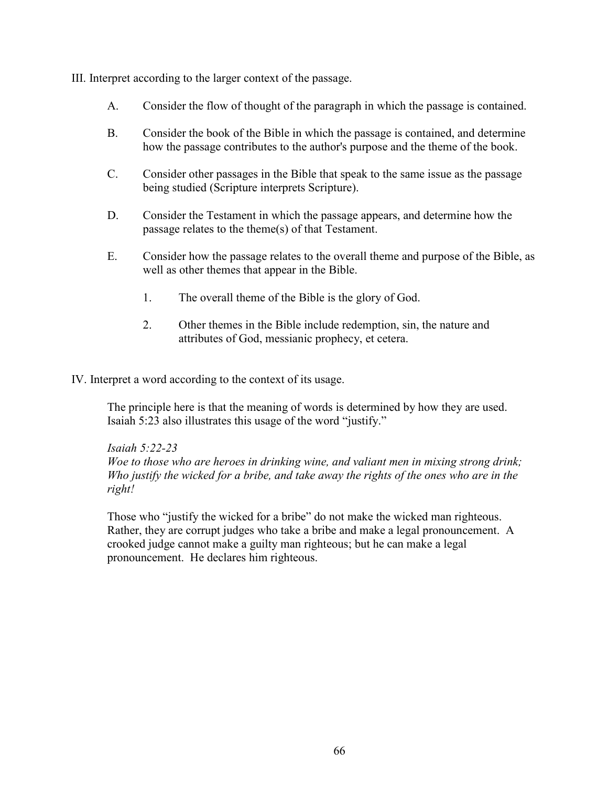III. Interpret according to the larger context of the passage.

- A. Consider the flow of thought of the paragraph in which the passage is contained.
- B. Consider the book of the Bible in which the passage is contained, and determine how the passage contributes to the author's purpose and the theme of the book.
- C. Consider other passages in the Bible that speak to the same issue as the passage being studied (Scripture interprets Scripture).
- D. Consider the Testament in which the passage appears, and determine how the passage relates to the theme(s) of that Testament.
- E. Consider how the passage relates to the overall theme and purpose of the Bible, as well as other themes that appear in the Bible.
	- 1. The overall theme of the Bible is the glory of God.
	- 2. Other themes in the Bible include redemption, sin, the nature and attributes of God, messianic prophecy, et cetera.
- IV. Interpret a word according to the context of its usage.

The principle here is that the meaning of words is determined by how they are used. Isaiah 5:23 also illustrates this usage of the word "justify."

#### *Isaiah 5:22-23*

*Woe to those who are heroes in drinking wine, and valiant men in mixing strong drink; Who justify the wicked for a bribe, and take away the rights of the ones who are in the right!* 

Those who "justify the wicked for a bribe" do not make the wicked man righteous. Rather, they are corrupt judges who take a bribe and make a legal pronouncement. A crooked judge cannot make a guilty man righteous; but he can make a legal pronouncement. He declares him righteous.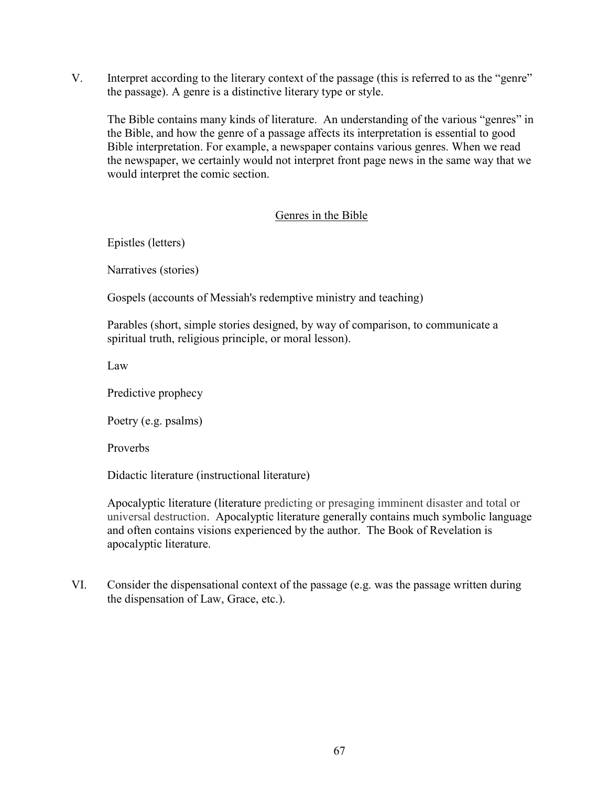V. Interpret according to the literary context of the passage (this is referred to as the "genre" the passage). A genre is a distinctive literary type or style.

The Bible contains many kinds of literature. An understanding of the various "genres" in the Bible, and how the genre of a passage affects its interpretation is essential to good Bible interpretation. For example, a newspaper contains various genres. When we read the newspaper, we certainly would not interpret front page news in the same way that we would interpret the comic section.

## Genres in the Bible

Epistles (letters)

Narratives (stories)

Gospels (accounts of Messiah's redemptive ministry and teaching)

Parables (short, simple stories designed, by way of comparison, to communicate a spiritual truth, religious principle, or moral lesson).

Law

Predictive prophecy

Poetry (e.g. psalms)

Proverbs

Didactic literature (instructional literature)

Apocalyptic literature (literature predicting or presaging imminent disaster and total or universal destruction. Apocalyptic literature generally contains much symbolic language and often contains visions experienced by the author. The Book of Revelation is apocalyptic literature.

VI. Consider the dispensational context of the passage (e.g. was the passage written during the dispensation of Law, Grace, etc.).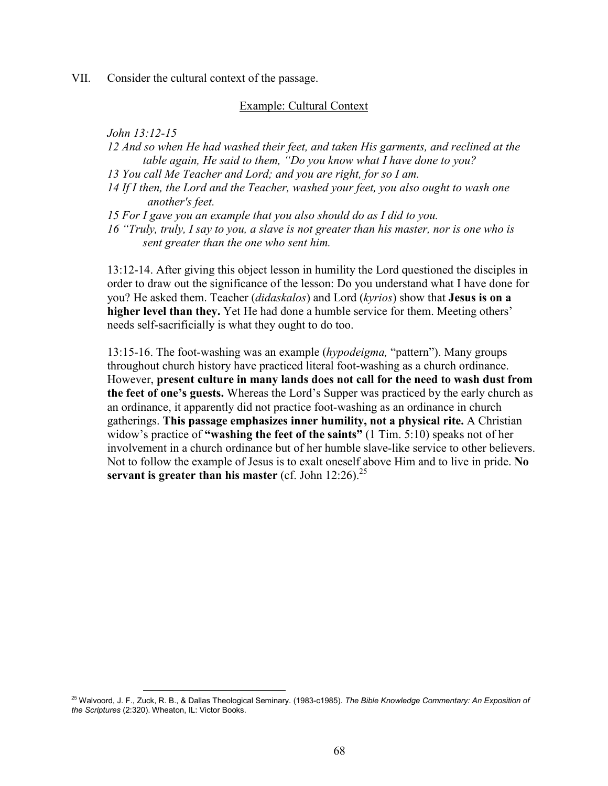VII. Consider the cultural context of the passage.

#### Example: Cultural Context

*John 13:12-15* 

<u>.</u>

- *12 And so when He had washed their feet, and taken His garments, and reclined at the table again, He said to them, "Do you know what I have done to you?*
- *13 You call Me Teacher and Lord; and you are right, for so I am.*
- *14 If I then, the Lord and the Teacher, washed your feet, you also ought to wash one another's feet.*
- *15 For I gave you an example that you also should do as I did to you.*
- *16 "Truly, truly, I say to you, a slave is not greater than his master, nor is one who is sent greater than the one who sent him.*

13:12-14. After giving this object lesson in humility the Lord questioned the disciples in order to draw out the significance of the lesson: Do you understand what I have done for you? He asked them. Teacher (*didaskalos*) and Lord (*kyrios*) show that **Jesus is on a higher level than they.** Yet He had done a humble service for them. Meeting others' needs self-sacrificially is what they ought to do too.

13:15-16. The foot-washing was an example (*hypodeigma,* "pattern"). Many groups throughout church history have practiced literal foot-washing as a church ordinance. However, **present culture in many lands does not call for the need to wash dust from the feet of one's guests.** Whereas the Lord's Supper was practiced by the early church as an ordinance, it apparently did not practice foot-washing as an ordinance in church gatherings. **This passage emphasizes inner humility, not a physical rite.** A Christian widow's practice of **"washing the feet of the saints"** (1 Tim. 5:10) speaks not of her involvement in a church ordinance but of her humble slave-like service to other believers. Not to follow the example of Jesus is to exalt oneself above Him and to live in pride. No **servant is greater than his master** (cf. John  $12:26$ ).<sup>25</sup>

<sup>25</sup> Walvoord, J. F., Zuck, R. B., & Dallas Theological Seminary. (1983-c1985). *The Bible Knowledge Commentary: An Exposition of the Scriptures* (2:320). Wheaton, IL: Victor Books.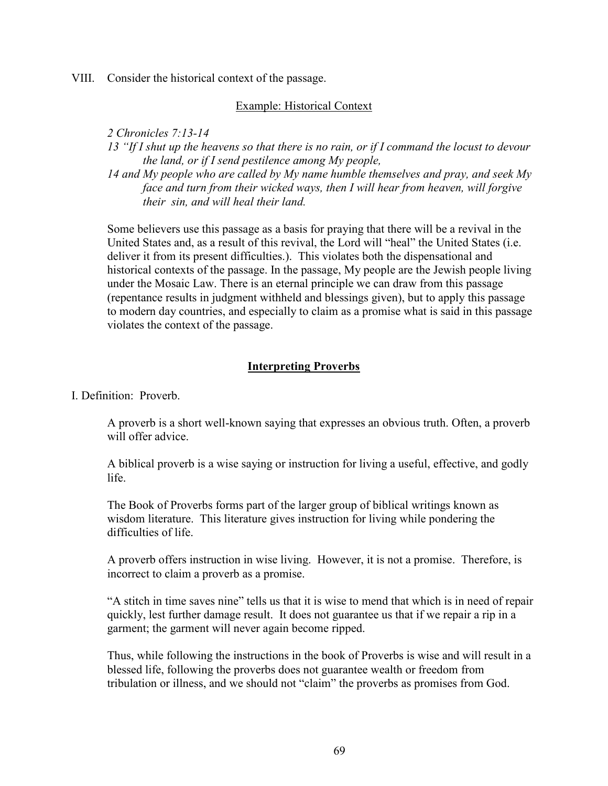VIII. Consider the historical context of the passage.

#### Example: Historical Context

*2 Chronicles 7:13-14 13 "If I shut up the heavens so that there is no rain, or if I command the locust to devour the land, or if I send pestilence among My people, 14 and My people who are called by My name humble themselves and pray, and seek My face and turn from their wicked ways, then I will hear from heaven, will forgive their sin, and will heal their land.* 

Some believers use this passage as a basis for praying that there will be a revival in the United States and, as a result of this revival, the Lord will "heal" the United States (i.e. deliver it from its present difficulties.). This violates both the dispensational and historical contexts of the passage. In the passage, My people are the Jewish people living under the Mosaic Law. There is an eternal principle we can draw from this passage (repentance results in judgment withheld and blessings given), but to apply this passage to modern day countries, and especially to claim as a promise what is said in this passage violates the context of the passage.

## **Interpreting Proverbs**

I. Definition: Proverb.

A proverb is a short well-known saying that expresses an obvious truth. Often, a proverb will offer advice.

A biblical proverb is a wise saying or instruction for living a useful, effective, and godly life.

The Book of Proverbs forms part of the larger group of biblical writings known as wisdom literature. This literature gives instruction for living while pondering the difficulties of life.

A proverb offers instruction in wise living. However, it is not a promise. Therefore, is incorrect to claim a proverb as a promise.

"A stitch in time saves nine" tells us that it is wise to mend that which is in need of repair quickly, lest further damage result. It does not guarantee us that if we repair a rip in a garment; the garment will never again become ripped.

Thus, while following the instructions in the book of Proverbs is wise and will result in a blessed life, following the proverbs does not guarantee wealth or freedom from tribulation or illness, and we should not "claim" the proverbs as promises from God.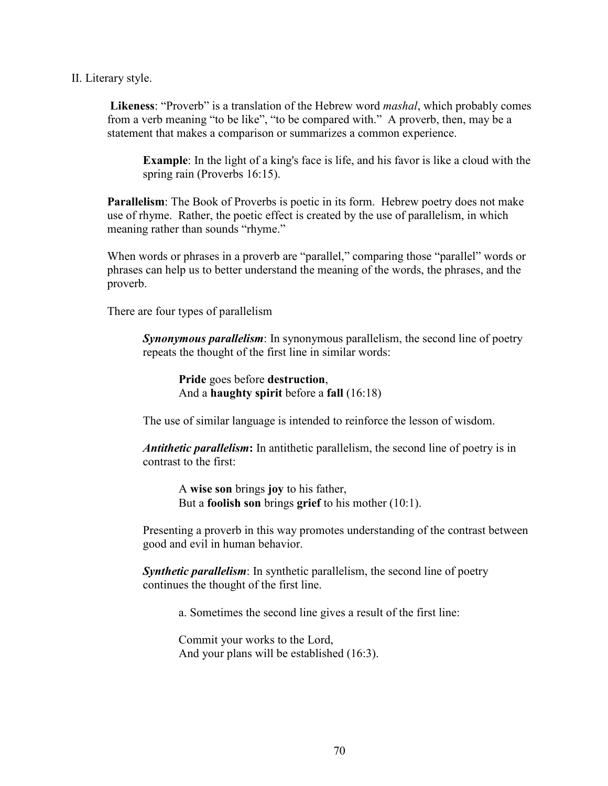#### II. Literary style.

**Likeness**: "Proverb" is a translation of the Hebrew word *mashal*, which probably comes from a verb meaning "to be like", "to be compared with." A proverb, then, may be a statement that makes a comparison or summarizes a common experience.

**Example**: In the light of a king's face is life, and his favor is like a cloud with the spring rain (Proverbs 16:15).

**Parallelism**: The Book of Proverbs is poetic in its form. Hebrew poetry does not make use of rhyme. Rather, the poetic effect is created by the use of parallelism, in which meaning rather than sounds "rhyme."

When words or phrases in a proverb are "parallel," comparing those "parallel" words or phrases can help us to better understand the meaning of the words, the phrases, and the proverb.

There are four types of parallelism

*Synonymous parallelism*: In synonymous parallelism, the second line of poetry repeats the thought of the first line in similar words:

**Pride** goes before **destruction**, And a **haughty spirit** before a **fall** (16:18)

The use of similar language is intended to reinforce the lesson of wisdom.

*Antithetic parallelism***:** In antithetic parallelism, the second line of poetry is in contrast to the first:

A **wise son** brings **joy** to his father, But a **foolish son** brings **grief** to his mother (10:1).

Presenting a proverb in this way promotes understanding of the contrast between good and evil in human behavior.

*Synthetic parallelism*: In synthetic parallelism, the second line of poetry continues the thought of the first line.

a. Sometimes the second line gives a result of the first line:

 Commit your works to the Lord, And your plans will be established (16:3).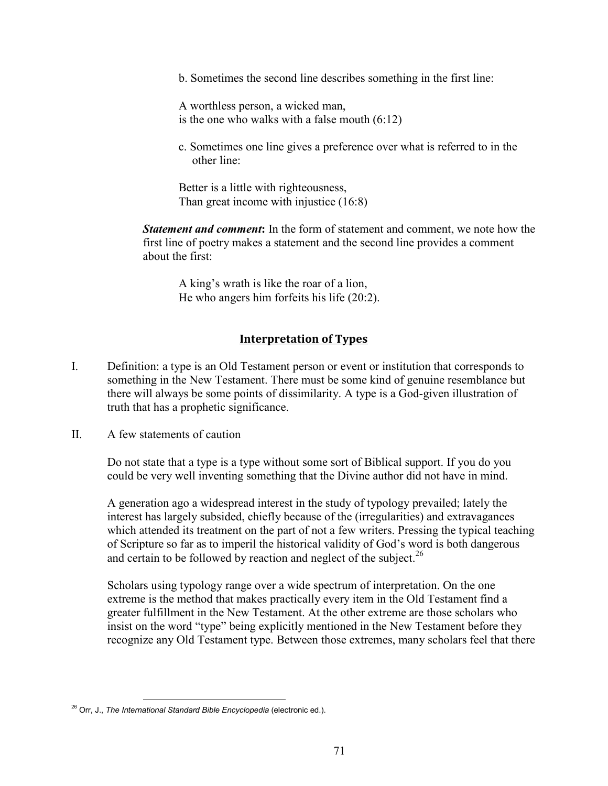- b. Sometimes the second line describes something in the first line:
- A worthless person, a wicked man, is the one who walks with a false mouth (6:12)
- c. Sometimes one line gives a preference over what is referred to in the other line:

Better is a little with righteousness, Than great income with injustice (16:8)

*Statement and comment***:** In the form of statement and comment, we note how the first line of poetry makes a statement and the second line provides a comment about the first:

A king's wrath is like the roar of a lion, He who angers him forfeits his life (20:2).

## **Interpretation of Types**

- I. Definition: a type is an Old Testament person or event or institution that corresponds to something in the New Testament. There must be some kind of genuine resemblance but there will always be some points of dissimilarity. A type is a God-given illustration of truth that has a prophetic significance.
- II. A few statements of caution

Do not state that a type is a type without some sort of Biblical support. If you do you could be very well inventing something that the Divine author did not have in mind.

A generation ago a widespread interest in the study of typology prevailed; lately the interest has largely subsided, chiefly because of the (irregularities) and extravagances which attended its treatment on the part of not a few writers. Pressing the typical teaching of Scripture so far as to imperil the historical validity of God's word is both dangerous and certain to be followed by reaction and neglect of the subject.<sup>26</sup>

Scholars using typology range over a wide spectrum of interpretation. On the one extreme is the method that makes practically every item in the Old Testament find a greater fulfillment in the New Testament. At the other extreme are those scholars who insist on the word "type" being explicitly mentioned in the New Testament before they recognize any Old Testament type. Between those extremes, many scholars feel that there

 $\overline{a}$ <sup>26</sup> Orr, J., *The International Standard Bible Encyclopedia* (electronic ed.).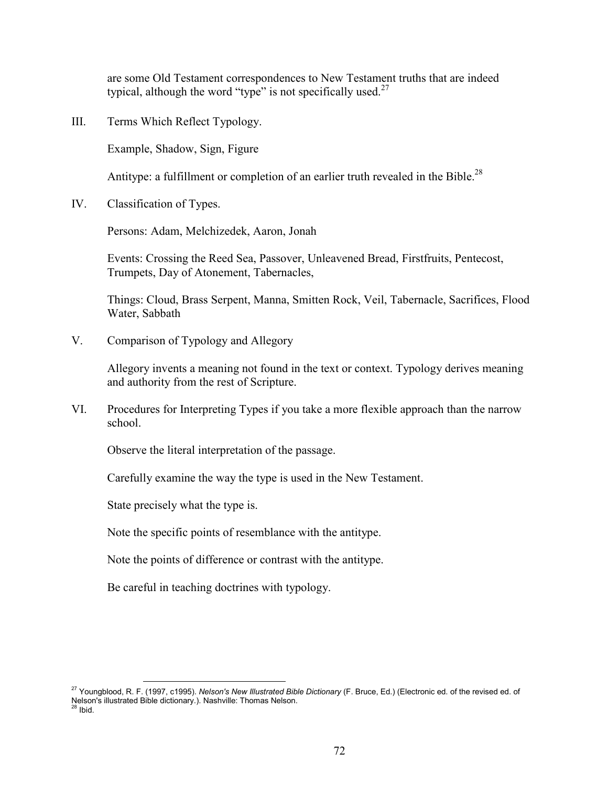are some Old Testament correspondences to New Testament truths that are indeed typical, although the word "type" is not specifically used. $27$ 

III. Terms Which Reflect Typology.

Example, Shadow, Sign, Figure

Antitype: a fulfillment or completion of an earlier truth revealed in the Bible.<sup>28</sup>

IV. Classification of Types.

Persons: Adam, Melchizedek, Aaron, Jonah

Events: Crossing the Reed Sea, Passover, Unleavened Bread, Firstfruits, Pentecost, Trumpets, Day of Atonement, Tabernacles,

Things: Cloud, Brass Serpent, Manna, Smitten Rock, Veil, Tabernacle, Sacrifices, Flood Water, Sabbath

V. Comparison of Typology and Allegory

Allegory invents a meaning not found in the text or context. Typology derives meaning and authority from the rest of Scripture.

VI. Procedures for Interpreting Types if you take a more flexible approach than the narrow school.

Observe the literal interpretation of the passage.

Carefully examine the way the type is used in the New Testament.

State precisely what the type is.

Note the specific points of resemblance with the antitype.

Note the points of difference or contrast with the antitype.

Be careful in teaching doctrines with typology.

<sup>-</sup><sup>27</sup> Youngblood, R. F. (1997, c1995). *Nelson's New Illustrated Bible Dictionary* (F. Bruce, Ed.) (Electronic ed. of the revised ed. of Nelson's illustrated Bible dictionary.). Nashville: Thomas Nelson.<br><sup>28</sup> Ibid.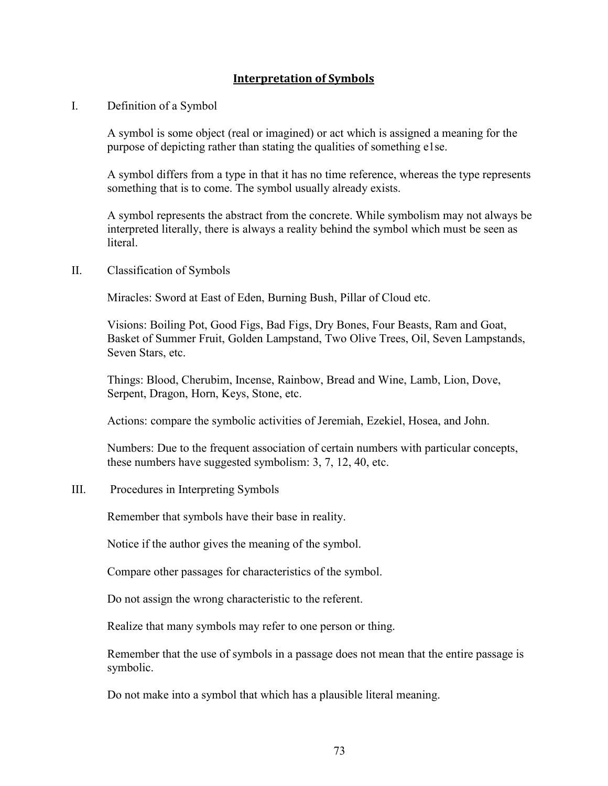### **Interpretation of Symbols**

I. Definition of a Symbol

A symbol is some object (real or imagined) or act which is assigned a meaning for the purpose of depicting rather than stating the qualities of something e1se.

A symbol differs from a type in that it has no time reference, whereas the type represents something that is to come. The symbol usually already exists.

A symbol represents the abstract from the concrete. While symbolism may not always be interpreted literally, there is always a reality behind the symbol which must be seen as literal.

II. Classification of Symbols

Miracles: Sword at East of Eden, Burning Bush, Pillar of Cloud etc.

Visions: Boiling Pot, Good Figs, Bad Figs, Dry Bones, Four Beasts, Ram and Goat, Basket of Summer Fruit, Golden Lampstand, Two Olive Trees, Oil, Seven Lampstands, Seven Stars, etc.

Things: Blood, Cherubim, Incense, Rainbow, Bread and Wine, Lamb, Lion, Dove, Serpent, Dragon, Horn, Keys, Stone, etc.

Actions: compare the symbolic activities of Jeremiah, Ezekiel, Hosea, and John.

Numbers: Due to the frequent association of certain numbers with particular concepts, these numbers have suggested symbolism: 3, 7, 12, 40, etc.

III. Procedures in Interpreting Symbols

Remember that symbols have their base in reality.

Notice if the author gives the meaning of the symbol.

Compare other passages for characteristics of the symbol.

Do not assign the wrong characteristic to the referent.

Realize that many symbols may refer to one person or thing.

Remember that the use of symbols in a passage does not mean that the entire passage is symbolic.

Do not make into a symbol that which has a plausible literal meaning.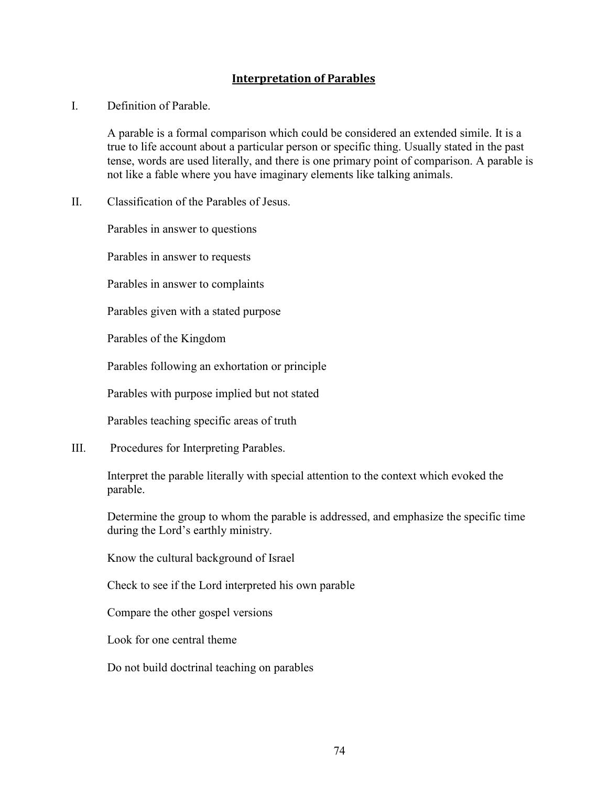### **Interpretation of Parables**

I. Definition of Parable.

A parable is a formal comparison which could be considered an extended simile. It is a true to life account about a particular person or specific thing. Usually stated in the past tense, words are used literally, and there is one primary point of comparison. A parable is not like a fable where you have imaginary elements like talking animals.

II. Classification of the Parables of Jesus.

Parables in answer to questions

Parables in answer to requests

Parables in answer to complaints

Parables given with a stated purpose

Parables of the Kingdom

Parables following an exhortation or principle

Parables with purpose implied but not stated

Parables teaching specific areas of truth

III. Procedures for Interpreting Parables.

Interpret the parable literally with special attention to the context which evoked the parable.

Determine the group to whom the parable is addressed, and emphasize the specific time during the Lord's earthly ministry.

Know the cultural background of Israel

Check to see if the Lord interpreted his own parable

Compare the other gospel versions

Look for one central theme

Do not build doctrinal teaching on parables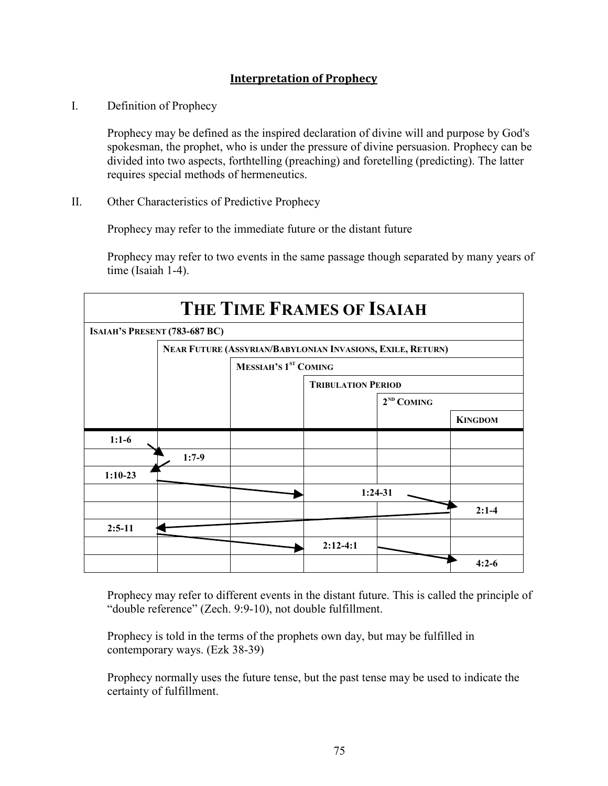### **Interpretation of Prophecy**

I. Definition of Prophecy

Prophecy may be defined as the inspired declaration of divine will and purpose by God's spokesman, the prophet, who is under the pressure of divine persuasion. Prophecy can be divided into two aspects, forthtelling (preaching) and foretelling (predicting). The latter requires special methods of hermeneutics.

II. Other Characteristics of Predictive Prophecy

Prophecy may refer to the immediate future or the distant future

Prophecy may refer to two events in the same passage though separated by many years of time (Isaiah 1-4).

| THE TIME FRAMES OF ISAIAH                                  |                               |                      |                           |  |                |
|------------------------------------------------------------|-------------------------------|----------------------|---------------------------|--|----------------|
|                                                            | ISAIAH'S PRESENT (783-687 BC) |                      |                           |  |                |
| NEAR FUTURE (ASSYRIAN/BABYLONIAN INVASIONS, EXILE, RETURN) |                               |                      |                           |  |                |
|                                                            |                               | MESSIAH'S 1ST COMING |                           |  |                |
|                                                            |                               |                      | <b>TRIBULATION PERIOD</b> |  |                |
|                                                            |                               |                      | $2^{ND}$ COMING           |  |                |
|                                                            |                               |                      |                           |  | <b>KINGDOM</b> |
| $1:1-6$                                                    |                               |                      |                           |  |                |
|                                                            | $1:7-9$                       |                      |                           |  |                |
| $1:10-23$                                                  |                               |                      |                           |  |                |
|                                                            |                               |                      | 1:24-31                   |  |                |
|                                                            |                               |                      |                           |  | $2:1-4$        |
| $2:5-11$                                                   |                               |                      |                           |  |                |
|                                                            |                               |                      | $2:12-4:1$                |  |                |
|                                                            |                               |                      |                           |  | $4:2-6$        |

Prophecy may refer to different events in the distant future. This is called the principle of "double reference" (Zech. 9:9-10), not double fulfillment.

Prophecy is told in the terms of the prophets own day, but may be fulfilled in contemporary ways. (Ezk 38-39)

Prophecy normally uses the future tense, but the past tense may be used to indicate the certainty of fulfillment.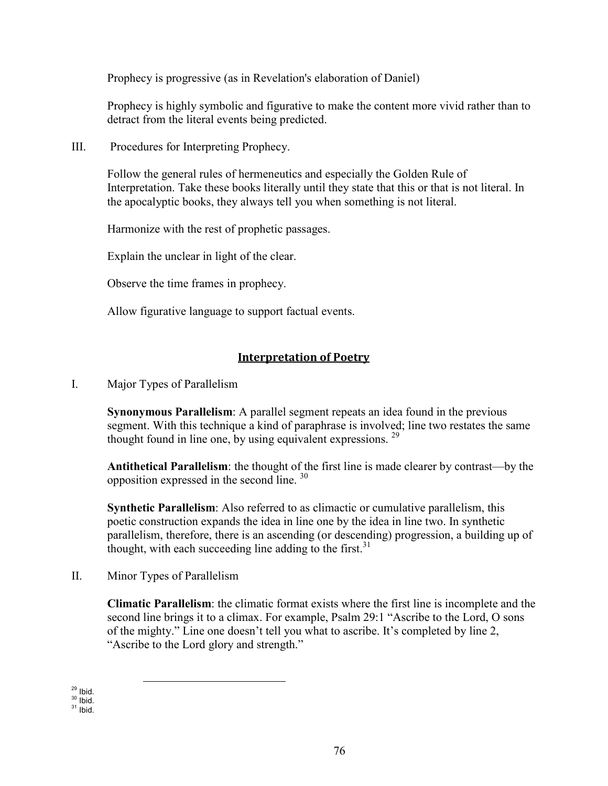Prophecy is progressive (as in Revelation's elaboration of Daniel)

Prophecy is highly symbolic and figurative to make the content more vivid rather than to detract from the literal events being predicted.

III. Procedures for Interpreting Prophecy.

Follow the general rules of hermeneutics and especially the Golden Rule of Interpretation. Take these books literally until they state that this or that is not literal. In the apocalyptic books, they always tell you when something is not literal.

Harmonize with the rest of prophetic passages.

Explain the unclear in light of the clear.

Observe the time frames in prophecy.

Allow figurative language to support factual events.

### **Interpretation of Poetry**

I. Major Types of Parallelism

**Synonymous Parallelism**: A parallel segment repeats an idea found in the previous segment. With this technique a kind of paraphrase is involved; line two restates the same thought found in line one, by using equivalent expressions.<sup>29</sup>

**Antithetical Parallelism**: the thought of the first line is made clearer by contrast—by the opposition expressed in the second line. <sup>30</sup>

**Synthetic Parallelism**: Also referred to as climactic or cumulative parallelism, this poetic construction expands the idea in line one by the idea in line two. In synthetic parallelism, therefore, there is an ascending (or descending) progression, a building up of thought, with each succeeding line adding to the first. $31$ 

II. Minor Types of Parallelism

l

**Climatic Parallelism**: the climatic format exists where the first line is incomplete and the second line brings it to a climax. For example, Psalm 29:1 "Ascribe to the Lord, O sons of the mighty." Line one doesn't tell you what to ascribe. It's completed by line 2, "Ascribe to the Lord glory and strength."

 $29$  Ibid.  $30$  Ibid.  $31$  Ibid.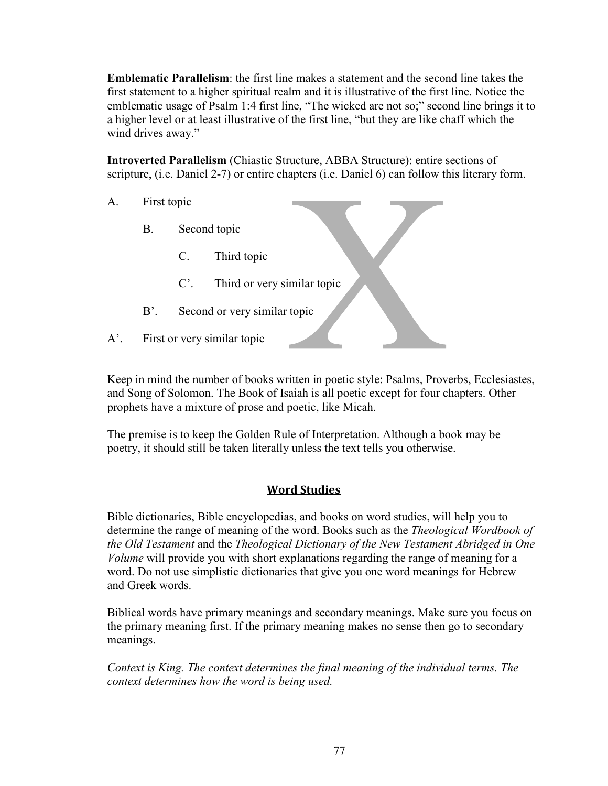**Emblematic Parallelism**: the first line makes a statement and the second line takes the first statement to a higher spiritual realm and it is illustrative of the first line. Notice the emblematic usage of Psalm 1:4 first line, "The wicked are not so;" second line brings it to a higher level or at least illustrative of the first line, "but they are like chaff which the wind drives away."

**Introverted Parallelism** (Chiastic Structure, ABBA Structure): entire sections of scripture, (i.e. Daniel 2-7) or entire chapters (i.e. Daniel 6) can follow this literary form.



- B. Second topic
	- C. Third topic
	- C'. Third or very similar topic
- B'. Second or very similar topic
- A'. First or very similar topic

Keep in mind the number of books written in poetic style: Psalms, Proverbs, Ecclesiastes, and Song of Solomon. The Book of Isaiah is all poetic except for four chapters. Other prophets have a mixture of prose and poetic, like Micah.

The premise is to keep the Golden Rule of Interpretation. Although a book may be poetry, it should still be taken literally unless the text tells you otherwise.

### **Word Studies**

Bible dictionaries, Bible encyclopedias, and books on word studies, will help you to determine the range of meaning of the word. Books such as the *Theological Wordbook of the Old Testament* and the *Theological Dictionary of the 1ew Testament Abridged in One Volume* will provide you with short explanations regarding the range of meaning for a word. Do not use simplistic dictionaries that give you one word meanings for Hebrew and Greek words.

Biblical words have primary meanings and secondary meanings. Make sure you focus on the primary meaning first. If the primary meaning makes no sense then go to secondary meanings.

*Context is King. The context determines the final meaning of the individual terms. The context determines how the word is being used.*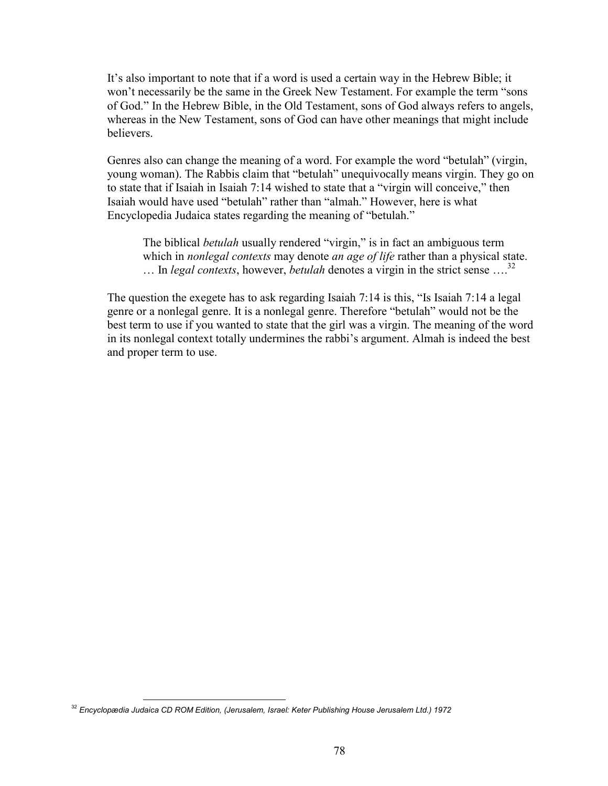It's also important to note that if a word is used a certain way in the Hebrew Bible; it won't necessarily be the same in the Greek New Testament. For example the term "sons of God." In the Hebrew Bible, in the Old Testament, sons of God always refers to angels, whereas in the New Testament, sons of God can have other meanings that might include believers.

Genres also can change the meaning of a word. For example the word "betulah" (virgin, young woman). The Rabbis claim that "betulah" unequivocally means virgin. They go on to state that if Isaiah in Isaiah 7:14 wished to state that a "virgin will conceive," then Isaiah would have used "betulah" rather than "almah." However, here is what Encyclopedia Judaica states regarding the meaning of "betulah."

The biblical *betulah* usually rendered "virgin," is in fact an ambiguous term which in *nonlegal contexts* may denote *an age of life* rather than a physical state.  $\ldots$  In *legal contexts*, however, *betulah* denotes a virgin in the strict sense  $\ldots$ <sup>32</sup>

The question the exegete has to ask regarding Isaiah 7:14 is this, "Is Isaiah 7:14 a legal genre or a nonlegal genre. It is a nonlegal genre. Therefore "betulah" would not be the best term to use if you wanted to state that the girl was a virgin. The meaning of the word in its nonlegal context totally undermines the rabbi's argument. Almah is indeed the best and proper term to use.

 $\overline{a}$ <sup>32</sup> *Encyclopædia Judaica CD ROM Edition, (Jerusalem, Israel: Keter Publishing House Jerusalem Ltd.) 1972*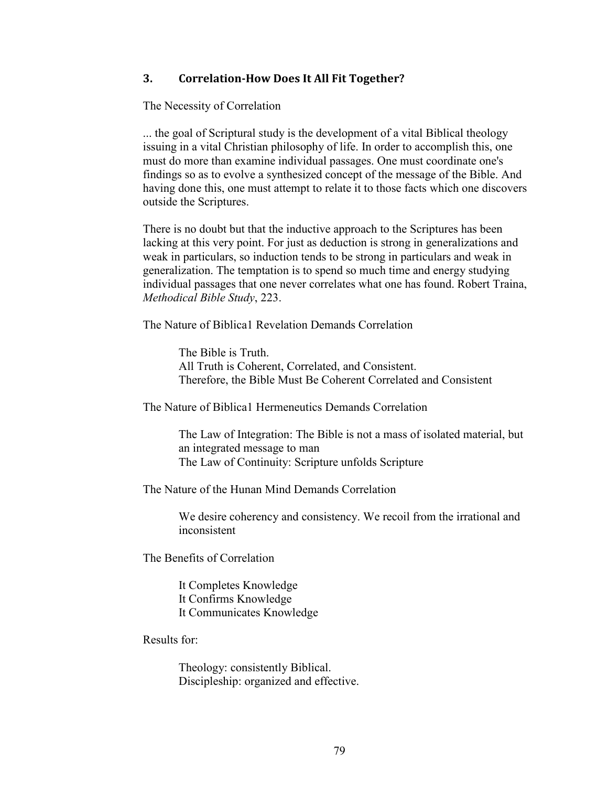### **3. Correlation-How Does It All Fit Together?**

The Necessity of Correlation

... the goal of Scriptural study is the development of a vital Biblical theology issuing in a vital Christian philosophy of life. In order to accomplish this, one must do more than examine individual passages. One must coordinate one's findings so as to evolve a synthesized concept of the message of the Bible. And having done this, one must attempt to relate it to those facts which one discovers outside the Scriptures.

There is no doubt but that the inductive approach to the Scriptures has been lacking at this very point. For just as deduction is strong in generalizations and weak in particulars, so induction tends to be strong in particulars and weak in generalization. The temptation is to spend so much time and energy studying individual passages that one never correlates what one has found. Robert Traina, *Methodical Bible Study*, 223.

The Nature of Biblica1 Revelation Demands Correlation

The Bible is Truth. All Truth is Coherent, Correlated, and Consistent. Therefore, the Bible Must Be Coherent Correlated and Consistent

The Nature of Biblica1 Hermeneutics Demands Correlation

The Law of Integration: The Bible is not a mass of isolated material, but an integrated message to man The Law of Continuity: Scripture unfolds Scripture

The Nature of the Hunan Mind Demands Correlation

We desire coherency and consistency. We recoil from the irrational and inconsistent

The Benefits of Correlation

It Completes Knowledge It Confirms Knowledge It Communicates Knowledge

Results for:

Theology: consistently Biblical. Discipleship: organized and effective.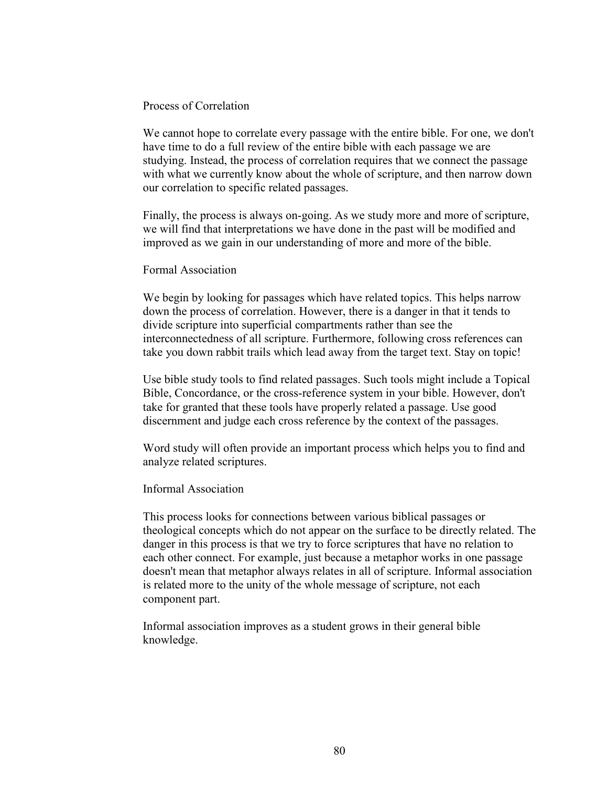#### Process of Correlation

We cannot hope to correlate every passage with the entire bible. For one, we don't have time to do a full review of the entire bible with each passage we are studying. Instead, the process of correlation requires that we connect the passage with what we currently know about the whole of scripture, and then narrow down our correlation to specific related passages.

Finally, the process is always on-going. As we study more and more of scripture, we will find that interpretations we have done in the past will be modified and improved as we gain in our understanding of more and more of the bible.

#### Formal Association

We begin by looking for passages which have related topics. This helps narrow down the process of correlation. However, there is a danger in that it tends to divide scripture into superficial compartments rather than see the interconnectedness of all scripture. Furthermore, following cross references can take you down rabbit trails which lead away from the target text. Stay on topic!

Use bible study tools to find related passages. Such tools might include a Topical Bible, Concordance, or the cross-reference system in your bible. However, don't take for granted that these tools have properly related a passage. Use good discernment and judge each cross reference by the context of the passages.

Word study will often provide an important process which helps you to find and analyze related scriptures.

#### Informal Association

This process looks for connections between various biblical passages or theological concepts which do not appear on the surface to be directly related. The danger in this process is that we try to force scriptures that have no relation to each other connect. For example, just because a metaphor works in one passage doesn't mean that metaphor always relates in all of scripture. Informal association is related more to the unity of the whole message of scripture, not each component part.

Informal association improves as a student grows in their general bible knowledge.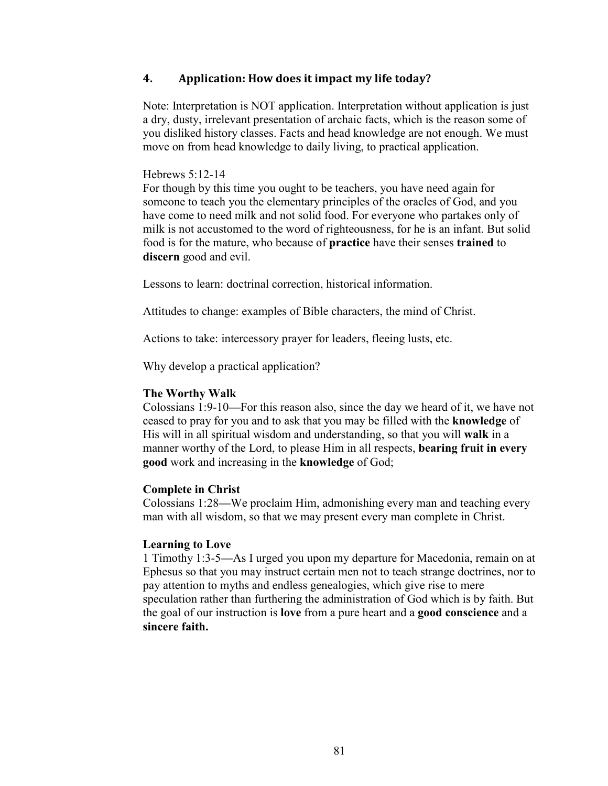### **4. Application: How does it impact my life today?**

Note: Interpretation is NOT application. Interpretation without application is just a dry, dusty, irrelevant presentation of archaic facts, which is the reason some of you disliked history classes. Facts and head knowledge are not enough. We must move on from head knowledge to daily living, to practical application.

### Hebrews 5:12-14

For though by this time you ought to be teachers, you have need again for someone to teach you the elementary principles of the oracles of God, and you have come to need milk and not solid food. For everyone who partakes only of milk is not accustomed to the word of righteousness, for he is an infant. But solid food is for the mature, who because of **practice** have their senses **trained** to **discern** good and evil.

Lessons to learn: doctrinal correction, historical information.

Attitudes to change: examples of Bible characters, the mind of Christ.

Actions to take: intercessory prayer for leaders, fleeing lusts, etc.

Why develop a practical application?

### **The Worthy Walk**

Colossians 1:9-10**—**For this reason also, since the day we heard of it, we have not ceased to pray for you and to ask that you may be filled with the **knowledge** of His will in all spiritual wisdom and understanding, so that you will **walk** in a manner worthy of the Lord, to please Him in all respects, **bearing fruit in every good** work and increasing in the **knowledge** of God;

### **Complete in Christ**

Colossians 1:28**—**We proclaim Him, admonishing every man and teaching every man with all wisdom, so that we may present every man complete in Christ.

### **Learning to Love**

1 Timothy 1:3-5**—**As I urged you upon my departure for Macedonia, remain on at Ephesus so that you may instruct certain men not to teach strange doctrines, nor to pay attention to myths and endless genealogies, which give rise to mere speculation rather than furthering the administration of God which is by faith. But the goal of our instruction is **love** from a pure heart and a **good conscience** and a **sincere faith.**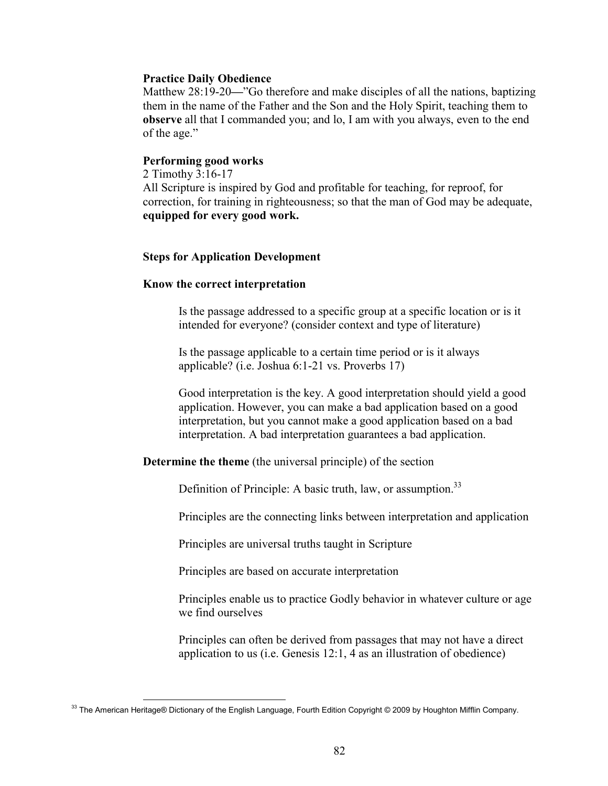#### **Practice Daily Obedience**

Matthew 28:19-20**—**"Go therefore and make disciples of all the nations, baptizing them in the name of the Father and the Son and the Holy Spirit, teaching them to **observe** all that I commanded you; and lo, I am with you always, even to the end of the age."

#### **Performing good works**

2 Timothy 3:16-17 All Scripture is inspired by God and profitable for teaching, for reproof, for correction, for training in righteousness; so that the man of God may be adequate, **equipped for every good work.** 

#### **Steps for Application Development**

#### **Know the correct interpretation**

Is the passage addressed to a specific group at a specific location or is it intended for everyone? (consider context and type of literature)

Is the passage applicable to a certain time period or is it always applicable? (i.e. Joshua 6:1-21 vs. Proverbs 17)

Good interpretation is the key. A good interpretation should yield a good application. However, you can make a bad application based on a good interpretation, but you cannot make a good application based on a bad interpretation. A bad interpretation guarantees a bad application.

**Determine the theme** (the universal principle) of the section

Definition of Principle: A basic truth, law, or assumption.<sup>33</sup>

Principles are the connecting links between interpretation and application

Principles are universal truths taught in Scripture

Principles are based on accurate interpretation

Principles enable us to practice Godly behavior in whatever culture or age we find ourselves

Principles can often be derived from passages that may not have a direct application to us (i.e. Genesis 12:1, 4 as an illustration of obedience)

<sup>&</sup>lt;u>.</u>  $^{33}$  The American Heritage® Dictionary of the English Language, Fourth Edition Copyright © 2009 by Houghton Mifflin Company.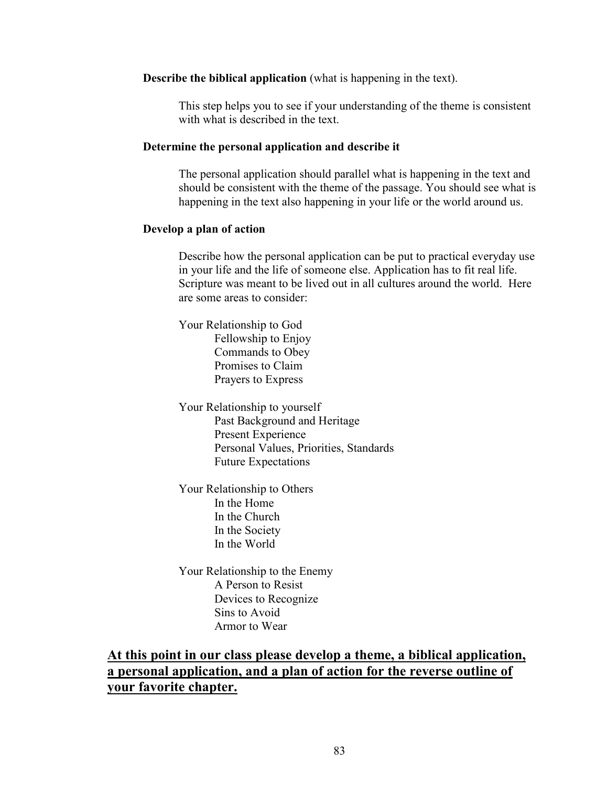**Describe the biblical application** (what is happening in the text).

This step helps you to see if your understanding of the theme is consistent with what is described in the text.

### **Determine the personal application and describe it**

The personal application should parallel what is happening in the text and should be consistent with the theme of the passage. You should see what is happening in the text also happening in your life or the world around us.

### **Develop a plan of action**

Describe how the personal application can be put to practical everyday use in your life and the life of someone else. Application has to fit real life. Scripture was meant to be lived out in all cultures around the world. Here are some areas to consider:

Your Relationship to God Fellowship to Enjoy Commands to Obey Promises to Claim Prayers to Express

Your Relationship to yourself Past Background and Heritage Present Experience Personal Values, Priorities, Standards Future Expectations

Your Relationship to Others In the Home In the Church In the Society In the World

Your Relationship to the Enemy A Person to Resist Devices to Recognize Sins to Avoid Armor to Wear

## **At this point in our class please develop a theme, a biblical application, a personal application, and a plan of action for the reverse outline of your favorite chapter.**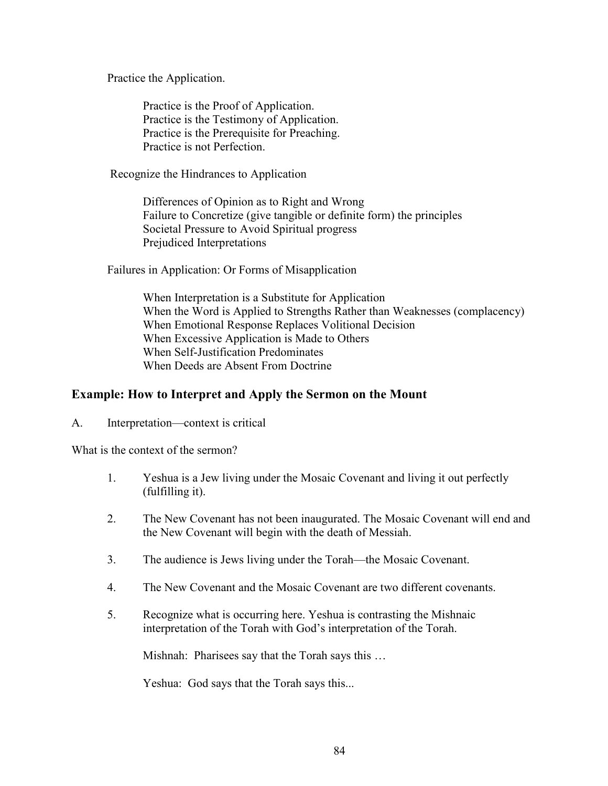Practice the Application.

Practice is the Proof of Application. Practice is the Testimony of Application. Practice is the Prerequisite for Preaching. Practice is not Perfection.

Recognize the Hindrances to Application

Differences of Opinion as to Right and Wrong Failure to Concretize (give tangible or definite form) the principles Societal Pressure to Avoid Spiritual progress Prejudiced Interpretations

Failures in Application: Or Forms of Misapplication

When Interpretation is a Substitute for Application When the Word is Applied to Strengths Rather than Weaknesses (complacency) When Emotional Response Replaces Volitional Decision When Excessive Application is Made to Others When Self-Justification Predominates When Deeds are Absent From Doctrine

### **Example: How to Interpret and Apply the Sermon on the Mount**

A. Interpretation—context is critical

What is the context of the sermon?

- 1. Yeshua is a Jew living under the Mosaic Covenant and living it out perfectly (fulfilling it).
- 2. The New Covenant has not been inaugurated. The Mosaic Covenant will end and the New Covenant will begin with the death of Messiah.
- 3. The audience is Jews living under the Torah—the Mosaic Covenant.
- 4. The New Covenant and the Mosaic Covenant are two different covenants.
- 5. Recognize what is occurring here. Yeshua is contrasting the Mishnaic interpretation of the Torah with God's interpretation of the Torah.

Mishnah: Pharisees say that the Torah says this …

Yeshua: God says that the Torah says this...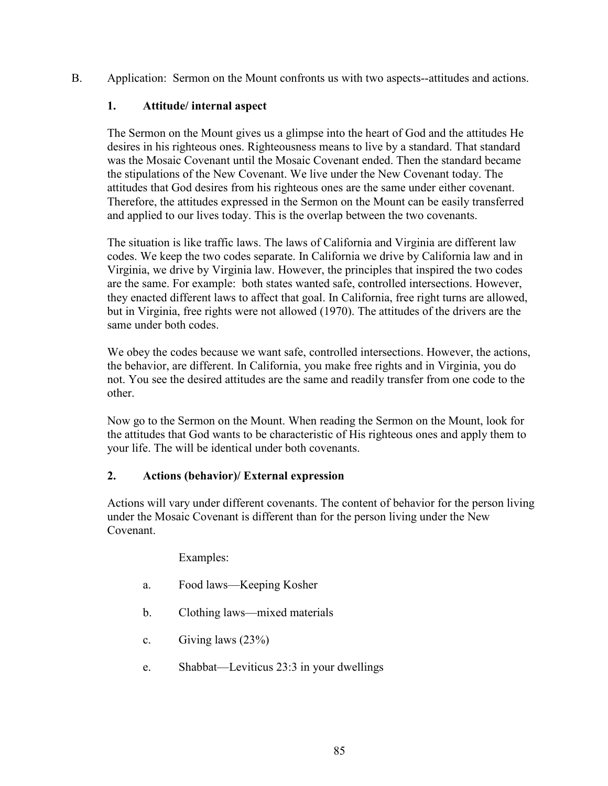B. Application: Sermon on the Mount confronts us with two aspects--attitudes and actions.

### **1. Attitude/ internal aspect**

The Sermon on the Mount gives us a glimpse into the heart of God and the attitudes He desires in his righteous ones. Righteousness means to live by a standard. That standard was the Mosaic Covenant until the Mosaic Covenant ended. Then the standard became the stipulations of the New Covenant. We live under the New Covenant today. The attitudes that God desires from his righteous ones are the same under either covenant. Therefore, the attitudes expressed in the Sermon on the Mount can be easily transferred and applied to our lives today. This is the overlap between the two covenants.

The situation is like traffic laws. The laws of California and Virginia are different law codes. We keep the two codes separate. In California we drive by California law and in Virginia, we drive by Virginia law. However, the principles that inspired the two codes are the same. For example: both states wanted safe, controlled intersections. However, they enacted different laws to affect that goal. In California, free right turns are allowed, but in Virginia, free rights were not allowed (1970). The attitudes of the drivers are the same under both codes.

We obey the codes because we want safe, controlled intersections. However, the actions, the behavior, are different. In California, you make free rights and in Virginia, you do not. You see the desired attitudes are the same and readily transfer from one code to the other.

Now go to the Sermon on the Mount. When reading the Sermon on the Mount, look for the attitudes that God wants to be characteristic of His righteous ones and apply them to your life. The will be identical under both covenants.

### **2. Actions (behavior)/ External expression**

Actions will vary under different covenants. The content of behavior for the person living under the Mosaic Covenant is different than for the person living under the New Covenant.

Examples:

- a. Food laws—Keeping Kosher
- b. Clothing laws—mixed materials
- c. Giving laws  $(23\%)$
- e. Shabbat—Leviticus 23:3 in your dwellings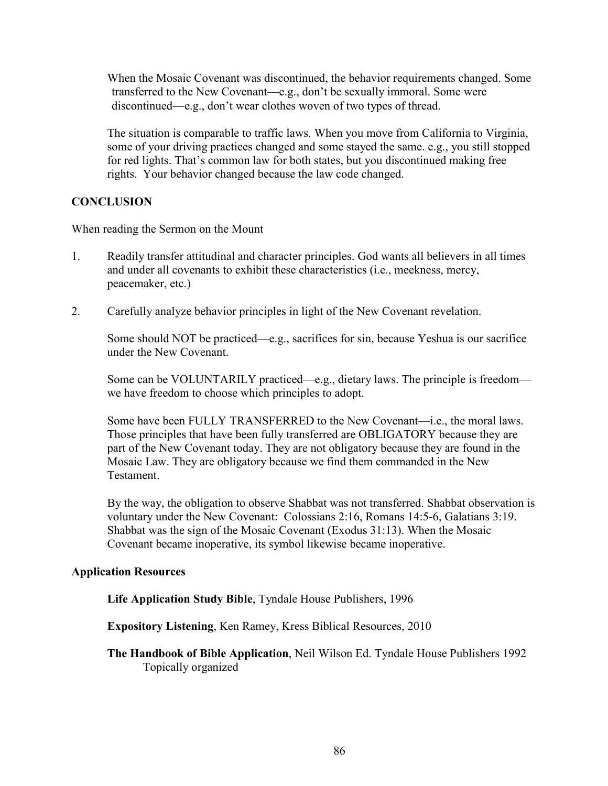When the Mosaic Covenant was discontinued, the behavior requirements changed. Some transferred to the New Covenant—e.g., don't be sexually immoral. Some were discontinued—e.g., don't wear clothes woven of two types of thread.

The situation is comparable to traffic laws. When you move from California to Virginia, some of your driving practices changed and some stayed the same. e.g., you still stopped for red lights. That's common law for both states, but you discontinued making free rights. Your behavior changed because the law code changed.

### **CONCLUSION**

When reading the Sermon on the Mount

- 1. Readily transfer attitudinal and character principles. God wants all believers in all times and under all covenants to exhibit these characteristics (i.e., meekness, mercy, peacemaker, etc.)
- 2. Carefully analyze behavior principles in light of the New Covenant revelation.

Some should NOT be practiced—e.g., sacrifices for sin, because Yeshua is our sacrifice under the New Covenant.

Some can be VOLUNTARILY practiced—e.g., dietary laws. The principle is freedom we have freedom to choose which principles to adopt.

Some have been FULLY TRANSFERRED to the New Covenant—i.e., the moral laws. Those principles that have been fully transferred are OBLIGATORY because they are part of the New Covenant today. They are not obligatory because they are found in the Mosaic Law. They are obligatory because we find them commanded in the New Testament.

By the way, the obligation to observe Shabbat was not transferred. Shabbat observation is voluntary under the New Covenant: Colossians 2:16, Romans 14:5-6, Galatians 3:19. Shabbat was the sign of the Mosaic Covenant (Exodus 31:13). When the Mosaic Covenant became inoperative, its symbol likewise became inoperative.

### **Application Resources**

**Life Application Study Bible**, Tyndale House Publishers, 1996

**Expository Listening**, Ken Ramey, Kress Biblical Resources, 2010

**The Handbook of Bible Application**, Neil Wilson Ed. Tyndale House Publishers 1992 Topically organized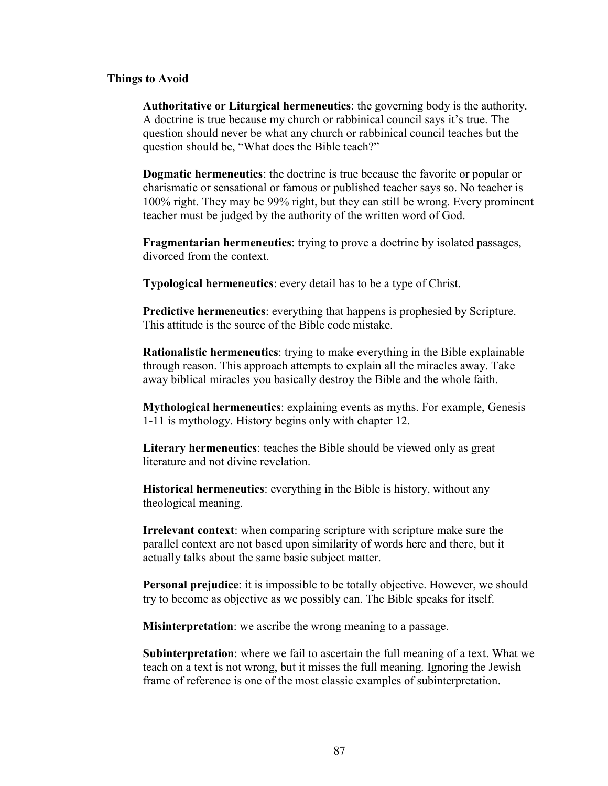#### **Things to Avoid**

**Authoritative or Liturgical hermeneutics**: the governing body is the authority. A doctrine is true because my church or rabbinical council says it's true. The question should never be what any church or rabbinical council teaches but the question should be, "What does the Bible teach?"

**Dogmatic hermeneutics**: the doctrine is true because the favorite or popular or charismatic or sensational or famous or published teacher says so. No teacher is 100% right. They may be 99% right, but they can still be wrong. Every prominent teacher must be judged by the authority of the written word of God.

**Fragmentarian hermeneutics**: trying to prove a doctrine by isolated passages, divorced from the context.

**Typological hermeneutics**: every detail has to be a type of Christ.

**Predictive hermeneutics**: everything that happens is prophesied by Scripture. This attitude is the source of the Bible code mistake.

**Rationalistic hermeneutics**: trying to make everything in the Bible explainable through reason. This approach attempts to explain all the miracles away. Take away biblical miracles you basically destroy the Bible and the whole faith.

**Mythological hermeneutics**: explaining events as myths. For example, Genesis 1-11 is mythology. History begins only with chapter 12.

**Literary hermeneutics**: teaches the Bible should be viewed only as great literature and not divine revelation.

**Historical hermeneutics**: everything in the Bible is history, without any theological meaning.

**Irrelevant context**: when comparing scripture with scripture make sure the parallel context are not based upon similarity of words here and there, but it actually talks about the same basic subject matter.

**Personal prejudice**: it is impossible to be totally objective. However, we should try to become as objective as we possibly can. The Bible speaks for itself.

**Misinterpretation**: we ascribe the wrong meaning to a passage.

**Subinterpretation**: where we fail to ascertain the full meaning of a text. What we teach on a text is not wrong, but it misses the full meaning. Ignoring the Jewish frame of reference is one of the most classic examples of subinterpretation.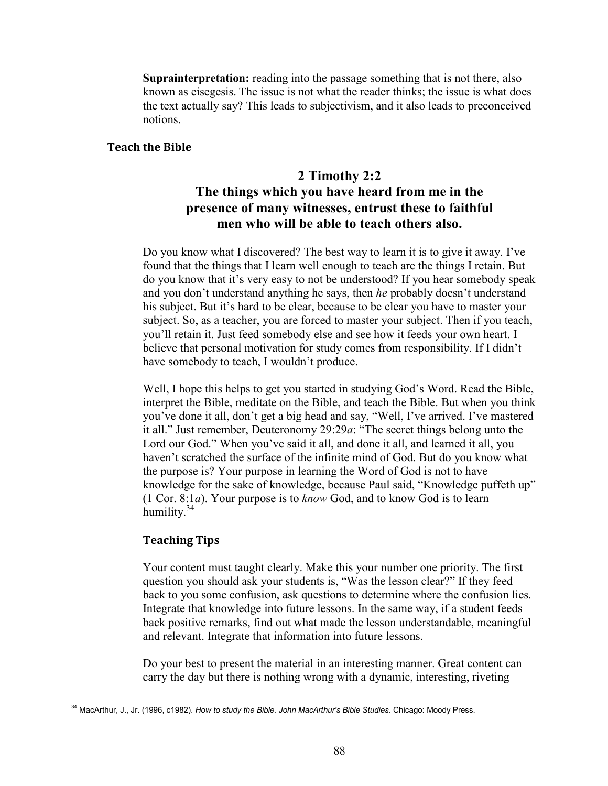**Suprainterpretation:** reading into the passage something that is not there, also known as eisegesis. The issue is not what the reader thinks; the issue is what does the text actually say? This leads to subjectivism, and it also leads to preconceived notions.

### **Teach the Bible**

## **2 Timothy 2:2 The things which you have heard from me in the presence of many witnesses, entrust these to faithful men who will be able to teach others also.**

Do you know what I discovered? The best way to learn it is to give it away. I've found that the things that I learn well enough to teach are the things I retain. But do you know that it's very easy to not be understood? If you hear somebody speak and you don't understand anything he says, then *he* probably doesn't understand his subject. But it's hard to be clear, because to be clear you have to master your subject. So, as a teacher, you are forced to master your subject. Then if you teach, you'll retain it. Just feed somebody else and see how it feeds your own heart. I believe that personal motivation for study comes from responsibility. If I didn't have somebody to teach, I wouldn't produce.

Well, I hope this helps to get you started in studying God's Word. Read the Bible, interpret the Bible, meditate on the Bible, and teach the Bible. But when you think you've done it all, don't get a big head and say, "Well, I've arrived. I've mastered it all." Just remember, Deuteronomy 29:29*a*: "The secret things belong unto the Lord our God." When you've said it all, and done it all, and learned it all, you haven't scratched the surface of the infinite mind of God. But do you know what the purpose is? Your purpose in learning the Word of God is not to have knowledge for the sake of knowledge, because Paul said, "Knowledge puffeth up" (1 Cor. 8:1*a*). Your purpose is to *know* God, and to know God is to learn humility.<sup>34</sup>

### **Teaching Tips**

Your content must taught clearly. Make this your number one priority. The first question you should ask your students is, "Was the lesson clear?" If they feed back to you some confusion, ask questions to determine where the confusion lies. Integrate that knowledge into future lessons. In the same way, if a student feeds back positive remarks, find out what made the lesson understandable, meaningful and relevant. Integrate that information into future lessons.

Do your best to present the material in an interesting manner. Great content can carry the day but there is nothing wrong with a dynamic, interesting, riveting

<sup>&</sup>lt;u>.</u> <sup>34</sup> MacArthur, J., Jr. (1996, c1982). *How to study the Bible. John MacArthur's Bible Studies*. Chicago: Moody Press.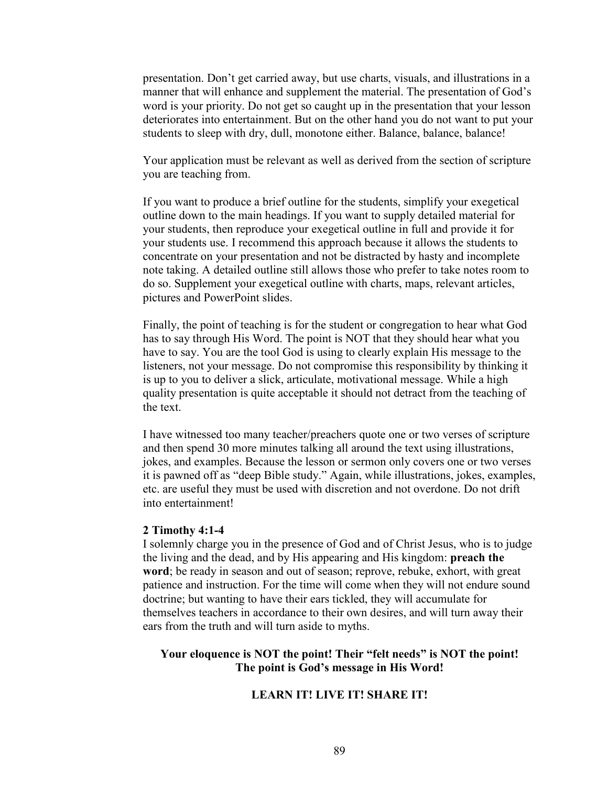presentation. Don't get carried away, but use charts, visuals, and illustrations in a manner that will enhance and supplement the material. The presentation of God's word is your priority. Do not get so caught up in the presentation that your lesson deteriorates into entertainment. But on the other hand you do not want to put your students to sleep with dry, dull, monotone either. Balance, balance, balance!

Your application must be relevant as well as derived from the section of scripture you are teaching from.

If you want to produce a brief outline for the students, simplify your exegetical outline down to the main headings. If you want to supply detailed material for your students, then reproduce your exegetical outline in full and provide it for your students use. I recommend this approach because it allows the students to concentrate on your presentation and not be distracted by hasty and incomplete note taking. A detailed outline still allows those who prefer to take notes room to do so. Supplement your exegetical outline with charts, maps, relevant articles, pictures and PowerPoint slides.

Finally, the point of teaching is for the student or congregation to hear what God has to say through His Word. The point is NOT that they should hear what you have to say. You are the tool God is using to clearly explain His message to the listeners, not your message. Do not compromise this responsibility by thinking it is up to you to deliver a slick, articulate, motivational message. While a high quality presentation is quite acceptable it should not detract from the teaching of the text.

I have witnessed too many teacher/preachers quote one or two verses of scripture and then spend 30 more minutes talking all around the text using illustrations, jokes, and examples. Because the lesson or sermon only covers one or two verses it is pawned off as "deep Bible study." Again, while illustrations, jokes, examples, etc. are useful they must be used with discretion and not overdone. Do not drift into entertainment!

#### **2 Timothy 4:1-4**

I solemnly charge you in the presence of God and of Christ Jesus, who is to judge the living and the dead, and by His appearing and His kingdom: **preach the word**; be ready in season and out of season; reprove, rebuke, exhort, with great patience and instruction. For the time will come when they will not endure sound doctrine; but wanting to have their ears tickled, they will accumulate for themselves teachers in accordance to their own desires, and will turn away their ears from the truth and will turn aside to myths.

#### Your eloquence is NOT the point! Their "felt needs" is NOT the point! **The point is God's message in His Word!**

#### LEARN IT! LIVE IT! SHARE IT!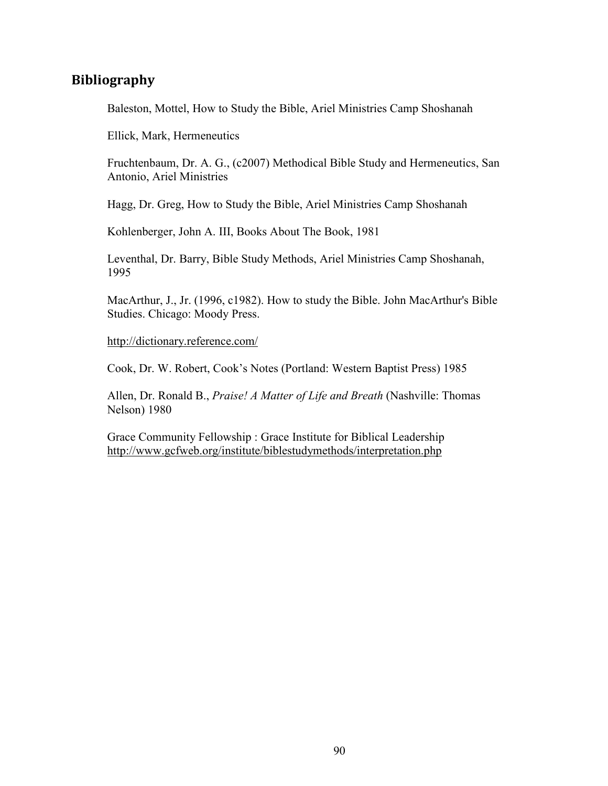## **Bibliography**

Baleston, Mottel, How to Study the Bible, Ariel Ministries Camp Shoshanah

Ellick, Mark, Hermeneutics

Fruchtenbaum, Dr. A. G., (c2007) Methodical Bible Study and Hermeneutics, San Antonio, Ariel Ministries

Hagg, Dr. Greg, How to Study the Bible, Ariel Ministries Camp Shoshanah

Kohlenberger, John A. III, Books About The Book, 1981

Leventhal, Dr. Barry, Bible Study Methods, Ariel Ministries Camp Shoshanah, 1995

MacArthur, J., Jr. (1996, c1982). How to study the Bible. John MacArthur's Bible Studies. Chicago: Moody Press.

http://dictionary.reference.com/

Cook, Dr. W. Robert, Cook's Notes (Portland: Western Baptist Press) 1985

Allen, Dr. Ronald B., *Praise! A Matter of Life and Breath* (Nashville: Thomas Nelson) 1980

Grace Community Fellowship : Grace Institute for Biblical Leadership http://www.gcfweb.org/institute/biblestudymethods/interpretation.php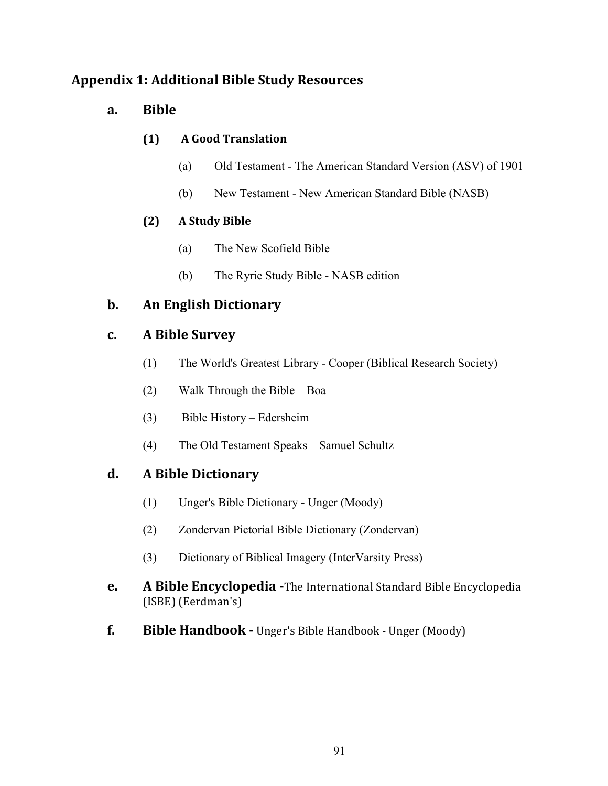# **Appendix 1: Additional Bible Study Resources**

## **a. Bible**

## **(1) A Good Translation**

- (a) Old Testament The American Standard Version (ASV) of 1901
- (b) New Testament New American Standard Bible (NASB)

### **(2) A Study Bible**

- (a) The New Scofield Bible
- (b) The Ryrie Study Bible NASB edition

# **b. An English Dictionary**

## **c. A Bible Survey**

- (1) The World's Greatest Library Cooper (Biblical Research Society)
- (2) Walk Through the Bible Boa
- (3) Bible History Edersheim
- (4) The Old Testament Speaks Samuel Schultz

# **d. A Bible Dictionary**

- (1) Unger's Bible Dictionary Unger (Moody)
- (2) Zondervan Pictorial Bible Dictionary (Zondervan)
- (3) Dictionary of Biblical Imagery (InterVarsity Press)
- **e. A Bible Encyclopedia -**The International Standard Bible Encyclopedia (ISBE) (Eerdman's)
- **f. Bible Handbook** Unger's Bible Handbook Unger (Moody)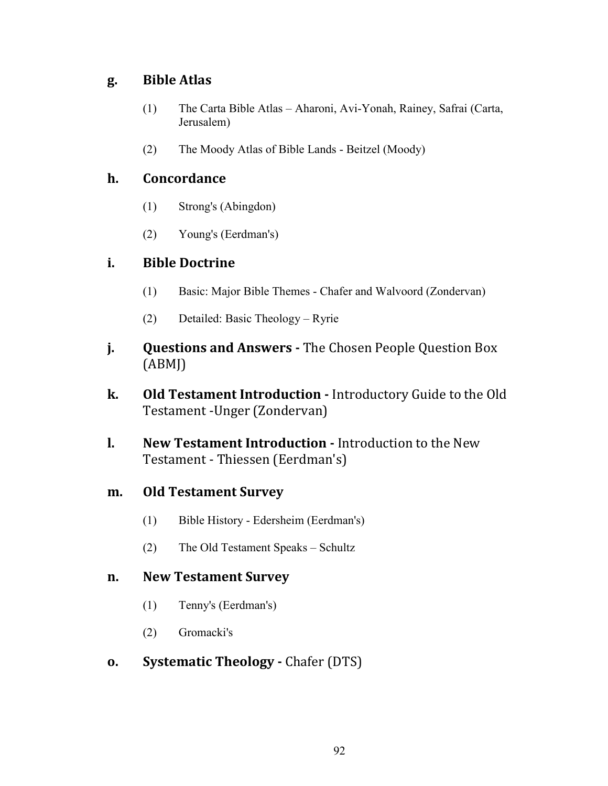# **g. Bible Atlas**

- (1) The Carta Bible Atlas Aharoni, Avi-Yonah, Rainey, Safrai (Carta, Jerusalem)
- (2) The Moody Atlas of Bible Lands Beitzel (Moody)

# **h. Concordance**

- (1) Strong's (Abingdon)
- (2) Young's (Eerdman's)

# **i. Bible Doctrine**

- (1) Basic: Major Bible Themes Chafer and Walvoord (Zondervan)
- (2) Detailed: Basic Theology Ryrie
- **j. Questions and Answers** The Chosen People Question Box (ABMJ)
- **k. Old Testament Introduction** Introductory Guide to the Old Testament -Unger (Zondervan)
- **l. New Testament Introduction** Introduction to the New Testament - Thiessen (Eerdman's)

## **m. Old Testament Survey**

- (1) Bible History Edersheim (Eerdman's)
- (2) The Old Testament Speaks Schultz

## **n. New Testament Survey**

- (1) Tenny's (Eerdman's)
- (2) Gromacki's

# **o.** Systematic Theology - Chafer (DTS)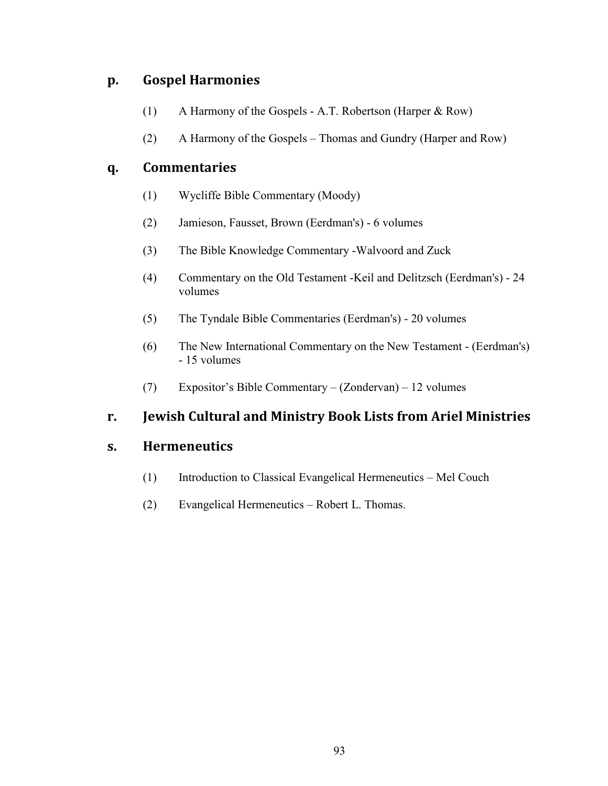# **p. Gospel Harmonies**

- (1) A Harmony of the Gospels A.T. Robertson (Harper & Row)
- (2) A Harmony of the Gospels Thomas and Gundry (Harper and Row)

## **q. Commentaries**

- (1) Wycliffe Bible Commentary (Moody)
- (2) Jamieson, Fausset, Brown (Eerdman's) 6 volumes
- (3) The Bible Knowledge Commentary -Walvoord and Zuck
- (4) Commentary on the Old Testament -Keil and Delitzsch (Eerdman's) 24 volumes
- (5) The Tyndale Bible Commentaries (Eerdman's) 20 volumes
- (6) The New International Commentary on the New Testament (Eerdman's) - 15 volumes
- (7) Expositor's Bible Commentary (Zondervan) 12 volumes

# **r. Jewish Cultural and Ministry Book Lists from Ariel Ministries**

## **s. Hermeneutics**

- (1) Introduction to Classical Evangelical Hermeneutics Mel Couch
- (2) Evangelical Hermeneutics Robert L. Thomas.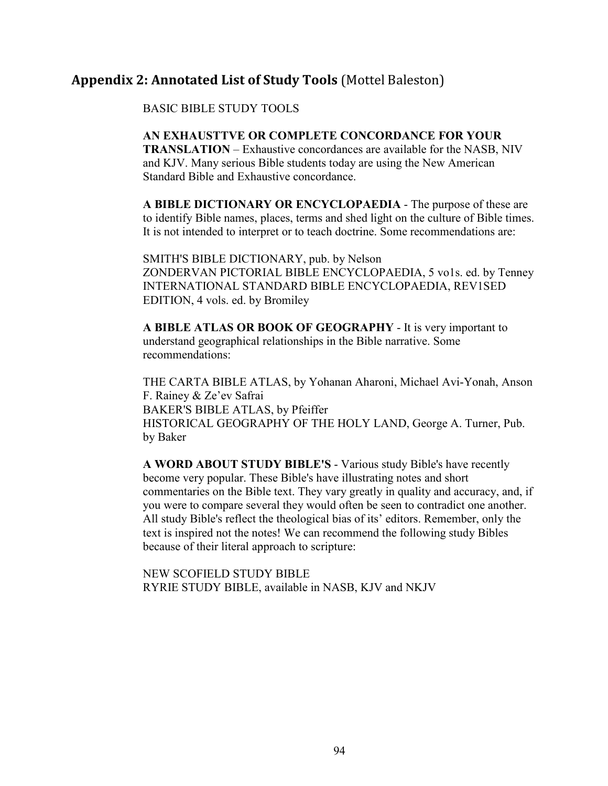## **Appendix 2: Annotated List of Study Tools** (Mottel Baleston)

BASIC BIBLE STUDY TOOLS

AN EXHAUSTTVE OR COMPLETE CONCORDANCE FOR YOUR

**TRANSLATION** – Exhaustive concordances are available for the NASB, NIV and KJV. Many serious Bible students today are using the New American Standard Bible and Exhaustive concordance.

A BIBLE DICTIONARY OR ENCYCLOPAEDIA - The purpose of these are to identify Bible names, places, terms and shed light on the culture of Bible times. It is not intended to interpret or to teach doctrine. Some recommendations are:

SMITH'S BIBLE DICTIONARY, pub. by Nelson ZONDERVAN PICTORIAL BIBLE ENCYCLOPAEDIA, 5 vo1s. ed. by Tenney INTERNATIONAL STANDARD BIBLE ENCYCLOPAEDIA, REV1SED EDITION, 4 vols. ed. by Bromiley

**A BIBLE ATLAS OR BOOK OF GEOGRAPHY** - It is very important to understand geographical relationships in the Bible narrative. Some recommendations:

THE CARTA BIBLE ATLAS, by Yohanan Aharoni, Michael Avi-Yonah, Anson F. Rainey & Ze'ev Safrai BAKER'S BIBLE ATLAS, by Pfeiffer HISTORICAL GEOGRAPHY OF THE HOLY LAND, George A. Turner, Pub. by Baker

**A WORD ABOUT STUDY BIBLE'S** - Various study Bible's have recently become very popular. These Bible's have illustrating notes and short commentaries on the Bible text. They vary greatly in quality and accuracy, and, if you were to compare several they would often be seen to contradict one another. All study Bible's reflect the theological bias of its' editors. Remember, only the text is inspired not the notes! We can recommend the following study Bibles because of their literal approach to scripture:

NEW SCOFIELD STUDY BIBLE RYRIE STUDY BIBLE, available in NASB, KJV and NKJV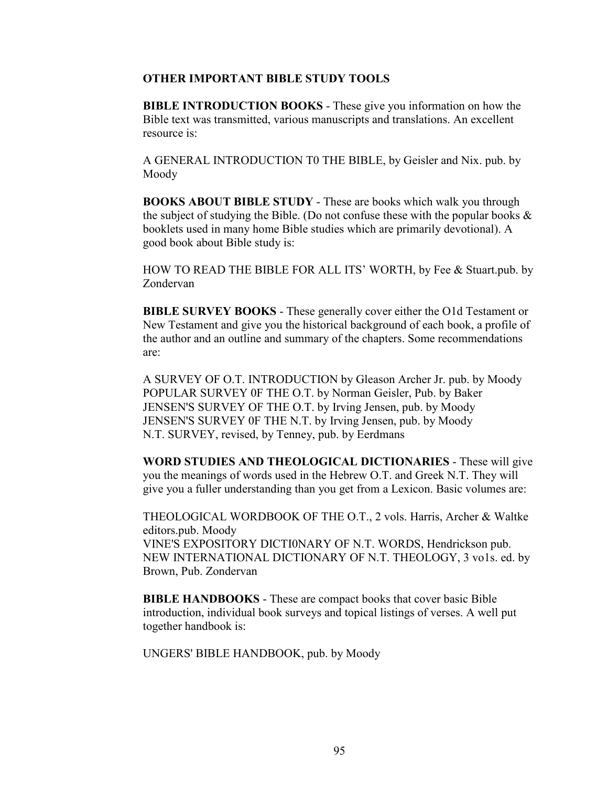### **OTHER IMPORTANT BIBLE STUDY TOOLS**

**BIBLE INTRODUCTION BOOKS** - These give you information on how the Bible text was transmitted, various manuscripts and translations. An excellent resource is:

A GENERAL INTRODUCTION T0 THE BIBLE, by Geisler and Nix. pub. by Moody

**BOOKS ABOUT BIBLE STUDY** - These are books which walk you through the subject of studying the Bible. (Do not confuse these with the popular books  $\&$ booklets used in many home Bible studies which are primarily devotional). A good book about Bible study is:

HOW TO READ THE BIBLE FOR ALL ITS' WORTH, by Fee & Stuart.pub. by Zondervan

**BIBLE SURVEY BOOKS** - These generally cover either the O1d Testament or New Testament and give you the historical background of each book, a profile of the author and an outline and summary of the chapters. Some recommendations are:

A SURVEY OF O.T. INTRODUCTION by Gleason Archer Jr. pub. by Moody POPULAR SURVEY 0F THE O.T. by Norman Geisler, Pub. by Baker JENSEN'S SURVEY OF THE O.T. by Irving Jensen, pub. by Moody JENSEN'S SURVEY 0F THE N.T. by Irving Jensen, pub. by Moody N.T. SURVEY, revised, by Tenney, pub. by Eerdmans

**WORD STUDIES AND THEOLOGICAL DICTIONARIES** - These will give you the meanings of words used in the Hebrew O.T. and Greek N.T. They will give you a fuller understanding than you get from a Lexicon. Basic volumes are:

THEOLOGICAL WORDBOOK OF THE O.T., 2 vols. Harris, Archer & Waltke editors.pub. Moody VINE'S EXPOSITORY DICTI0NARY OF N.T. WORDS, Hendrickson pub. NEW INTERNATIONAL DICTIONARY OF N.T. THEOLOGY, 3 vo1s. ed. by Brown, Pub. Zondervan

**BIBLE HANDBOOKS** - These are compact books that cover basic Bible introduction, individual book surveys and topical listings of verses. A well put together handbook is:

UNGERS' BIBLE HANDBOOK, pub. by Moody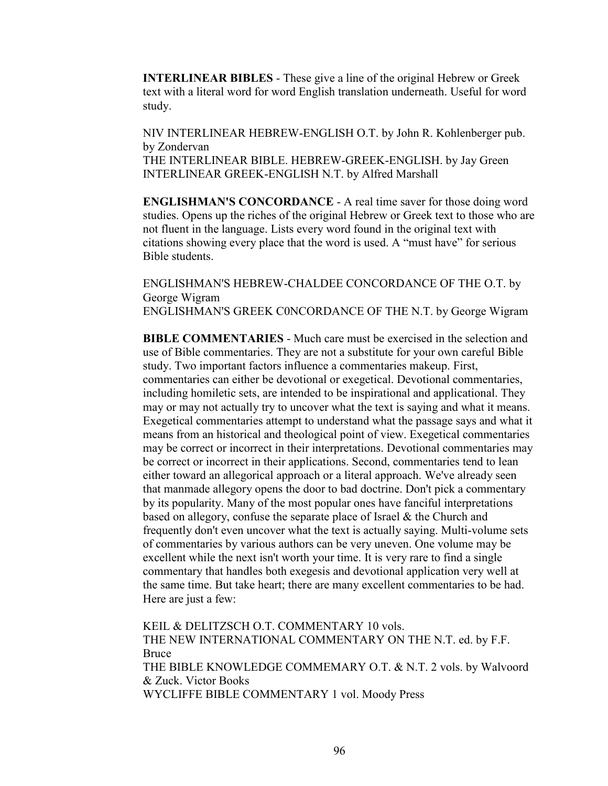**INTERLINEAR BIBLES** - These give a line of the original Hebrew or Greek text with a literal word for word English translation underneath. Useful for word study.

NIV INTERLINEAR HEBREW-ENGLISH O.T. by John R. Kohlenberger pub. by Zondervan THE INTERLINEAR BIBLE. HEBREW-GREEK-ENGLISH. by Jay Green

INTERLINEAR GREEK-ENGLISH N.T. by Alfred Marshall

**ENGLISHMAN'S CONCORDANCE** - A real time saver for those doing word studies. Opens up the riches of the original Hebrew or Greek text to those who are not fluent in the language. Lists every word found in the original text with citations showing every place that the word is used. A "must have" for serious Bible students.

ENGLISHMAN'S HEBREW-CHALDEE CONCORDANCE OF THE O.T. by George Wigram ENGLISHMAN'S GREEK C0NCORDANCE OF THE N.T. by George Wigram

**BIBLE COMMENTARIES** - Much care must be exercised in the selection and use of Bible commentaries. They are not a substitute for your own careful Bible study. Two important factors influence a commentaries makeup. First, commentaries can either be devotional or exegetical. Devotional commentaries, including homiletic sets, are intended to be inspirational and applicational. They may or may not actually try to uncover what the text is saying and what it means. Exegetical commentaries attempt to understand what the passage says and what it means from an historical and theological point of view. Exegetical commentaries may be correct or incorrect in their interpretations. Devotional commentaries may be correct or incorrect in their applications. Second, commentaries tend to lean either toward an allegorical approach or a literal approach. We've already seen that manmade allegory opens the door to bad doctrine. Don't pick a commentary by its popularity. Many of the most popular ones have fanciful interpretations based on allegory, confuse the separate place of Israel  $&$  the Church and frequently don't even uncover what the text is actually saying. Multi-volume sets of commentaries by various authors can be very uneven. One volume may be excellent while the next isn't worth your time. It is very rare to find a single commentary that handles both exegesis and devotional application very well at the same time. But take heart; there are many excellent commentaries to be had. Here are just a few:

KEIL & DELITZSCH O.T. COMMENTARY 10 vols. THE NEW INTERNATIONAL COMMENTARY ON THE N.T. ed. by F.F. Bruce THE BIBLE KNOWLEDGE COMMEMARY O.T. & N.T. 2 vols. by Walvoord & Zuck. Victor Books WYCLIFFE BIBLE COMMENTARY 1 vol. Moody Press